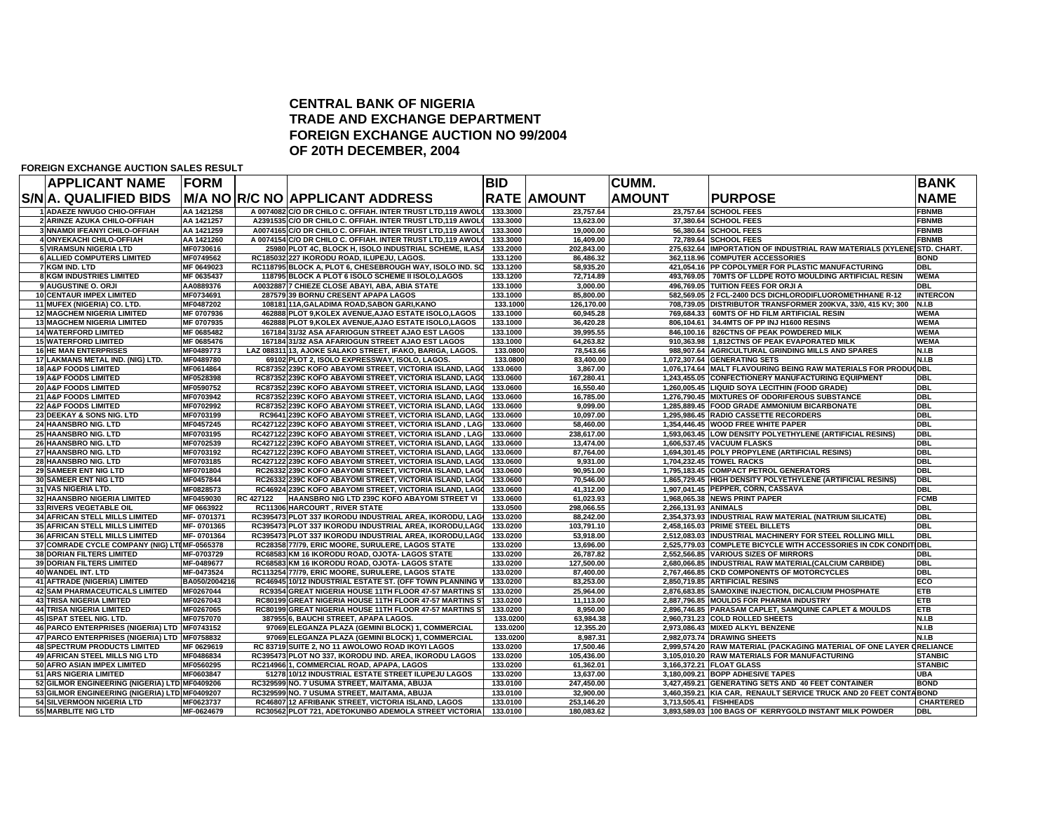### **CENTRAL BANK OF NIGERIA TRADE AND EXCHANGE DEPARTMENT FOREIGN EXCHANGE AUCTION NO 99/2004OF 20TH DECEMBER, 2004**

**FOREIGN EXCHANGE AUCTION SALES RESULT**

| <b>APPLICANT NAME</b>                         | <b>FORM</b>   |           |                                       |                                                              | <b>BID</b> |                    | <b>CUMM.</b>         |                                                                        | <b>BANK</b>      |
|-----------------------------------------------|---------------|-----------|---------------------------------------|--------------------------------------------------------------|------------|--------------------|----------------------|------------------------------------------------------------------------|------------------|
| S/N A. QUALIFIED BIDS                         |               |           |                                       | M/A NO R/C NO APPLICANT ADDRESS                              |            | <b>RATE AMOUNT</b> | <b>AMOUNT</b>        | <b>PURPOSE</b>                                                         | <b>NAME</b>      |
| 1 ADAEZE NWUGO CHIO-OFFIAH                    | AA 1421258    |           |                                       | A 0074082 C/O DR CHILO C. OFFIAH. INTER TRUST LTD,119 AWOLD  | 133.3000   | 23,757.64          |                      | 23,757.64 SCHOOL FEES                                                  | <b>FBNMB</b>     |
| 2 ARINZE AZUKA CHILO-OFFIAH                   | AA 1421257    |           |                                       | A2391535 C/O DR CHILO C. OFFIAH. INTER TRUST LTD,119 AWOLD   | 133.3000   | 13,623.00          |                      | 37,380.64 SCHOOL FEES                                                  | <b>FBNMB</b>     |
| 3 NNAMDI IFEANYI CHILO-OFFIAH                 | AA 1421259    |           |                                       | A0074165 C/O DR CHILO C. OFFIAH. INTER TRUST LTD.119 AWOLD   | 133,3000   | 19.000.00          |                      | 56.380.64 SCHOOL FEES                                                  | <b>FBNMB</b>     |
| 4 ONYEKACHI CHILO-OFFIAH                      | AA 1421260    |           |                                       | A 0074154 C/O DR CHILO C. OFFIAH. INTER TRUST LTD, 119 AWOLO | 133.3000   | 16.409.00          |                      | 72.789.64 SCHOOL FEES                                                  | <b>FBNMB</b>     |
| <b>5 VIRAMSUN NIGERIA LTD</b>                 | MF0730616     |           |                                       | 25980 PLOT 4C, BLOCK H, ISOLO INDUSTRIAL SCHEME, ILASA       | 133.2000   | 202.843.00         |                      | 275.632.64 IMPORTATION OF INDUSTRIAL RAW MATERIALS (XYLENE)STD. CHART. |                  |
| <b>6 ALLIED COMPUTERS LIMITED</b>             | MF0749562     |           |                                       | RC185032 227 IKORODU ROAD, ILUPEJU, LAGOS.                   | 133.1200   | 86.486.32          |                      | 362.118.96 COMPUTER ACCESSORIES                                        | <b>BOND</b>      |
| 7 KGM IND. LTD                                | MF 0649023    |           |                                       | RC118795 BLOCK A, PLOT 6, CHESEBROUGH WAY, ISOLO IND. SC     | 133.1200   | 58,935.20          |                      | 421,054.16 PP COPOLYMER FOR PLASTIC MANUFACTURING                      | <b>DBL</b>       |
| <b>8 KGM INDUSTRIES LIMITED</b>               | MF 0635437    |           |                                       | 118795 BLOCK A PLOT 6 ISOLO SCHEME II ISOLO,LAGOS            | 133.1200   | 72,714.89          |                      | 493,769.05 70MTS OF LLDPE ROTO MOULDING ARTIFICIAL RESIN               | <b>WEMA</b>      |
| 9 AUGUSTINE O. ORJI                           | AA0889376     |           |                                       | A0032887 7 CHIEZE CLOSE ABAYI, ABA, ABIA STATE               | 133.1000   | 3,000.00           |                      | 496,769.05 TUITION FEES FOR ORJI A                                     | <b>DBL</b>       |
| <b>10 CENTAUR IMPEX LIMITED</b>               | MF0734691     |           | 287579 39 BORNU CRESENT APAPA LAGOS   |                                                              | 133.1000   | 85,800.00          |                      | 582,569.05 2 FCL-2400 DCS DICHLORODIFLUOROMETHHANE R-12                | <b>INTERCON</b>  |
| 11 MUFEX (NIGERIA) CO. LTD.                   | MF0487202     |           |                                       | 108181 11A, GALADIMA ROAD, SABON GARI, KANO                  | 133.1000   | 126,170.00         |                      | 708,739.05 DISTRIBUTOR TRANSFORMER 200KVA, 33/0, 415 KV; 300 N.I.B     |                  |
| <b>12 MAGCHEM NIGERIA LIMITED</b>             | MF 0707936    |           |                                       | 462888 PLOT 9.KOLEX AVENUE.AJAO ESTATE ISOLO.LAGOS           | 133.1000   | 60.945.28          |                      | 769.684.33 60MTS OF HD FILM ARTIFICIAL RESIN                           | <b>WEMA</b>      |
| <b>13 MAGCHEM NIGERIA LIMITED</b>             | MF 0707935    |           |                                       | 462888 PLOT 9, KOLEX AVENUE, AJAO ESTATE ISOLO, LAGOS        | 133.1000   | 36.420.28          |                      | 806,104.61 34.4MTS OF PP INJ H1600 RESINS                              | <b>WEMA</b>      |
| <b>14 WATERFORD LIMITED</b>                   | MF 0685482    |           |                                       | 167184 31/32 ASA AFARIOGUN STREET AJAO EST LAGOS             | 133.1000   | 39.995.55          |                      | 846.100.16 826CTNS OF PEAK POWDERED MILK                               | <b>WEMA</b>      |
| <b>15 WATERFORD LIMITED</b>                   | MF 0685476    |           |                                       | 167184 31/32 ASA AFARIOGUN STREET AJAO EST LAGOS             | 133.1000   | 64.263.82          |                      | 910,363.98   1,812CTNS OF PEAK EVAPORATED MILK                         | <b>WEMA</b>      |
| <b>16 HE MAN ENTERPRISES</b>                  | MF0489773     |           |                                       | LAZ 088311 13, AJOKE SALAKO STREET, IFAKO, BARIGA, LAGOS.    | 133.0800   | 78,543.66          |                      | 988,907.64 AGRICULTURAL GRINDING MILLS AND SPARES                      | N.I.B            |
| 17 LAKMANS METAL IND. (NIG) LTD.              | MF0489780     |           |                                       | 69102 PLOT 2, ISOLO EXPRESSWAY, ISOLO, LAGOS.                | 133.0800   | 83,400.00          |                      | 1,072,307.64 GENERATING SETS                                           | N.I.B            |
| <b>18 A&amp;P FOODS LIMITED</b>               | MF0614864     |           |                                       | RC87352 239C KOFO ABAYOMI STREET, VICTORIA ISLAND, LAGO      | 133.0600   | 3,867.00           |                      | 1,076,174.64 MALT FLAVOURING BEING RAW MATERIALS FOR PRODU(DBL         |                  |
| <b>19 A&amp;P FOODS LIMITED</b>               | MF0528398     |           |                                       | RC87352 239C KOFO ABAYOMI STREET, VICTORIA ISLAND, LAGO      | 133.0600   | 167,280.41         |                      | 1,243,455.05 CONFECTIONERY MANUFACTURING EQUIPMENT                     | <b>DBL</b>       |
| 20 A&P FOODS LIMITED                          | MF0590752     |           |                                       | RC87352 239C KOFO ABAYOMI STREET, VICTORIA ISLAND, LAGO      | 133.0600   | 16,550.40          |                      | 1,260,005.45 LIQUID SOYA LECITHIN (FOOD GRADE)                         | DBL              |
| 21 A&P FOODS LIMITED                          | MF0703942     |           |                                       | RC87352 239C KOFO ABAYOMI STREET, VICTORIA ISLAND, LAGO      | 133.0600   | 16,785.00          |                      | 1.276.790.45 MIXTURES OF ODORIFEROUS SUBSTANCE                         | DBL              |
| <b>22 A&amp;P FOODS LIMITED</b>               | MF0702992     |           |                                       | RC87352 239C KOFO ABAYOMI STREET. VICTORIA ISLAND, LAGO      | 133.0600   | 9.099.00           |                      | 1.285.889.45 FOOD GRADE AMMONIUM BICARBONATE                           | <b>DBL</b>       |
| 23 DEEKAY & SONS NIG. LTD                     | MF0703199     |           |                                       | RC9641 239C KOFO ABAYOMI STREET. VICTORIA ISLAND, LAGO       | 133.0600   | 10.097.00          |                      | 1.295.986.45 RADIO CASSETTE RECORDERS                                  | DBL              |
| <b>24 HAANSBRO NIG. LTD</b>                   | MF0457245     |           |                                       | RC427122 239C KOFO ABAYOMI STREET, VICTORIA ISLAND, LAG      | 133.0600   | 58.460.00          |                      | 1.354.446.45 WOOD FREE WHITE PAPER                                     | <b>DBL</b>       |
| <b>25 HAANSBRO NIG. LTD</b>                   | MF0703195     |           |                                       | RC427122 239C KOFO ABAYOMI STREET. VICTORIA ISLAND, LAG      | 133.0600   | 238.617.00         |                      | 1,593,063.45 LOW DENSITY POLYETHYLENE (ARTIFICIAL RESINS)              | <b>DBL</b>       |
| <b>26 HAANSBRO NIG. LTD</b>                   | MF0702539     |           |                                       | RC427122 239C KOFO ABAYOMI STREET, VICTORIA ISLAND, LAGO     | 133.0600   | 13,474.00          |                      | 1,606,537.45 VACUUM FLASKS                                             | DBL              |
| 27 HAANSBRO NIG. LTD                          | MF0703192     |           |                                       | RC427122 239C KOFO ABAYOMI STREET, VICTORIA ISLAND, LAGO     | 133.0600   | 87,764.00          |                      | 1,694,301.45 POLY PROPYLENE (ARTIFICIAL RESINS)                        | <b>DBL</b>       |
| 28 HAANSBRO NIG. LTD                          | MF0703185     |           |                                       | RC427122 239C KOFO ABAYOMI STREET, VICTORIA ISLAND, LAGO     | 133.0600   | 9,931.00           |                      | 1,704,232.45 TOWEL RACKS                                               | <b>DBL</b>       |
| 29 SAMEER ENT NIG LTD                         | MF0701804     |           |                                       | RC26332 239C KOFO ABAYOMI STREET, VICTORIA ISLAND, LAGO      | 133.0600   | 90,951.00          |                      | 1,795,183.45 COMPACT PETROL GENERATORS                                 | DBL              |
| 30 SAMEER ENT NIG LTD                         | MF0457844     |           |                                       | RC26332 239C KOFO ABAYOMI STREET, VICTORIA ISLAND, LAGO      | 133.0600   | 70.546.00          |                      | 1.865.729.45 HIGH DENSITY POLYETHYLENE (ARTIFICIAL RESINS)             | DBL              |
| 31 VAS NIGERIA LTD.                           | MF0828573     |           |                                       | RC46924 239C KOFO ABAYOMI STREET, VICTORIA ISLAND, LAGO      | 133.0600   | 41,312.00          |                      | 1,907,041.45 PEPPER, CORN, CASSAVA                                     | DBL              |
| 32 HAANSBRO NIGERIA LIMITED                   | MF0459030     | RC 427122 |                                       | HAANSBRO NIG LTD 239C KOFO ABAYOMI STREET VI                 | 133.0600   | 61.023.93          |                      | 1.968.065.38 NEWS PRINT PAPER                                          | <b>FCMB</b>      |
| <b>33 RIVERS VEGETABLE OIL</b>                | MF 0663922    |           | <b>RC11306 HARCOURT, RIVER STATE</b>  |                                                              | 133.0500   | 298,066.55         | 2,266,131.93 ANIMALS |                                                                        | <b>DBL</b>       |
| <b>34 AFRICAN STELL MILLS LIMITED</b>         | MF-0701371    |           |                                       | RC395473 PLOT 337 IKORODU INDUSTRIAL AREA, IKORODU, LAG      | 133.0200   | 88,242.00          |                      | 2,354,373.93 INDUSTRIAL RAW MATERIAL (NATRIUM SILICATE)                | <b>DBL</b>       |
| 35 AFRICAN STELL MILLS LIMITED                | MF-0701365    |           |                                       | RC395473 PLOT 337 IKORODU INDUSTRIAL AREA, IKORODU,LAGO      | 133.0200   | 103,791.10         |                      | 2,458,165.03 PRIME STEEL BILLETS                                       | <b>DBL</b>       |
| <b>36 AFRICAN STELL MILLS LIMITED</b>         | MF-0701364    |           |                                       | RC395473 PLOT 337 IKORODU INDUSTRIAL AREA, IKORODU,LAGO      | 133.0200   | 53,918.00          |                      | 2,512,083.03 INDUSTRIAL MACHINERY FOR STEEL ROLLING MILL               | <b>DBL</b>       |
| 37 COMRADE CYCLE COMPANY (NIG) LTIMF-0565378  |               |           |                                       | RC28358 77/79, ERIC MOORE, SURULERE, LAGOS STATE             | 133.0200   | 13,696.00          |                      | 2,525,779.03 COMPLETE BICYCLE WITH ACCESSORIES IN CDK CONDITIDBL       |                  |
| <b>38 DORIAN FILTERS LIMITED</b>              | MF-0703729    |           |                                       | RC68583 KM 16 IKORODU ROAD, OJOTA- LAGOS STATE               | 133.0200   | 26,787.82          |                      | 2,552,566.85 VARIOUS SIZES OF MIRRORS                                  | <b>DBL</b>       |
| <b>39 DORIAN FILTERS LIMITED</b>              | MF-0489677    |           |                                       | RC68583 KM 16 IKORODU ROAD, OJOTA- LAGOS STATE               | 133.0200   | 127.500.00         |                      | 2,680,066.85 INDUSTRIAL RAW MATERIAL(CALCIUM CARBIDE)                  | DBL              |
| 40 WANDEL INT. LTD                            | MF-0473524    |           |                                       | RC113254 77/79, ERIC MOORE, SURULERE, LAGOS STATE            | 133.0200   | 87,400.00          |                      | 2,767,466.85 CKD COMPONENTS OF MOTORCYCLES                             | DBL              |
| <b>41 AFTRADE (NIGERIA) LIMITED</b>           | BA050/2004216 |           |                                       | RC46945 10/12 INDUSTRIAL ESTATE ST. (OFF TOWN PLANNING V     | 133.0200   | 83,253.00          |                      | 2.850.719.85 ARTIFICIAL RESINS                                         | <b>ECO</b>       |
| <b>42 SAM PHARMACEUTICALS LIMITED</b>         | MF0267044     |           |                                       | RC9354 GREAT NIGERIA HOUSE 11TH FLOOR 47-57 MARTINS ST       | 133.0200   | 25,964.00          |                      | 2,876,683.85 SAMOXINE INJECTION, DICALCIUM PHOSPHATE                   | <b>ETB</b>       |
| <b>43 TRISA NIGERIA LIMITED</b>               | MF0267043     |           |                                       | RC80199 GREAT NIGERIA HOUSE 11TH FLOOR 47-57 MARTINS ST      | 133.0200   | 11,113.00          |                      | 2.887.796.85 MOULDS FOR PHARMA INDUSTRY                                | <b>ETB</b>       |
| 44 TRISA NIGERIA LIMITED                      | MF0267065     |           |                                       | RC80199 GREAT NIGERIA HOUSE 11TH FLOOR 47-57 MARTINS ST      | 133.0200   | 8,950.00           |                      | 2,896,746.85 PARASAM CAPLET, SAMQUINE CAPLET & MOULDS                  | <b>ETB</b>       |
| 45 ISPAT STEEL NIG. LTD.                      | MF0757070     |           | 387955 6, BAUCHI STREET, APAPA LAGOS. |                                                              | 133.0200   | 63,984.38          |                      | 2,960,731.23 COLD ROLLED SHEETS                                        | <b>N.I.B</b>     |
| 46 PARCO ENTERPRISES (NIGERIA) LTD MF0743152  |               |           |                                       | 97069 ELEGANZA PLAZA (GEMINI BLOCK) 1, COMMERCIAL            | 133.0200   | 12,355.20          |                      | 2,973,086.43 MIXED ALKYL BENZENE                                       | N.I.B            |
| 47 PARCO ENTERPRISES (NIGERIA) LTD MF0758832  |               |           |                                       | 97069 ELEGANZA PLAZA (GEMINI BLOCK) 1, COMMERCIAL            | 133.0200   | 8,987.31           |                      | 2,982,073.74 DRAWING SHEETS                                            | N.I.B            |
| <b>48 SPECTRUM PRODUCTS LIMITED</b>           | MF 0629619    |           |                                       | RC 83719 SUITE 2. NO 11 AWOLOWO ROAD IKOYI LAGOS             | 133.0200   | 17.500.46          |                      | 2,999,574.20 RAW MATERIAL (PACKAGING MATERIAL OF ONE LAYER CRELIANCE   |                  |
| 49 AFRICAN STEEL MILLS NIG LTD                | MF0486834     |           |                                       | RC395473 PLOT NO 337, IKORODU IND. AREA, IKORODU LAGOS       | 133.0200   | 105.436.00         |                      | 3,105,010.20 RAW MATERIALS FOR MANUFACTURING                           | <b>STANBIC</b>   |
| 50 AFRO ASIAN IMPEX LIMITED                   | MF0560295     |           |                                       | RC214966 1. COMMERCIAL ROAD. APAPA. LAGOS                    | 133.0200   | 61.362.01          |                      | 3.166.372.21 FLOAT GLASS                                               | <b>STANBIC</b>   |
| <b>51 ARS NIGERIA LIMITED</b>                 | MF0603847     |           |                                       | 51278 10/12 INDUSTRIAL ESTATE STREET ILUPEJU LAGOS           | 133.0200   | 13,637.00          |                      | 3,180,009.21 BOPP ADHESIVE TAPES                                       | <b>UBA</b>       |
| 52 GILMOR ENGINEERING (NIGERIA) LTD MF0409206 |               |           |                                       | RC329599 NO. 7 USUMA STREET, MAITAMA, ABUJA                  | 133.0100   | 247,450.00         |                      | 3,427,459.21 GENERATING SETS AND 40 FEET CONTAINER                     | <b>BOND</b>      |
| 53 GILMOR ENGINEERING (NIGERIA) LTD MF0409207 |               |           |                                       | RC329599 NO. 7 USUMA STREET. MAITAMA. ABUJA                  | 133.0100   | 32.900.00          |                      | 3.460.359.21 KIA CAR. RENAULT SERVICE TRUCK AND 20 FEET CONTABOND      |                  |
| <b>54 SILVERMOON NIGERIA LTD</b>              | MF0623737     |           |                                       | RC46807 12 AFRIBANK STREET, VICTORIA ISLAND, LAGOS           | 133.0100   | 253,146.20         |                      | 3,713,505.41   FISHHEADS                                               | <b>CHARTERED</b> |
| 55 MARBLITE NIG LTD                           | MF-0624679    |           |                                       | RC30562 PLOT 721, ADETOKUNBO ADEMOLA STREET VICTORIA         | 133.0100   | 180,083.62         |                      | 3,893,589.03 100 BAGS OF KERRYGOLD INSTANT MILK POWDER                 | <b>DBL</b>       |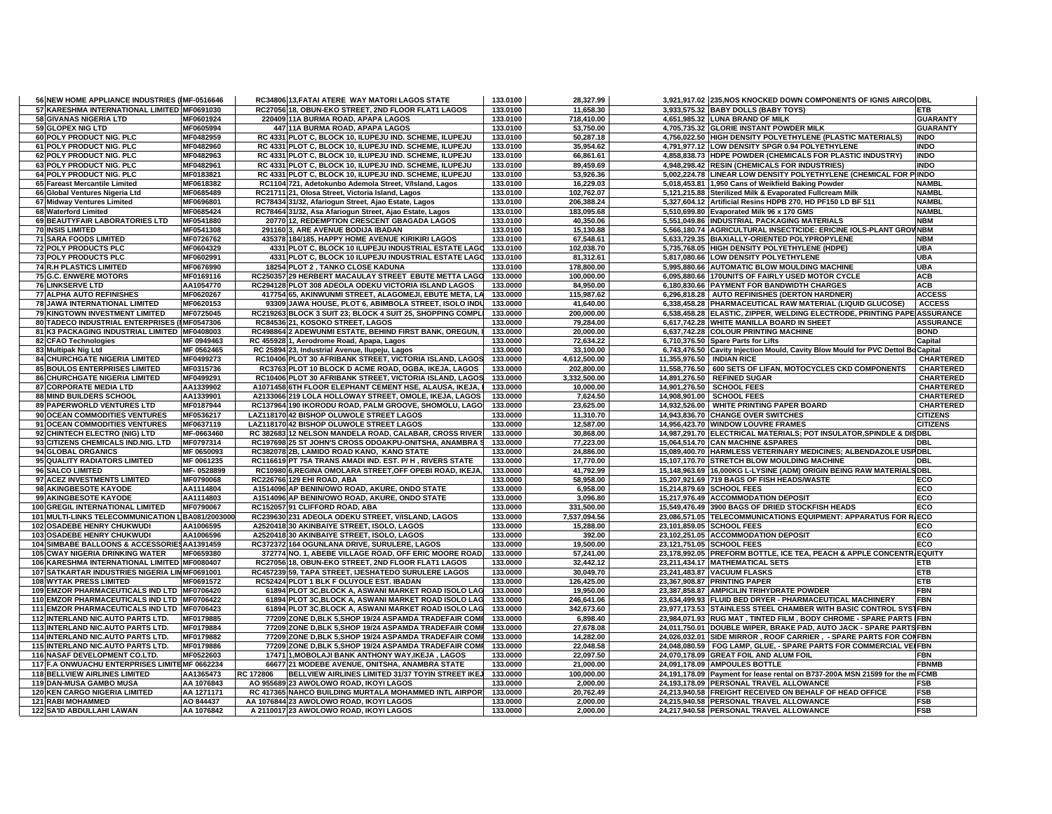| 56 NEW HOME APPLIANCE INDUSTRIES (IMF-0516646     |            |           | RC34806 13, FATAI ATERE WAY MATORI LAGOS STATE             | 133.0100 | 28,327.99    | 3,921,917.02 235, NOS KNOCKED DOWN COMPONENTS OF IGNIS AIRCO DBL                 |                  |
|---------------------------------------------------|------------|-----------|------------------------------------------------------------|----------|--------------|----------------------------------------------------------------------------------|------------------|
| 57 KARESHMA INTERNATIONAL LIMITED MF0691030       |            |           | RC27056 18, OBUN-EKO STREET, 2ND FLOOR FLAT1 LAGOS         | 133.0100 | 11,658.30    | 3,933,575.32 BABY DOLLS (BABY TOYS)                                              | <b>ETB</b>       |
| 58 GIVANAS NIGERIA LTD                            | MF0601924  |           | 220409 11A BURMA ROAD, APAPA LAGOS                         | 133.0100 | 718.410.00   | 4,651,985.32 LUNA BRAND OF MILK                                                  | <b>GUARANTY</b>  |
| 59 GLOPEX NIG LTD                                 | MF0605994  |           | 447 11A BURMA ROAD, APAPA LAGOS                            | 133.0100 | 53,750.00    | 4,705,735.32 GLORIE INSTANT POWDER MILK                                          | <b>GUARANTY</b>  |
| 60 POLY PRODUCT NIG. PLC                          | MF0482959  |           | RC 4331 PLOT C, BLOCK 10, ILUPEJU IND. SCHEME, ILUPEJU     | 133.0100 | 50,287.18    | 4,756,022.50 HIGH DENSITY POLYETHYLENE (PLASTIC MATERIALS)                       | <b>INDO</b>      |
| 61 POLY PRODUCT NIG. PLC                          | MF0482960  |           | RC 4331 PLOT C, BLOCK 10, ILUPEJU IND. SCHEME, ILUPEJU     | 133.0100 | 35,954.62    | 4,791,977.12 LOW DENSITY SPGR 0.94 POLYETHYLENE                                  | <b>INDO</b>      |
| 62 POLY PRODUCT NIG. PLC                          | MF0482963  |           | RC 4331 PLOT C, BLOCK 10, ILUPEJU IND. SCHEME, ILUPEJU     | 133.0100 | 66,861.61    | 4,858,838.73 HDPE POWDER (CHEMICALS FOR PLASTIC INDUSTRY)                        | <b>INDO</b>      |
| 63 POLY PRODUCT NIG. PLC                          | MF0482961  |           | RC 4331 PLOT C, BLOCK 10, ILUPEJU IND. SCHEME, ILUPEJU     | 133.0100 | 89,459.69    | 4,948,298.42 RESIN (CHEMICALS FOR INDUSTRIES)                                    | <b>INDO</b>      |
| 64 POLY PRODUCT NIG. PLC                          | MF0183821  |           | RC 4331 PLOT C, BLOCK 10, ILUPEJU IND. SCHEME, ILUPEJU     | 133.0100 | 53,926.36    | 5,002,224.78 LINEAR LOW DENSITY POLYETHYLENE (CHEMICAL FOR PINDO                 |                  |
| 65 Fareast Mercantile Limited                     | MF0618382  |           | RC1104 721, Adetokunbo Ademola Street, V/Island, Lagos     | 133.0100 | 16,229.03    | 5,018,453.81 1,950 Cans of Weikfield Baking Powder                               | <b>NAMBI</b>     |
| 66 Global Ventures Nigeria Ltd                    | MF0685489  |           | RC21711 21, Olosa Street, Victoria Island, Lagos           | 133.0100 | 102,762.07   | 5,121,215.88 Sterilized Milk & Evaporated Fullcream Milk                         | <b>NAMBL</b>     |
| 67 Midway Ventures Limited                        | MF0696801  |           | RC78434 31/32, Afariogun Street, Ajao Estate, Lagos        | 133.0100 | 206.388.24   | 5.327.604.12 Artificial Resins HDPB 270. HD PF150 LD BF 511                      | <b>NAMBL</b>     |
| 68 Waterford Limited                              | MF0685424  |           | RC78464 31/32, Asa Afariogun Street, Ajao Estate, Lagos    | 133.0100 | 183,095.68   | 5,510,699.80 Evaporated Milk 96 x 170 GMS                                        | <b>NAMBL</b>     |
| 69 BEAUTYFAIR LABORATORIES LTD                    | MF0541880  |           | 20770 12, REDEMPTION CRESCENT GBAGADA LAGOS                | 133.0100 | 40,350.06    | 5,551,049.86 INDUSTRIAL PACKAGING MATERIALS                                      | <b>NBM</b>       |
| <b>70 INSIS LIMITED</b>                           | MF0541308  |           | 291160 3, ARE AVENUE BODIJA IBADAN                         | 133.0100 | 15,130.88    | 5,566,180.74 AGRICULTURAL INSECTICIDE: ERICINE IOLS-PLANT GROVNBM                |                  |
| <b>71 SARA FOODS LIMITED</b>                      | MF0726762  |           | 435378 184/185, HAPPY HOME AVENUE KIRIKIRI LAGOS           | 133.0100 | 67.548.61    | 5,633,729.35 BIAXIALLY-ORIENTED POLYPROPYLENE                                    | <b>NBM</b>       |
| 72 POLY PRODUCTS PLC                              | MF0604329  |           | 4331 PLOT C, BLOCK 10 ILUPEJU INDUSTRIAL ESTATE LAGO       | 133.0100 | 102,038.70   | 5,735,768.05 HIGH DENSITY POLYETHYLENE (HDPE)                                    | <b>UBA</b>       |
| 73 POLY PRODUCTS PLC                              | MF0602991  |           | 4331 PLOT C, BLOCK 10 ILUPEJU INDUSTRIAL ESTATE LAGO       | 133.0100 | 81,312.61    | 5,817,080.66 LOW DENSITY POLYETHYLENE                                            | <b>UBA</b>       |
| <b>74 R.H PLASTICS LIMITED</b>                    | MF0676990  |           | 18254 PLOT 2, TANKO CLOSE KADUNA                           | 133.0100 | 178,800.00   | 5,995,880.66 AUTOMATIC BLOW MOULDING MACHINE                                     | <b>UBA</b>       |
| <b>75 G.C. ENWERE MOTORS</b>                      | MF0169116  |           | RC250357 29 HERBERT MACAULAY STREET EBUTE METTA LAGO       | 133.0000 | 100,000.00   | 6,095,880.66 170UNITS OF FAIRLY USED MOTOR CYCLE                                 | <b>ACB</b>       |
| <b>76 LINKSERVE LTD</b>                           | AA1054770  |           | RC294128 PLOT 308 ADEOLA ODEKU VICTORIA ISLAND LAGOS       | 133.0000 | 84,950.00    | 6.180.830.66 PAYMENT FOR BANDWIDTH CHARGES                                       | <b>ACB</b>       |
| 77 ALPHA AUTO REFINISHES                          | MF0620267  |           | 417754 65, AKINWUNMI STREET, ALAGOMEJI, EBUTE META, LA     | 133.0000 | 115,987.62   | 6,296,818.28 AUTO REFINISHES (DERTON HARDNER)                                    | <b>ACCESS</b>    |
| 78 JAWA INTERNATIONAL LIMITED                     | MF0620153  |           | 93309 JAWA HOUSE, PLOT 6, ABIMBOLA STREET, ISOLO INDU      | 133.0000 | 41,640.00    | 6,338,458.28 PHARMACEUTICAL RAW MATERIAL (LIQUID GLUCOSE)                        | <b>ACCESS</b>    |
| 79 KINGTOWN INVESTMENT LIMITED                    | MF0725045  |           | RC219263 BLOCK 3 SUIT 23; BLOCK 4 SUIT 25, SHOPPING COMPLI | 133.0000 | 200,000.00   | 6,538,458.28 ELASTIC, ZIPPER, WELDING ELECTRODE, PRINTING PAPE ASSURANCE         |                  |
| 80 TADECO INDUSTRIAL ENTERPRISES (IMF0547306      |            |           | RC84536 21, KOSOKO STREET, LAGOS                           | 133.0000 | 79.284.00    | 6,617,742.28 WHITE MANILLA BOARD IN SHEET                                        | <b>ASSURANCE</b> |
| 81 K3 PACKAGING INDUSTRIAL LIMITED MF0408003      |            |           | RC498864 2 ADEWUNMI ESTATE, BEHIND FIRST BANK, OREGUN,     | 133.0000 | 20,000.00    | 6,637,742.28 COLOUR PRINTING MACHINE                                             | <b>BOND</b>      |
| 82 CFAO Technologies                              | MF 0949463 |           | RC 455928 1, Aerodrome Road, Apapa, Lagos                  | 133.0000 | 72,634.22    | 6,710,376.50 Spare Parts for Lifts                                               | Capital          |
| 83 Multipak Nig Ltd                               | MF 0562465 |           | RC 25894 23, Industrial Avenue, Ilupeju, Lagos             | 133.0000 | 33,100.00    | 6,743,476.50 Cavity Injection Mould, Cavity Blow Mould for PVC Dettol Bd Capital |                  |
| <b>84 CHURCHGATE NIGERIA LIMITED</b>              | MF0499273  |           | RC10406 PLOT 30 AFRIBANK STREET, VICTORIA ISLAND, LAGOS    | 133.0000 | 4,612,500.00 | 11,355,976.50   INDIAN RICE                                                      | CHARTERED        |
| 85 BOULOS ENTERPRISES LIMITED                     | MF0315736  |           | RC3763 PLOT 10 BLOCK D ACME ROAD, OGBA, IKEJA, LAGOS       | 133.0000 | 202,800.00   | 11,558,776.50 600 SETS OF LIFAN, MOTOCYCLES CKD COMPONENTS                       | <b>CHARTERED</b> |
| <b>86 CHURCHGATE NIGERIA LIMITED</b>              | MF0499291  |           | RC10406 PLOT 30 AFRIBANK STREET, VICTORIA ISLAND, LAGOS    | 133.0000 | 3,332,500.00 | 14,891,276.50 REFINED SUGAR                                                      | <b>CHARTERED</b> |
| <b>87 CORPORATE MEDIA LTD</b>                     | AA1339902  |           | A1071458 6TH FLOOR ELEPHANT CEMENT HSE, ALAUSA, IKEJA,     | 133.0000 | 10,000.00    | 14,901,276.50 SCHOOL FEES                                                        | <b>CHARTERED</b> |
| 88 MIND BUILDERS SCHOOL                           | AA1339901  |           | A2133066 219 LOLA HOLLOWAY STREET, OMOLE, IKEJA, LAGOS     | 133.0000 | 7,624.50     | 14,908,901.00 SCHOOL FEES                                                        | <b>CHARTERED</b> |
| 89 PAPERWORLD VENTURES LTD                        | MF0187944  |           | RC137964 190 IKORODU ROAD, PALM GROOVE, SHOMOLU, LAGO      | 133.0000 | 23,625.00    | 14,932,526.00 WHITE PRINTING PAPER BOARD                                         | <b>CHARTERED</b> |
| 90 OCEAN COMMODITIES VENTURES                     | MF0536217  |           | LAZ118170 42 BISHOP OLUWOLE STREET LAGOS                   | 133.0000 | 11,310.70    | 14,943,836.70 CHANGE OVER SWITCHES                                               | <b>CITIZENS</b>  |
| 91 OCEAN COMMODITIES VENTURES                     | MF0637119  |           | LAZ118170 42 BISHOP OLUWOLE STREET LAGOS                   | 133.0000 | 12,587.00    | 14,956,423.70 WINDOW LOUVRE FRAMES                                               | <b>CITIZENS</b>  |
| 92 CHINTECH ELECTRO (NIG) LTD                     | MF-0663460 |           | RC 382683 12 NELSON MANDELA ROAD, CALABAR, CROSS RIVER     | 133.0000 | 30,868.00    | 14,987,291.70 ELECTRICAL MATERIALS; POT INSULATOR, SPINDLE & DISDBL              |                  |
| 93 CITIZENS CHEMICALS IND.NIG. LTD                | MF0797314  |           | RC197698 25 ST JOHN'S CROSS ODOAKPU-ONITSHA, ANAMBRA S     | 133.0000 | 77,223.00    | 15,064,514.70 CAN MACHINE &SPARES                                                | <b>DBL</b>       |
| 94 GLOBAL ORGANICS                                | MF 0650093 |           | RC382078 2B, LAMIDO ROAD KANO, KANO STATE                  | 133.0000 | 24,886.00    | 15,089,400.70 HARMLESS VETERINARY MEDICINES; ALBENDAZOLE USPDBL                  |                  |
| 95 QUALITY RADIATORS LIMITED                      | MF 0061235 |           | RC116619 PT 75A TRANS AMADI IND. EST. P/H, RIVERS STATE    | 133.0000 | 17.770.00    | 15.107.170.70 STRETCH BLOW MOULDING MACHINE                                      | <b>DBL</b>       |
| 96 SALCO LIMITED                                  | MF-0528899 |           | RC10980 6,REGINA OMOLARA STREET, OFF OPEBI ROAD, IKEJA,    | 133.0000 | 41,792.99    | 15,148,963.69 16,000KG L-LYSINE (ADM) ORIGIN BEING RAW MATERIALS DBL             |                  |
| 97 ACEZ INVESTMENTS LIMITED                       | MF0790068  |           | RC226766 129 EHI ROAD, ABA                                 | 133.0000 | 58,958.00    | 15,207,921.69 719 BAGS OF FISH HEADS/WASTE                                       | ECO              |
| 98 AKINGBESOTE KAYODE                             | AA1114804  |           | A1514096 AP BENIN/OWO ROAD, AKURE, ONDO STATE              | 133.0000 | 6,958.00     | 15,214,879.69 SCHOOL FEES                                                        | ECO              |
| 99 AKINGBESOTE KAYODE                             | AA1114803  |           | A1514096 AP BENIN/OWO ROAD, AKURE, ONDO STATE              | 133.0000 | 3,096.80     | 15,217,976.49 ACCOMMODATION DEPOSIT                                              | ECO              |
| 100 GREGIL INTERNATIONAL LIMITED                  | MF0790067  |           | RC152057 91 CLIFFORD ROAD, ABA                             | 133.0000 | 331,500.00   | 15,549,476.49 3900 BAGS OF DRIED STOCKFISH HEADS                                 | ECO              |
| 101 MULTI-LINKS TELECOMMUNICATION L BA081/2003000 |            |           | RC239630 231 ADEOLA ODEKU STREET, V/ISLAND, LAGOS          | 133.0000 | 7,537,094.56 | 23,086,571.05 TELECOMMUNICATIONS EQUIPMENT: APPARATUS FOR R ECO                  |                  |
| 102 OSADEBE HENRY CHUKWUDI                        | AA1006595  |           | A2520418 30 AKINBAIYE STREET, ISOLO, LAGOS                 | 133.0000 | 15.288.00    | 23,101,859.05 SCHOOL FEES                                                        | ECO              |
| 103 OSADEBE HENRY CHUKWUDI                        | AA1006596  |           | A2520418 30 AKINBAIYE STREET, ISOLO, LAGOS                 | 133.0000 | 392.00       | 23,102,251.05 ACCOMMODATION DEPOSIT                                              | ECO              |
| 104 SIMBABE BALLOONS & ACCESSORIES AA1391459      |            |           | RC372372 164 OGUNLANA DRIVE, SURULERE, LAGOS               | 133.0000 | 19.500.00    | 23,121,751.05 SCHOOL FEES                                                        | ECO              |
| <b>105 CWAY NIGERIA DRINKING WATER</b>            | MF0659380  |           | 372774 NO. 1, ABEBE VILLAGE ROAD, OFF ERIC MOORE ROAD,     | 133.0000 | 57,241.00    | 23,178,992.05 PREFORM BOTTLE, ICE TEA, PEACH & APPLE CONCENTR, EQUITY            |                  |
| 106 KARESHMA INTERNATIONAL LIMITED MF0080407      |            |           | RC27056 18, OBUN-EKO STREET, 2ND FLOOR FLAT1 LAGOS         | 133.0000 | 32.442.12    | 23.211.434.17 MATHEMATICAL SETS                                                  | <b>ETB</b>       |
| 107 SATKARTAR INDUSTRIES NIGERIA LIMMF0691001     |            |           | RC457239 59, TAPA STREET, IJESHATEDO SURULERE LAGOS        | 133.0000 | 30,049.70    | 23,241,483.87 VACUUM FLASKS                                                      | <b>ETB</b>       |
| <b>108 WYTAK PRESS LIMITED</b>                    | MF0691572  |           | RC52424 PLOT 1 BLK F OLUYOLE EST. IBADAN                   | 133.0000 | 126,425.00   | 23,367,908.87 PRINTING PAPER                                                     | <b>ETB</b>       |
| 109 EMZOR PHARMACEUTICALS IND LTD MF0706420       |            |           | 61894 PLOT 3C, BLOCK A, ASWANI MARKET ROAD ISOLO LAG       | 133.0000 | 19,950.00    | 23,387,858.87 AMPICILIN TRIHYDRATE POWDER                                        | <b>FBN</b>       |
| 110 EMZOR PHARMACEUTICALS IND LTD MF0706422       |            |           | 61894 PLOT 3C, BLOCK A, ASWANI MARKET ROAD ISOLO LAG       | 133.0000 | 246,641.06   | 23,634,499.93 FLUID BED DRYER - PHARMACEUTICAL MACHINERY                         | <b>FBN</b>       |
| 111 EMZOR PHARMACEUTICALS IND LTD MF0706423       |            |           | 61894 PLOT 3C, BLOCK A, ASWANI MARKET ROAD ISOLO LAG       | 133.0000 | 342,673.60   | 23,977,173.53 STAINLESS STEEL CHAMBER WITH BASIC CONTROL SYSTEBN                 |                  |
| 112 INTERLAND NIC.AUTO PARTS LTD.                 | MF0179885  |           | 77209 ZONE D.BLK 5.SHOP 19/24 ASPAMDA TRADEFAIR COMP       | 133.0000 | 6,898.40     | 23,984,071.93 RUG MAT, TINTED FILM, BODY CHROME - SPARE PARTS FBN                |                  |
| 113 INTERLAND NIC.AUTO PARTS LTD.                 | MF0179884  |           | 77209 ZONE D, BLK 5, SHOP 19/24 ASPAMDA TRADEFAIR COMP     | 133.0000 | 27,678.08    | 24,011,750.01 DOUBLE WIPER, BRAKE PAD, AUTO JACK - SPARE PARTS FBN               |                  |
| 114 INTERLAND NIC.AUTO PARTS LTD.                 | MF0179882  |           | 77209 ZONE D.BLK 5.SHOP 19/24 ASPAMDA TRADEFAIR COMP       | 133.0000 | 14,282.00    | 24,026,032.01 SIDE MIRROR, ROOF CARRIER, - SPARE PARTS FOR CONFBN                |                  |
| 115 INTERLAND NIC.AUTO PARTS LTD.                 | MF0179886  |           | 77209 ZONE D.BLK 5.SHOP 19/24 ASPAMDA TRADEFAIR COMP       | 133.0000 | 22.048.58    | 24,048,080.59 FOG LAMP, GLUE, - SPARE PARTS FOR COMMERCIAL VEIFBN                |                  |
| 116 NASAF DEVELOPMENT CO.LTD.                     | MF0522603  |           | 17471 1, MOBOLAJI BANK ANTHONY WAY, IKEJA, LAGOS           | 133.0000 | 22,097.50    | 24,070,178.09 GREAT FOIL AND ALUM FOIL                                           | <b>FBN</b>       |
| 117 F.A ONWUACHU ENTERPRISES LIMITEMF 0662234     |            |           | 66677 21 MODEBE AVENUE, ONITSHA, ANAMBRA STATE             | 133.0000 | 21,000.00    | 24,091,178.09 AMPOULES BOTTLE                                                    | <b>FBNMB</b>     |
| <b>118 BELLVIEW AIRLINES LIMITED</b>              | AA1365473  | RC 172806 | BELLVIEW AIRLINES LIMITED 31/37 TOYIN STREET IKE.          | 133.0000 | 100,000.00   | 24,191,178.09 Payment for lease rental on B737-200A MSN 21599 for the m FCMB     |                  |
| 119 DAN-MUSA GAMBO MUSA                           | AA 1076843 |           | AO 955689 23 AWOLOWO ROAD, IKOYI LAGOS                     | 133.0000 | 2,000.00     | 24,193,178.09 PERSONAL TRAVEL ALLOWANCE                                          | <b>FSB</b>       |
| 120 KEN CARGO NIGERIA LIMITED                     | AA 1271171 |           | RC 417365 NAHCO BUILDING MURTALA MOHAMMED INTL AIRPORT     | 133.0000 | 20,762.49    | 24,213,940.58 FREIGHT RECEIVED ON BEHALF OF HEAD OFFICE                          | <b>FSB</b>       |
| <b>121 RABI MOHAMMED</b>                          | AO 844437  |           | AA 1076844 23 AWOLOWO ROAD, IKOYI LAGOS                    | 133.0000 | 2,000.00     | 24,215,940.58 PERSONAL TRAVEL ALLOWANCE                                          | <b>FSB</b>       |
| 122 SA'ID ABDULLAHI LAWAN                         | AA 1076842 |           | A 2110017 23 AWOLOWO ROAD, IKOYI LAGOS                     | 133.0000 | 2.000.00     | 24,217,940.58 PERSONAL TRAVEL ALLOWANCE                                          | <b>FSB</b>       |
|                                                   |            |           |                                                            |          |              |                                                                                  |                  |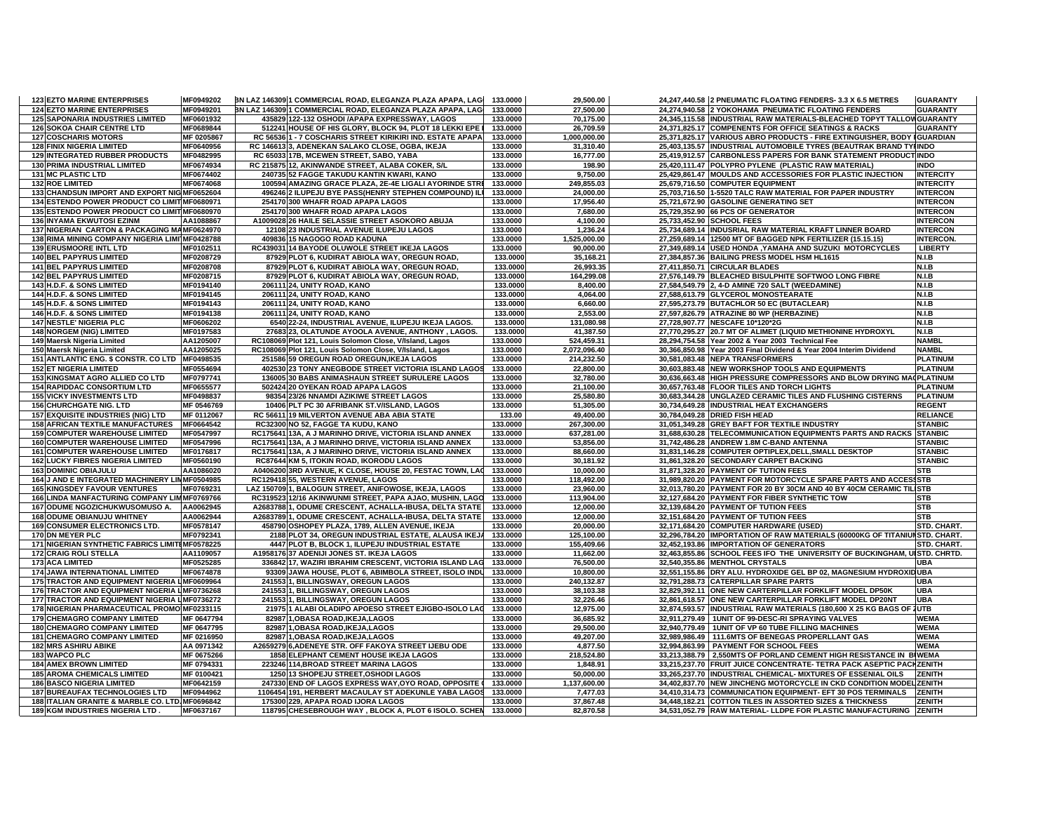| <b>123 EZTO MARINE ENTERPRISES</b>              | MF0949202              | BN LAZ 146309 1 COMMERCIAL ROAD, ELEGANZA PLAZA APAPA, LAG | 133.0000             | 29,500.00    | 24,247,440.58 2 PNEUMATIC FLOATING FENDERS- 3.3 X 6.5 METRES               | <b>GUARANTY</b>  |
|-------------------------------------------------|------------------------|------------------------------------------------------------|----------------------|--------------|----------------------------------------------------------------------------|------------------|
| <b>124 EZTO MARINE ENTERPRISES</b>              | MF0949201              | BN LAZ 146309 1 COMMERCIAL ROAD, ELEGANZA PLAZA APAPA, LAG | 133.0000             | 27,500.00    | 24,274,940.58 2 YOKOHAMA PNEUMATIC FLOATING FENDERS                        | <b>GUARANTY</b>  |
| <b>125 SAPONARIA INDUSTRIES LIMITED</b>         | MF0601932              | 435829 122-132 OSHODI / APAPA EXPRESSWAY, LAGOS            | 133.0000             | 70,175.00    | 24,345,115.58 INDUSTRIAL RAW MATERIALS-BLEACHED TOPYT TALLOW GUARANTY      |                  |
| <b>126 SOKOA CHAIR CENTRE LTD</b>               | MF0689844              | 512241 HOUSE OF HIS GLORY, BLOCK 94, PLOT 18 LEKKI EPE     | 133.0000             | 26,709.59    | 24,371,825.17 COMPENENTS FOR OFFICE SEATINGS & RACKS                       | <b>GUARANTY</b>  |
| <b>127 COSCHARIS MOTORS</b>                     | MF 0205867             | RC 56536 1 - 7 COSCHARIS STREET KIRIKIRI IND. ESTATE APAPA | 133.0000             | 1,000,000.00 | 25,371,825.17 VARIOUS ABRO PRODUCTS - FIRE EXTINGUISHER, BODY I GUARDIAN   |                  |
| <b>128 FINIX NIGERIA LIMITED</b>                | MF0640956              | RC 146613 3, ADENEKAN SALAKO CLOSE, OGBA, IKEJA            | 133.0000             | 31,310.40    | 25,403,135.57 INDUSTRIAL AUTOMOBILE TYRES (BEAUTRAK BRAND TYIINDO          |                  |
| <b>129 INTEGRATED RUBBER PRODUCTS</b>           | MF0482995              | RC 65033 17B, MCEWEN STREET, SABO, YABA                    | 133.0000             | 16.777.00    | 25,419,912.57 CARBONLESS PAPERS FOR BANK STATEMENT PRODUCTINDO             |                  |
| 130 PRIMA INDUSTRIAL LIMITED                    | MF0674934              | RC 215875 12, AKINWANDE STREET, ALABA COKER, S/L           | 133.0000             | 198.90       | 25,420,111.47 POLYPRO PYLENE (PLASTIC RAW MATERIAL)                        | <b>INDO</b>      |
| 131 MC PLASTIC LTD                              | MF0674402              | 240735 52 FAGGE TAKUDU KANTIN KWARI, KANO                  | 133.0000             | 9,750.00     | 25,429,861.47 MOULDS AND ACCESSORIES FOR PLASTIC INJECTION                 | <b>INTERCITY</b> |
| <b>132 ROE LIMITED</b>                          | MF0674068              | 100594 AMAZING GRACE PLAZA, 2E-4E LIGALI AYORINDE STRI     | 133.0000             | 249,855.03   | 25,679,716.50 COMPUTER EQUIPMENT                                           | <b>INTERCITY</b> |
| 133 CHANDSUN IMPORT AND EXPORT NIG MF0652604    |                        | 496246 2 ILUPEJU BYE PASS(HENRY STEPHEN COMPOUND) ILI      | 133.0000             | 24,000.00    | 25,703,716.50 1-5520 TALC RAW MATERIAL FOR PAPER INDUSTRY                  | <b>INTERCON</b>  |
| 134 ESTENDO POWER PRODUCT CO LIMIT MF0680971    |                        | 254170 300 WHAFR ROAD APAPA LAGOS                          | 133.0000             | 17,956.40    | 25,721,672.90 GASOLINE GENERATING SET                                      | <b>INTERCON</b>  |
| 135 ESTENDO POWER PRODUCT CO LIMIT MF0680970    |                        | 254170 300 WHAFR ROAD APAPA LAGOS                          | 133.0000             | 7,680.00     | 25,729,352.90 66 PCS OF GENERATOR                                          | <b>INTERCON</b>  |
| 136 INYAMA EKWUTOSI EZINM                       | AA1088867              | A1009028 26 HAILE SELASSIE STREET ASOKORO ABUJA            | 133.0000             | 4,100.00     | 25,733,452.90 SCHOOL FEES                                                  | <b>INTERCON</b>  |
| 137 NIGERIAN CARTON & PACKAGING MAMF0624970     |                        | 12108 23 INDUSTRIAL AVENUE ILUPEJU LAGOS                   | 133.0000             | 1,236.24     | 25,734,689.14 INDUSRIAL RAW MATERIAL KRAFT LINNER BOARD                    | <b>INTERCON</b>  |
| 138 RIMA MINING COMPANY NIGERIA LIMITMF0428788  |                        | 409836 15 NAGOGO ROAD KADUNA                               | 133.0000             | 1,525,000.00 | 27,259,689.14 12500 MT OF BAGGED NPK FERTILIZER (15.15.15)                 | <b>INTERCON.</b> |
| <b>139 ERUSMOORE INTL LTD</b>                   | MF0102511              | RC439031 14 BAYODE OLUWOLE STREET IKEJA LAGOS              | 133.0000             | 90,000.00    | 27,349,689.14 USED HONDA , YAMAHA AND SUZUKI MOTORCYCLES                   | <b>LIBERTY</b>   |
| <b>140 BEL PAPYRUS LIMITED</b>                  | MF0208729              | 87929 PLOT 6, KUDIRAT ABIOLA WAY, OREGUN ROAD,             | 133.0000             | 35,168.21    | 27,384,857.36 BAILING PRESS MODEL HSM HL1615                               | <b>N.I.B</b>     |
| <b>141 BEL PAPYRUS LIMITED</b>                  | MF0208708              | 87929 PLOT 6, KUDIRAT ABIOLA WAY, OREGUN ROAD,             | 133.0000             | 26,993.35    | 27,411,850.71 CIRCULAR BLADES                                              | N.I.B            |
| <b>142 BEL PAPYRUS LIMITED</b>                  | MF0208715              | 87929 PLOT 6, KUDIRAT ABIOLA WAY, OREGUN ROAD,             | 133.0000             | 164.299.08   | 27,576,149.79 BLEACHED BISULPHITE SOFTWOO LONG FIBRE                       | <b>N.I.B</b>     |
| 143 H.D.F. & SONS LIMITED                       | MF0194140              | 206111 24, UNITY ROAD, KANO                                | 133.0000             | 8,400.00     | 27,584,549.79 2, 4-D AMINE 720 SALT (WEEDAMINE)                            | N.I.B            |
| 144 H.D.F. & SONS LIMITED                       | MF0194145              | 206111 24, UNITY ROAD, KANO                                | 133.0000             | 4,064.00     | 27,588,613.79 GLYCEROL MONOSTEARATE                                        | N.I.B            |
|                                                 |                        |                                                            |                      |              |                                                                            | N.I.B            |
| 145 H.D.F. & SONS LIMITED                       | MF0194143<br>MF0194138 | 206111 24, UNITY ROAD, KANO                                | 133.0000<br>133.0000 | 6,660.00     | 27,595,273.79 BUTACHLOR 50 EC (BUTACLEAR)                                  | N.I.B            |
| 146 H.D.F. & SONS LIMITED                       |                        | 206111 24, UNITY ROAD, KANO                                |                      | 2,553.00     | 27,597,826.79 ATRAZINE 80 WP (HERBAZINE)                                   |                  |
| <b>147 NESTLE' NIGERIA PLC</b>                  | MF0606202              | 6540 22-24, INDUSTRIAL AVENUE, ILUPEJU IKEJA LAGOS.        | 133.0000             | 131,080.98   | 27,728,907.77 NESCAFE 10*120*2G                                            | N.I.B            |
| <b>148 NORGEM (NIG) LIMITED</b>                 | MF0197583              | 27683 23, OLATUNDE AYOOLA AVENUE, ANTHONY, LAGOS.          | 133.0000             | 41,387.50    | 27,770,295.27 20.7 MT OF ALIMET (LIQUID METHIONINE HYDROXYL                | N.I.B            |
| 149 Maersk Nigeria Limited                      | AA1205007              | RC108069 Plot 121, Louis Solomon Close, V/Island, Lagos    | 133.0000             | 524,459.31   | 28,294,754.58 Year 2002 & Year 2003 Technical Fee                          | <b>NAMBL</b>     |
| 150 Maersk Nigeria Limited                      | AA1205025              | RC108069 Plot 121, Louis Solomon Close, V/Island, Lagos    | 133.0000             | 2,072,096.40 | 30,366,850.98 Year 2003 Final Dividend & Year 2004 Interim Dividend        | <b>NAMBL</b>     |
| 151 ANTLANTIC ENG. \$ CONSTR. CO LTD            | MF0498535              | 251586 59 OREGUN ROAD OREGUN, IKEJA LAGOS                  | 133.0000             | 214,232.50   | 30,581,083.48 NEPA TRANSFORMERS                                            | <b>PLATINUM</b>  |
| <b>152 ET NIGERIA LIMITED</b>                   | MF0554694              | 402530 23 TONY ANEGBODE STREET VICTORIA ISLAND LAGOS       | 133.0000             | 22,800.00    | 30,603,883.48 NEW WORKSHOP TOOLS AND EQUIPMENTS                            | <b>PLATINUM</b>  |
| 153 KINGSMAT AGRO ALLIED CO LTD                 | MF0797741              | 136005 30 BABS ANIMASHAUN STREET SURULERE LAGOS            | 133.0000             | 32,780.00    | 30,636,663.48 HIGH PRESSURE COMPRESSORS AND BLOW DRYING MA(PLATINUM        |                  |
| <b>154 RAPIDDAC CONSORTIUM LTD</b>              | MF0655577              | 502424 20 OYEKAN ROAD APAPA LAGOS                          | 133.0000             | 21,100.00    | 30,657,763.48 FLOOR TILES AND TORCH LIGHTS                                 | <b>PLATINUM</b>  |
| <b>155 VICKY INVESTMENTS LTD</b>                | MF0498837              | 98354 23/26 NNAMDI AZIKIWE STREET LAGOS                    | 133.0000             | 25,580.80    | 30,683,344.28 UNGLAZED CERAMIC TILES AND FLUSHING CISTERNS                 | <b>PLATINUM</b>  |
| <b>156 CHURCHGATE NIG. LTD</b>                  | MF 0546769             | 10406 PLT PC 30 AFRIBANK ST.V/ISLAND, LAGOS                | 133.0000             | 51,305.00    | 30,734,649.28 INDUSTRIAL HEAT EXCHANGERS                                   | <b>REGENT</b>    |
| 157 EXQUISITE INDUSTRIES (NIG) LTD              | MF 0112067             | RC 56611 19 MILVERTON AVENUE ABA ABIA STATE                | 133.00               | 49,400.00    | 30,784,049.28 DRIED FISH HEAD                                              | <b>RELIANCE</b>  |
| <b>158 AFRICAN TEXTILE MANUFACTURES</b>         | MF0664542              | RC32300 NO 52, FAGGE TA KUDU, KANO                         | 133.0000             | 267,300.00   | 31,051,349.28 GREY BAFT FOR TEXTILE INDUSTRY                               | <b>STANBIC</b>   |
| <b>159 COMPUTER WAREHOUSE LIMITED</b>           | MF0547997              | RC175641 13A, A J MARINHO DRIVE, VICTORIA ISLAND ANNEX     | 133.0000             | 637,281.00   | 31,688,630.28 TELECOMMUNICATION EQUIPMENTS PARTS AND RACKS STANBIC         |                  |
| <b>160 COMPUTER WAREHOUSE LIMITED</b>           | MF0547996              | RC175641 13A, A J MARINHO DRIVE, VICTORIA ISLAND ANNEX     | 133.0000             | 53,856.00    | 31,742,486.28 ANDREW 1.8M C-BAND ANTENNA                                   | <b>STANBIC</b>   |
| <b>161 COMPUTER WAREHOUSE LIMITED</b>           | MF0176817              | RC175641 13A. A J MARINHO DRIVE. VICTORIA ISLAND ANNEX     | 133.0000             | 88,660.00    | 31,831,146.28 COMPUTER OPTIPLEX, DELL, SMALL DESKTOP                       | <b>STANBIC</b>   |
| <b>162 LUCKY FIBRES NIGERIA LIMITED</b>         | MF0560190              | RC87644 KM 5, ITOKIN ROAD, IKORODU LAGOS                   | 133.0000             | 30,181.92    | 31,861,328.20 SECONDARY CARPET BACKING                                     | <b>STANBIC</b>   |
| <b>163 DOMINIC OBIAJULU</b>                     | AA1086020              | A0406200 3RD AVENUE, K CLOSE, HOUSE 20, FESTAC TOWN, LAC   | 133.0000             | 10,000.00    | 31,871,328.20 PAYMENT OF TUTION FEES                                       | <b>STB</b>       |
| 164 J AND E INTEGRATED MACHINERY LIMMF0504985   |                        | RC129418 55, WESTERN AVENUE, LAGOS                         | 133.0000             | 118,492.00   | 31,989,820.20 PAYMENT FOR MOTORCYCLE SPARE PARTS AND ACCESSSTB             |                  |
| <b>165 KINGSDEY FAVOUR VENTURES</b>             | MF0769231              | LAZ 150709 1, BALOGUN STREET, ANIFOWOSE, IKEJA, LAGOS      | 133.0000             | 23,960.00    | 32,013,780.20 PAYMENT FOR 20 BY 30CM AND 40 BY 40CM CERAMIC TILISTB        |                  |
|                                                 |                        |                                                            |                      |              |                                                                            |                  |
| 166 LINDA MANFACTURING COMPANY LIM MF0769766    |                        | RC319523 12/16 AKINWUNMI STREET, PAPA AJAO, MUSHIN, LAGO   | 133.0000             | 113,904.00   | 32,127,684.20 PAYMENT FOR FIBER SYNTHETIC TOW                              | <b>STB</b>       |
| 167 ODUME NGOZICHUKWUSOMUSO A.                  | AA0062945              | A2683788 1, ODUME CRESCENT, ACHALLA-IBUSA, DELTA STATE     | 133.0000             | 12,000.00    | 32,139,684.20 PAYMENT OF TUTION FEES                                       | <b>STB</b>       |
| <b>168 ODUME OBIANUJU WHITNEY</b>               | AA0062944              | A2683789 1, ODUME CRESCENT, ACHALLA-IBUSA, DELTA STATE     | 133.0000             | 12,000.00    | 32,151,684.20 PAYMENT OF TUTION FEES                                       | <b>STB</b>       |
| 169 CONSUMER ELECTRONICS LTD.                   | MF0578147              | 458790 OSHOPEY PLAZA, 1789, ALLEN AVENUE, IKEJA            | 133.0000             | 20,000.00    | 32,171,684.20 COMPUTER HARDWARE (USED)                                     | STD. CHART.      |
| 170 DN MEYER PLC                                | MF0792341              | 2188 PLOT 34, OREGUN INDUSTRIAL ESTATE, ALAUSA IKEJ/       | 133.0000             | 125,100.00   | 32,296,784.20 IMPORTATION OF RAW MATERIALS (60000KG OF TITANIUNSTD. CHART. |                  |
| 171 NIGERIAN SYNTHETIC FABRICS LIMITEMF0578225  |                        | 4447 PLOT B, BLOCK 1, ILUPEJU INDUSTRIAL ESTATE            | 133.0000             | 155,409.66   | 32,452,193.86 IMPORTATION OF GENERATORS                                    | STD. CHART.      |
| <b>172 CRAIG ROLI STELLA</b>                    | AA1109057              | A1958176 37 ADENIJI JONES ST. IKEJA LAGOS                  | 133.0000             | 11,662.00    | 32,463,855.86 SCHOOL FEES IFO THE UNIVERSITY OF BUCKINGHAM, UISTD. CHRTD.  |                  |
| <b>173 ACA LIMITED</b>                          | MF0525285              | 336842 17, WAZIRI IBRAHIM CRESCENT, VICTORIA ISLAND LAG    | 133.0000             | 76,500.00    | 32,540,355.86 MENTHOL CRYSTALS                                             | <b>UBA</b>       |
| 174 JAWA INTERNATIONAL LIMITED                  | MF0674878              | 93309 JAWA HOUSE, PLOT 6, ABIMBOLA STREET, ISOLO INDU      | 133.0000             | 10,800.00    | 32,551,155.86 DRY ALU. HYDROXIDE GEL BP 02, MAGNESIUM HYDROXIDUBA          |                  |
| 175 TRACTOR AND EQUIPMENT NIGERIA L MF0609964   |                        | 241553 1, BILLINGSWAY, OREGUN LAGOS                        | 133.0000             | 240,132.87   | 32,791,288.73 CATERPILLAR SPARE PARTS                                      | <b>UBA</b>       |
| 176 TRACTOR AND EQUIPMENT NIGERIA LMF0736268    |                        | 241553 1, BILLINGSWAY, OREGUN LAGOS                        | 133.0000             | 38,103.38    | 32,829,392.11 ONE NEW CARTERPILLAR FORKLIFT MODEL DP50K                    | <b>UBA</b>       |
| 177 TRACTOR AND EQUIPMENT NIGERIA L MF0736272   |                        | 241553 1, BILLINGSWAY, OREGUN LAGOS                        | 133.0000             | 32,226.46    | 32,861,618.57 ONE NEW CARTERPILLAR FORKLIFT MODEL DP20NT                   | <b>UBA</b>       |
| 178 NIGERIAN PHARMACEUTICAL PROMO MF0233115     |                        | 21975 1 ALABI OLADIPO APOESO STREET EJIGBO-ISOLO LAG       | 133.0000             | 12,975.00    | 32,874,593.57 INDUSTRIAL RAW MATERIALS (180,600 X 25 KG BAGS OF JUTB       |                  |
| <b>179 CHEMAGRO COMPANY LIMITED</b>             | MF 0647794             | 82987 1, OBASA ROAD, IKEJA, LAGOS                          | 133.0000             | 36,685.92    | 32,911,279.49 1UNIT OF 99-DESC-RI SPRAYING VALVES                          | <b>WEMA</b>      |
| <b>180 CHEMAGRO COMPANY LIMITED</b>             | MF 0647795             | 82987 1, OBASA ROAD, IKEJA, LAGOS                          | 133.0000             | 29.500.00    | 32.940.779.49 1UNIT OF VP 60 TUBE FILLING MACHINES                         | <b>WEMA</b>      |
| <b>181 CHEMAGRO COMPANY LIMITED</b>             | MF 0216950             | 82987 1, OBASA ROAD, IKEJA, LAGOS                          | 133.0000             | 49,207.00    | 32,989,986.49 111.6MTS OF BENEGAS PROPERLLANT GAS                          | WEMA             |
| <b>182 MRS ASHIRU ABIKE</b>                     | AA 0971342             | A2659279 6, ADENEYE STR. OFF FAKOYA STREET IJEBU ODE       | 133.0000             | 4,877.50     | 32,994,863.99 PAYMENT FOR SCHOOL FEES                                      | <b>WEMA</b>      |
| 183 WAPCO PLC                                   | MF 0675266             | 1858 ELEPHANT CEMENT HOUSE IKEJA LAGOS                     | 133.0000             | 218,524.80   | 33,213,388.79 2,550MTS OF PORLAND CEMENT HIGH RESISTANCE IN BIWEMA         |                  |
| <b>184 AMEX BROWN LIMITED</b>                   | MF 0794331             | 223246 114, BROAD STREET MARINA LAGOS                      | 133.0000             | 1,848.91     | 33,215,237.70 FRUIT JUICE CONCENTRATE- TETRA PACK ASEPTIC PACHZENITH       |                  |
| <b>185 AROMA CHEMICALS LIMITED</b>              | MF 0100421             | 1250 13 SHOPEJU STREET, OSHODI LAGOS                       | 133.0000             | 50,000.00    | 33,265,237.70 INDUSTRIAL CHEMICAL- MIXTURES OF ESSENIAL OILS               | <b>ZENITH</b>    |
| <b>186 BASCO NIGERIA LIMITED</b>                | MF0642159              | 247330 END OF LAGOS EXPRESS WAY, OYO ROAD, OPPOSITE        | 133.0000             | 1,137,600.00 | 34,402,837.70 NEW JINCHENG MOTORCYCLE IN CKD CONDITION MODEL ZENITH        |                  |
| <b>187 BUREAUFAX TECHNOLOGIES LTD</b>           | MF0944962              | 1106454 191, HERBERT MACAULAY ST ADEKUNLE YABA LAGOS       | 133.0000             | 7,477.03     | 34,410,314.73 COMMUNICATION EQUIPMENT- EFT 30 POS TERMINALS                | <b>ZENITH</b>    |
| 188 ITALIAN GRANITE & MARBLE CO. LTD. MF0696842 |                        | 175300 229, APAPA ROAD IJORA LAGOS                         | 133.0000             | 37,867.48    | 34,448,182.21 COTTON TILES IN ASSORTED SIZES & THICKNESS                   | <b>ZENITH</b>    |
| 189 KGM INDUSTRIES NIGERIA LTD.                 | MF0637167              | 118795 CHESEBROUGH WAY . BLOCK A. PLOT 6 ISOLO, SCHEN      | 133.0000             | 82.870.58    | 34.531.052.79 RAW MATERIAL- LLDPE FOR PLASTIC MANUFACTURING ZENITH         |                  |
|                                                 |                        |                                                            |                      |              |                                                                            |                  |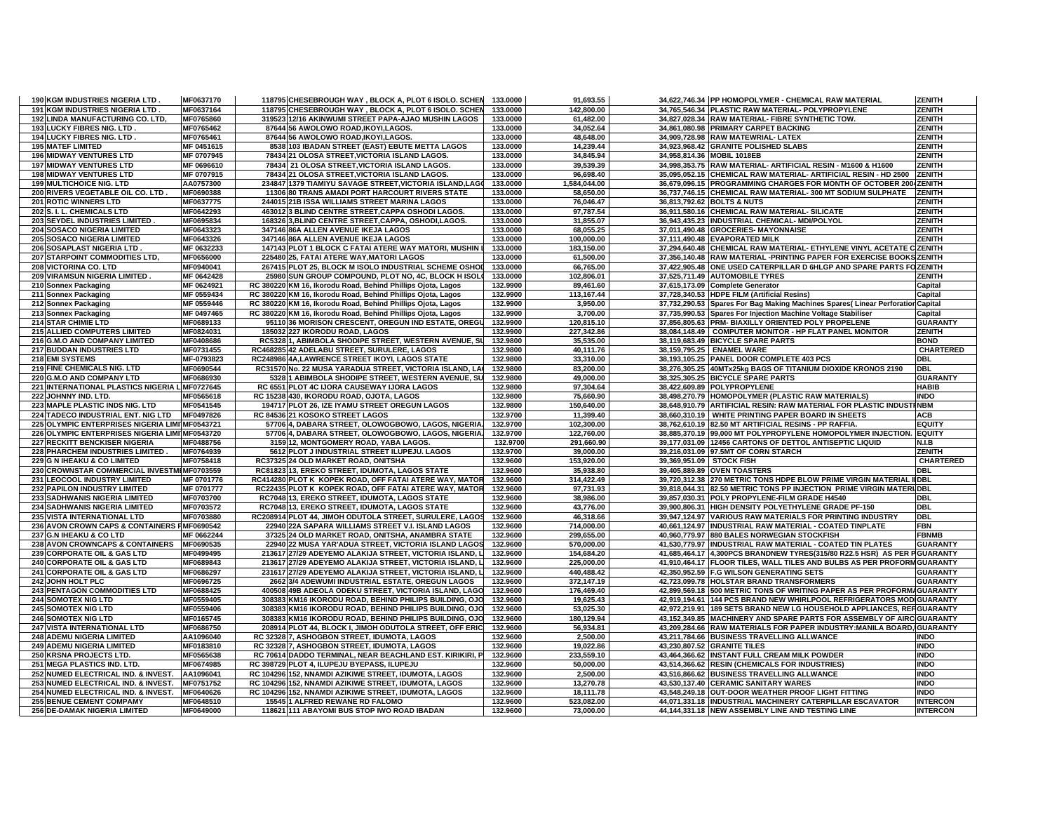| 191 KGM INDUSTRIES NIGERIA LTD.                                 | MF0637170              | 118795 CHESEBROUGH WAY, BLOCK A, PLOT 6 ISOLO. SCHEN                           | 133.0000             | 91,693.55               | 34,622,746.34 PP HOMOPOLYMER - CHEMICAL RAW MATERIAL                                                         | <b>ZENITH</b>                      |
|-----------------------------------------------------------------|------------------------|--------------------------------------------------------------------------------|----------------------|-------------------------|--------------------------------------------------------------------------------------------------------------|------------------------------------|
|                                                                 | MF0637164              | 118795 CHESEBROUGH WAY, BLOCK A, PLOT 6 ISOLO. SCHEN                           | 133.0000             | 142,800.00              | 34,765,546.34 PLASTIC RAW MATERIAL- POLYPROPYLENE                                                            | <b>ZENITH</b>                      |
| 192 LINDA MANUFACTURING CO. LTD,                                | MF0765860              | 319523 12/16 AKINWUMI STREET PAPA-AJAO MUSHIN LAGOS                            | 133.0000             | 61,482.00               | 34,827,028.34 RAW MATERIAL-FIBRE SYNTHETIC TOW.                                                              | <b>ZENITH</b>                      |
| 193 LUCKY FIBRES NIG. LTD                                       | MF0765462              | 87644 56 AWOLOWO ROAD, IKOYI, LAGOS.                                           | 133.0000             | 34,052.64               | 34,861,080.98 PRIMARY CARPET BACKING                                                                         | <b>ZENITH</b>                      |
| 194 LUCKY FIBRES NIG. LTD                                       | MF0765461              | 87644 56 AWOLOWO ROAD, IKOYI, LAGOS.                                           | 133.0000             | 48,648.00               | 34,909,728.98 RAW MATEWRIAL-LATEX                                                                            | <b>ZENITH</b>                      |
| <b>195 MATEF LIMITED</b>                                        | MF 0451615             | 8538 103 IBADAN STREET (EAST) EBUTE METTA LAGOS                                | 133.0000             | 14.239.44               | 34.923.968.42 GRANITE POLISHED SLABS                                                                         | <b>ZENITH</b>                      |
| <b>196 MIDWAY VENTURES LTD</b>                                  | MF 0707945             | 78434 21 OLOSA STREET, VICTORIA ISLAND LAGOS.                                  | 133.0000             | 34,845.94               | 34,958,814.36 MOBIL 1018EB                                                                                   | ZENITH                             |
| <b>197 MIDWAY VENTURES LTD</b>                                  | MF 0696610             | 78434 21 OLOSA STREET, VICTORIA ISLAND LAGOS.                                  | 133.0000             | 39,539.39               | 34,998,353.75 RAW MATERIAL- ARTIFICIAL RESIN - M1600 & H1600                                                 | <b>ZENITH</b>                      |
| <b>198 MIDWAY VENTURES LTD</b>                                  | MF 0707915             | 78434 21 OLOSA STREET, VICTORIA ISLAND LAGOS.                                  | 133.0000             | 96.698.40               | 35,095,052.15 CHEMICAL RAW MATERIAL- ARTIFICIAL RESIN - HD 2500                                              | <b>ZENITH</b>                      |
| <b>199 MULTICHOICE NIG. LTD</b>                                 | AA0757300              | 234847 1379 TIAMIYU SAVAGE STREET, VICTORIA ISLAND, LAGO                       | 133.0000             | 1,584,044.00            | 36,679,096.15 PROGRAMMING CHARGES FOR MONTH OF OCTOBER 2004 ZENITH                                           |                                    |
| 200 RIVERS VEGETABLE OIL CO. LTD.                               | MF0690388              | 11306 80 TRANS AMADI PORT HARCOURT RIVERS STATE                                | 133.0000             | 58,650.00               | 36,737,746.15 CHEMICAL RAW MATERIAL-300 MT SODIUM SULPHATE                                                   | <b>ZENITH</b>                      |
| <b>201 ROTIC WINNERS LTD</b>                                    | MF0637775              | 244015 21B ISSA WILLIAMS STREET MARINA LAGOS                                   | 133.0000             | 76.046.47               | 36.813.792.62 BOLTS & NUTS                                                                                   | <b>ZENITH</b>                      |
| 202 S. I. L. CHEMICALS LTD                                      | MF0642293              | 463012 3 BLIND CENTRE STREET, CAPPA OSHODI LAGOS.                              | 133.0000             | 97.787.54               | 36,911,580.16 CHEMICAL RAW MATERIAL- SILICATE                                                                | <b>ZENITH</b>                      |
|                                                                 |                        |                                                                                |                      |                         |                                                                                                              |                                    |
| 203 SEYDEL INDUSTRIES LIMITED.                                  | MF0695834              | 168326 3, BLIND CENTRE STREET, CAPPA, OSHODI, LAGOS.                           | 133.0000             | 31,855.07               | 36,943,435.23 INDUSTRIAL CHEMICAL-MDI/POLYOL                                                                 | <b>ZENITH</b>                      |
| <b>204 SOSACO NIGERIA LIMITED</b>                               | MF0643323              | 347146 86A ALLEN AVENUE IKEJA LAGOS                                            | 133.0000             | 68,055.25               | 37,011,490.48 GROCERIES- MAYONNAISE                                                                          | <b>ZENITH</b>                      |
| <b>205 SOSACO NIGERIA LIMITED</b>                               | MF0643326              | 347146 86A ALLEN AVENUE IKEJA LAGOS                                            | 133.0000             | 100,000.00              | 37,111,490.48 EVAPORATED MILK                                                                                | <b>ZENITH</b>                      |
| 206 SOSAPLAST NIGERIA LTD                                       | MF 0632233             | 147143 PLOT 1 BLOCK C FATAI ATERE WAY MATORI, MUSHIN                           | 133.0000             | 183,150.00              | 37,294,640.48 CHEMICAL RAW MATERIAL- ETHYLENE VINYL ACETATE C ZENITH                                         |                                    |
| 207 STARPOINT COMMODITIES LTD,                                  | MF0656000              | 225480 25, FATAI ATERE WAY, MATORI LAGOS                                       | 133.0000             | 61,500.00               | 37,356,140.48 RAW MATERIAL -PRINTING PAPER FOR EXERCISE BOOKS ZENITH                                         |                                    |
| 208 VICTORINA CO. LTD                                           | MF0940041              | 267415 PLOT 25, BLOCK M ISOLO INDUSTRIAL SCHEME OSHOI                          | 133.0000             | 66,765.00               | 37,422,905.48 ONE USED CATERPILLAR D 6HLGP AND SPARE PARTS FOZENITH                                          |                                    |
| 209 VIRAMSUN NIGERIA LIMITED.                                   | MF 0642428             | 25980 SUN GROUP COMPOUND, PLOT NO, 4C, BLOCK H ISOLO                           | 133.0000             | 102,806.01              | 37,525,711.49 AUTOMOBILE TYRES                                                                               | <b>ZENITH</b>                      |
| 210 Sonnex Packaging                                            | MF 0624921             | RC 380220 KM 16, Ikorodu Road, Behind Phillips Ojota, Lagos                    | 132.9900             | 89,461.60               | 37,615,173.09 Complete Generator                                                                             | Capital                            |
| 211 Sonnex Packaging                                            | MF 0559434             | RC 380220 KM 16, Ikorodu Road, Behind Phillips Ojota, Lagos                    | 132.9900             | 113,167.44              | 37,728,340.53 HDPE FILM (Artificial Resins)                                                                  | Capital                            |
| 212 Sonnex Packaging                                            | MF 0559446             | RC 380220 KM 16, Ikorodu Road, Behind Phillips Ojota, Lagos                    | 132.9900             | 3,950.00                | 37,732,290.53 Spares For Bag Making Machines Spares( Linear Perforation Capital                              |                                    |
| 213 Sonnex Packaging                                            | MF 0497465             | RC 380220 KM 16, Ikorodu Road, Behind Phillips Ojota, Lagos                    | 132.9900             | 3,700.00                | 37,735,990.53 Spares For Injection Machine Voltage Stabiliser                                                | Capital                            |
| 214 STAR CHIMIE LTD                                             | MF0689133              | 95110 36 MORISON CRESCENT, OREGUN IND ESTATE, OREGU                            | 132.9900             | 120,815.10              | 37,856,805.63 PRM- BIAXILLY ORIENTED POLY PROPELENE                                                          | <b>GUARANTY</b>                    |
| 215 ALLIED COMPUTERS LIMITED                                    | MF0824031              | 185032 227 IKORODU ROAD, LAGOS                                                 | 132.9900             | 227,342.86              | 38,084,148.49 COMPUTER MONITOR - HP FLAT PANEL MONITOR                                                       | <b>ZENITH</b>                      |
| 216 G.M.O AND COMPANY LIMITED                                   | MF0408686              | RC5328 1, ABIMBOLA SHODIPE STREET, WESTERN AVENUE, SU                          | 132.9800             | 35,535.00               | 38,119,683.49 BICYCLE SPARE PARTS                                                                            | <b>BOND</b>                        |
|                                                                 |                        |                                                                                |                      |                         |                                                                                                              |                                    |
| 217 BUDDAN INDUSTRIES LTD                                       | MF0731455              | RC468285 42 ADELABU STREET, SURULERE, LAGOS                                    | 132.9800<br>132.9800 | 40,111.76               | 38,159,795.25 ENAMEL WARE                                                                                    | <b>CHARTERED</b><br><b>DBL</b>     |
| 218 EMI SYSTEMS                                                 | MF-0793823             | RC248986 4A, LAWRENCE STREET IKOYI, LAGOS STATE                                |                      | 33,310.00               | 38,193,105.25 PANEL DOOR COMPLETE 403 PCS                                                                    |                                    |
| 219 FINE CHEMICALS NIG. LTD                                     | MF0690544              | RC31570 No. 22 MUSA YARADUA STREET, VICTORIA ISLAND, LA                        | 132.9800             | 83,200.00               | 38,276,305.25 40MTx25kg BAGS OF TITANIUM DIOXIDE KRONOS 2190                                                 | <b>DBL</b>                         |
| 220 G.M.O AND COMPANY LTD                                       | MF0686930              | 5328 1 ABIMBOLA SHODIPE STREET, WESTERN AVENUE, SU                             | 132.9800             | 49,000.00               | 38.325.305.25 BICYCLE SPARE PARTS                                                                            | <b>GUARANTY</b>                    |
| 221 INTERNATIONAL PLASTICS NIGERIA L'MF0727645                  |                        | RC 6551 PLOT 4C IJORA CAUSEWAY IJORA LAGOS                                     | 132.9800             | 97,304.64               | 38,422,609.89 POLYPROPYLENE                                                                                  | <b>HABIB</b>                       |
| 222 JOHNNY IND. LTD.                                            | MF0565618              | RC 15238 430, IKORODU ROAD, OJOTA, LAGOS                                       | 132.9800             | 75,660.90               | 38,498,270.79 HOMOPOLYMER (PLASTIC RAW MATERIALS)                                                            | <b>INDO</b>                        |
| 223 MAPLE PLASTIC INDS NIG. LTD                                 | MF0541545              | 194717 PLOT 26, IZE IYAMU STREET OREGUN LAGOS                                  | 132.9800             | 150.640.00              | 38,648,910.79 ARTIFICIAL RESIN: RAW MATERIAL FOR PLASTIC INDUSTINBM                                          |                                    |
| 224 TADECO INDUSTRIAL ENT. NIG LTD                              | MF0497826              | RC 84536 21 KOSOKO STREET LAGOS                                                | 132.9700             | 11,399.40               | 38,660,310.19 WHITE PRINTING PAPER BOARD IN SHEETS                                                           | <b>ACB</b>                         |
| 225 OLYMPIC ENTERPRISES NIGERIA LIMI MF0543721                  |                        | 57706 4, DABARA STREET, OLOWOGBOWO, LAGOS, NIGERIA.                            | 132.9700             | 102,300.00              | 38,762,610.19 82.50 MT ARTIFICIAL RESINS - PP RAFFIA.                                                        | <b>EQUITY</b>                      |
| 226 OLYMPIC ENTERPRISES NIGERIA LIMI MF0543720                  |                        | 57706 4, DABARA STREET, OLOWOGBOWO, LAGOS, NIGERIA.                            | 132.9700             | 122,760.00              | 38,885,370.19 99,000 MT POLYPROPYLENE HOMOPOLYMER INJECTION                                                  | <b>EQUITY</b>                      |
| 227 RECKITT BENCKISER NIGERIA                                   | MF0488756              | 3159 12, MONTGOMERY ROAD, YABA LAGOS.                                          | 132.9700             | 291,660.90              | 39,177,031.09 12456 CARTONS OF DETTOL ANTISEPTIC LIQUID                                                      | N.I.B                              |
|                                                                 |                        |                                                                                |                      |                         |                                                                                                              |                                    |
| 228 PHARCHEM INDUSTRIES LIMITED.                                | MF0764939              | 5612 PLOT J INDUSTRIAL STREET ILUPEJU. LAGOS                                   | 132.9700             | 39,000.00               |                                                                                                              | <b>ZENITH</b>                      |
| <b>229 G N IHEAKU &amp; CO LIMITED</b>                          | MF0758418              | RC37325 24 OLD MARKET ROAD, ONITSHA                                            | 132.9600             | 153.920.00              | 39,216,031.09 97.5MT OF CORN STARCH<br>39.369.951.09 STOCK FISH                                              | <b>CHARTERED</b>                   |
|                                                                 |                        |                                                                                |                      |                         |                                                                                                              | <b>DBL</b>                         |
| 230 CROWNSTAR COMMERCIAL INVESTMEMF0703559                      |                        | RC81823 13, EREKO STREET, IDUMOTA, LAGOS STATE                                 | 132.9600             | 35,938.80               | 39,405,889.89 OVEN TOASTERS                                                                                  |                                    |
| 231 LEOCOOL INDUSTRY LIMITED                                    | MF 0701776             | RC414280 PLOT K KOPEK ROAD, OFF FATAI ATERE WAY, MATOR                         | 132.9600             | 314,422.49              | 39,720,312.38 270 METRIC TONS HDPE BLOW PRIME VIRGIN MATERIAL IIDBL                                          |                                    |
| 232 PAPILON INDUSTRY LIMITED                                    | MF 0701777             | RC22435 PLOT K KOPEK ROAD, OFF FATAI ATERE WAY, MATOR                          | 132.9600             | 97,731.93               | 39,818,044.31 82.50 METRIC TONS PP INJECTION PRIME VIRGIN MATERI DBL                                         |                                    |
| 233 SADHWANIS NIGERIA LIMITED                                   | MF0703700              | RC7048 13, EREKO STREET, IDUMOTA, LAGOS STATE                                  | 132.9600             | 38,986.00               | 39,857,030.31 POLY PROPYLENE-FILM GRADE H4540                                                                | DBL                                |
| 234 SADHWANIS NIGERIA LIMITED                                   | MF0703572              | RC7048 13, EREKO STREET, IDUMOTA, LAGOS STATE                                  | 132.9600             | 43,776.00               | 39,900,806.31 HIGH DENSITY POLYETHYLENE GRADE PF-150                                                         | <b>DBL</b>                         |
| 235 VISTA INTERNATIONAL LTD                                     | MF0703880              | RC208914 PLOT 44, JIMOH ODUTOLA STREET, SURULERE, LAGOS                        | 132.9600             | 46,318.66               | 39,947,124.97 VARIOUS RAW MATERIALS FOR PRINTING INDUSTRY                                                    | <b>DBL</b>                         |
| 236 AVON CROWN CAPS & CONTAINERS PMF0690542                     |                        | 22940 22A SAPARA WILLIAMS STREET V.I. ISLAND LAGOS                             | 132.9600             | 714,000.00              | 40,661,124.97 INDUSTRIAL RAW MATERIAL - COATED TINPLATE                                                      | <b>FBN</b>                         |
| 237 G.N IHEAKU & CO LTD                                         | MF 0662244             | 37325 24 OLD MARKET ROAD, ONITSHA, ANAMBRA STATE                               | 132.9600             | 299,655.00              | 40,960,779.97 880 BALES NORWEGIAN STOCKFISH                                                                  | <b>FBNMB</b>                       |
| 238 AVON CROWNCAPS & CONTAINERS                                 | MF0690535              | 22940 22 MUSA YAR'ADUA STREET, VICTORIA ISLAND LAGOS                           | 132.9600             | 570,000.00              | 41,530,779.97 INDUSTRIAL RAW MATERIAL - COATED TIN PLATES                                                    | <b>GUARANTY</b>                    |
| 239 CORPORATE OIL & GAS LTD                                     | MF0499495              | 213617 27/29 ADEYEMO ALAKIJA STREET, VICTORIA ISLAND, L                        | 132.9600             | 154,684.20              | 41,685,464.17 4,300PCS BRANDNEW TYRES(315/80 R22.5 HSR) AS PER PGUARANTY                                     |                                    |
| 240 CORPORATE OIL & GAS LTD                                     | MF0689843              | 213617 27/29 ADEYEMO ALAKIJA STREET, VICTORIA ISLAND, L                        | 132.9600             | 225,000.00              | 41,910,464.17 FLOOR TILES, WALL TILES AND BULBS AS PER PROFORM GUARANTY                                      |                                    |
| 241 CORPORATE OIL & GAS LTD                                     | MF0686297              | 231617 27/29 ADEYEMO ALAKIJA STREET, VICTORIA ISLAND, L                        | 132.9600             | 440,488.42              | 42,350,952.59 F.G WILSON GENERATING SETS                                                                     | <b>GUARANTY</b>                    |
| 242 JOHN HOLT PLC                                               | MF0696725              | 2662 3/4 ADEWUMI INDUSTRIAL ESTATE, OREGUN LAGOS                               | 132.9600             | 372,147.19              | 42.723.099.78 HOLSTAR BRAND TRANSFORMERS                                                                     | <b>GUARANTY</b>                    |
| <b>243 PENTAGON COMMODITIES LTD</b>                             | MF0688425              | 400508 49B ADEOLA ODEKU STREET, VICTORIA ISLAND, LAGO                          | 132.9600             | 176,469.40              | 42,899,569.18 500 METRIC TONS OF WRITING PAPER AS PER PROFORM GUARANTY                                       |                                    |
| <b>244 SOMOTEX NIG LTD</b>                                      | MF0559405              | 308383 KM16 IKORODU ROAD, BEHIND PHILIPS BUILDING, OJO                         | 132.9600             | 19.625.43               | 42,919,194.61 144 PCS BRAND NEW WHIRLPOOL REFRIGERATORS MODIGUARANTY                                         |                                    |
| <b>245 SOMOTEX NIG LTD</b>                                      | MF0559406              | 308383 KM16 IKORODU ROAD, BEHIND PHILIPS BUILDING, OJO                         | 132.9600             | 53,025.30               | 42,972,219.91 189 SETS BRAND NEW LG HOUSEHOLD APPLIANCES, REFIGUARANTY                                       |                                    |
| <b>246 SOMOTEX NIG LTD</b>                                      | MF0165745              | 308383 KM16 IKORODU ROAD, BEHIND PHILIPS BUILDING, OJO                         | 132.9600             | 180,129.94              | 43,152,349.85 MACHINERY AND SPARE PARTS FOR ASSEMBLY OF AIRC GUARANTY                                        |                                    |
| 247 VISTA INTERNATIONAL LTD                                     | MF0686750              | 208914 PLOT 44, BLOCK I, JIMOH ODUTOLA STREET, OFF ERIC                        | 132.9600             | 56,934.81               | 43,209,284.66 RAW MATERIALS FOR PAPER INDUSTRY: MANILA BOARD, GUARANTY                                       |                                    |
| <b>248 ADEMU NIGERIA LIMITED</b>                                | AA1096040              | RC 32328 7, ASHOGBON STREET, IDUMOTA, LAGOS                                    | 132.9600             | 2,500.00                | 43,211,784.66 BUSINESS TRAVELLING ALLWANCE                                                                   | INDO                               |
|                                                                 |                        |                                                                                |                      |                         |                                                                                                              |                                    |
| <b>249 ADEMU NIGERIA LIMITED</b>                                | MF0183810              | RC 32328 7, ASHOGBON STREET, IDUMOTA, LAGOS                                    | 132.9600             | 19,022.86               | 43,230,807.52 GRANITE TILES                                                                                  | <b>INDO</b><br><b>INDO</b>         |
| 250 KRSNA PROJECTS LTD.                                         | MF0565638              | RC 70614 DADDO TERMINAL, NEAR BEACHLAND EST. KIRIKIRI, P                       | 132.9600             | 233,559.10              | 43,464,366.62 INSTANT FULL CREAM MILK POWDER                                                                 |                                    |
| 251 MEGA PLASTICS IND. LTD.                                     | MF0674985              | RC 398729 PLOT 4, ILUPEJU BYEPASS, ILUPEJU                                     | 132.9600             | 50,000.00               | 43,514,366.62 RESIN (CHEMICALS FOR INDUSTRIES)                                                               | <b>INDO</b>                        |
| 252 NUMED ELECTRICAL IND. & INVEST.                             | AA1096041              | RC 104296 152, NNAMDI AZIKIWE STREET, IDUMOTA, LAGOS                           | 132.9600             | 2,500.00                | 43,516,866.62 BUSINESS TRAVELLING ALLWANCE                                                                   | <b>INDO</b>                        |
| 253 NUMED ELECTRICAL IND. & INVEST.                             | MF0751752              | RC 104296 152, NNAMDI AZIKIWE STREET, IDUMOTA, LAGOS                           | 132.9600             | 13.270.78               | 43,530,137.40 CERAMIC SANITARY WARES                                                                         | <b>INDO</b>                        |
| 254 NUMED ELECTRICAL IND. & INVEST.                             | MF0640626              | RC 104296 152, NNAMDI AZIKIWE STREET, IDUMOTA, LAGOS                           | 132.9600             | 18,111.78               | 43,548,249.18 OUT-DOOR WEATHER PROOF LIGHT FITTING                                                           | <b>INDO</b>                        |
| <b>255 BENUE CEMENT COMPAMY</b><br>256 DE-DAMAK NIGERIA LIMITED | MF0648510<br>MF0649000 | 15545 1 ALFRED REWANE RD FALOMO<br>118621 111 ABAYOMI BUS STOP IWO ROAD IBADAN | 132.9600<br>132.9600 | 523,082.00<br>73.000.00 | 44,071,331.18 INDUSTRIAL MACHINERY CATERPILLAR ESCAVATOR<br>44,144,331.18 NEW ASSEMBLY LINE AND TESTING LINE | <b>INTERCON</b><br><b>INTERCON</b> |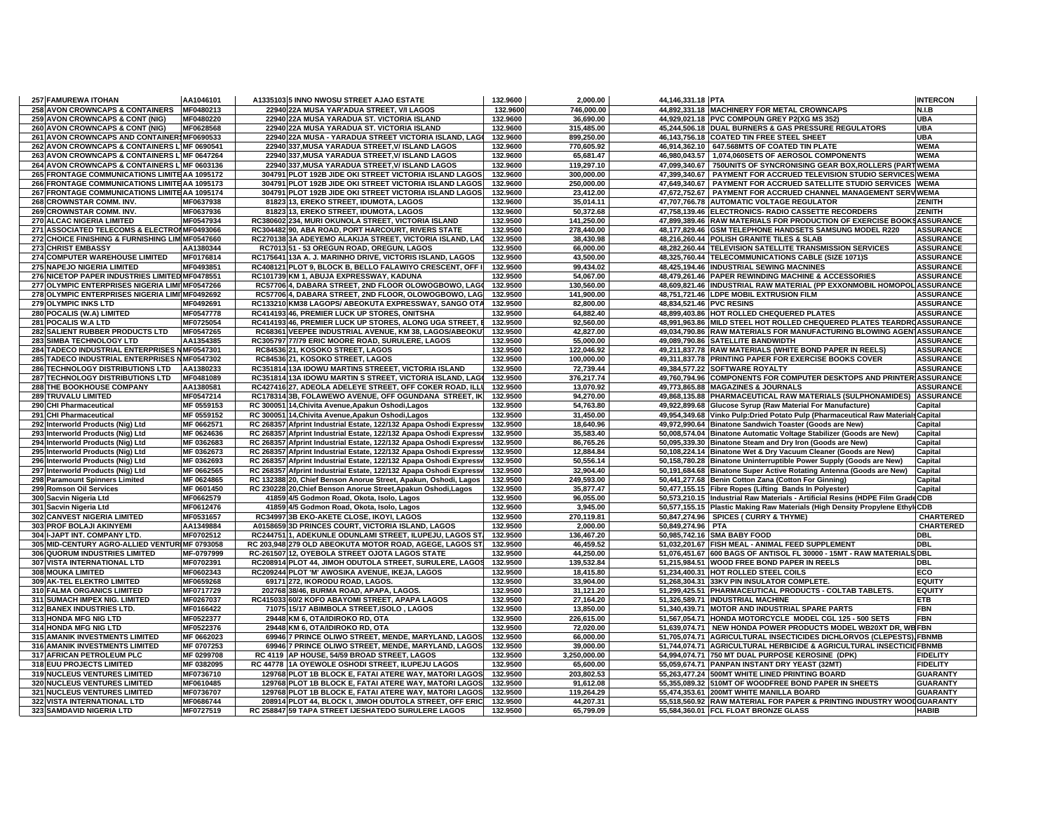| 257 FAMUREWA ITOHAN                             | AA1046101  | A1335103 5 INNO NWOSU STREET AJAO ESTATE                           | 132.9600 | 2,000.00     | 44,146,331.18 PTA                                                                | <b>INTERCON</b>  |
|-------------------------------------------------|------------|--------------------------------------------------------------------|----------|--------------|----------------------------------------------------------------------------------|------------------|
| <b>258 AVON CROWNCAPS &amp; CONTAINERS</b>      | MF0480213  | 22940 22A MUSA YAR'ADUA STREET, V/I LAGOS                          | 132.9600 | 746,000.00   | 44,892,331.18 MACHINERY FOR METAL CROWNCAPS                                      | <b>N.I.B</b>     |
| 259 AVON CROWNCAPS & CONT (NIG)                 | MF0480220  | 22940 22A MUSA YARADUA ST. VICTORIA ISLAND                         | 132.9600 | 36,690.00    | 44,929,021.18 PVC COMPOUN GREY P2(XG MS 352)                                     | <b>UBA</b>       |
| 260 AVON CROWNCAPS & CONT (NIG)                 | MF0628568  | 22940 22A MUSA YARADUA ST. VICTORIA ISLAND                         | 132.9600 | 315,485.00   | 45,244,506.18 DUAL BURNERS & GAS PRESSURE REGULATORS                             | <b>UBA</b>       |
| 261 AVON CROWNCAPS AND CONTAINERS MF0690533     |            | 22940 22A MUSA - YARADUA STREET VICTORIA ISLAND, LAGO              | 132.9600 | 899,250.00   | 46,143,756.18 COATED TIN FREE STEEL SHEET                                        | <b>UBA</b>       |
| 262 AVON CROWNCAPS & CONTAINERS L'MF 0690541    |            | 22940 337, MUSA YARADUA STREET, V/ ISLAND LAGOS                    | 132.9600 | 770,605.92   | 46,914,362.10 647.568MTS OF COATED TIN PLATE                                     | <b>WEMA</b>      |
| 263 AVON CROWNCAPS & CONTAINERS L'MF 0647264    |            | 22940 337, MUSA YARADUA STREET, V/ ISLAND LAGOS                    | 132.9600 | 65,681.47    | 46,980,043.57 1,074,060SETS OF AEROSOL COMPONENTS                                | <b>WEMA</b>      |
| 264 AVON CROWNCAPS & CONTAINERS L'MF 0603136    |            | 22940 337, MUSA YARADUA STREET, V/ ISLAND LAGOS                    | 132.9600 | 119,297.10   | 47,099,340.67 750UNITS OF SYNCRONISING GEAR BOX, ROLLERS (PARTIWEMA              |                  |
| 265 FRONTAGE COMMUNICATIONS LIMITE AA 1095172   |            | 304791 PLOT 192B JIDE OKI STREET VICTORIA ISLAND LAGOS             | 132.9600 | 300,000.00   | 47,399,340.67 PAYMENT FOR ACCRUED TELEVISION STUDIO SERVICES WEMA                |                  |
| 266 FRONTAGE COMMUNICATIONS LIMITE AA 1095173   |            | 304791 PLOT 192B JIDE OKI STREET VICTORIA ISLAND LAGOS             | 132.9600 | 250,000.00   | 47,649,340.67 PAYMENT FOR ACCRUED SATELLITE STUDIO SERVICES WEMA                 |                  |
| 267 FRONTAGE COMMUNICATIONS LIMITE AA 1095174   |            | 304791 PLOT 192B JIDE OKI STREET VICTORIA ISLAND LAGOS             | 132.9600 | 23,412.00    | 47,672,752.67 PAYMENT FOR ACCRUED CHANNEL MANAGEMENT SERVIVEMA                   |                  |
| 268 CROWNSTAR COMM. INV.                        | MF0637938  | 81823 13, EREKO STREET, IDUMOTA, LAGOS                             | 132.9600 | 35,014.11    | 47,707,766.78 AUTOMATIC VOLTAGE REGULATOR                                        | ZENITH           |
| 269 CROWNSTAR COMM. INV.                        | MF0637936  | 81823 13, EREKO STREET, IDUMOTA, LAGOS                             | 132.9600 | 50,372.68    | 47,758,139.46 ELECTRONICS- RADIO CASSETTE RECORDERS                              | <b>ZENITH</b>    |
| 270 ALCAC NIGERIA LIMITED                       | MF0547934  | RC380602 234, MURI OKUNOLA STREET, VICTORIA ISLAND                 | 132.9500 | 141,250.00   | 47,899,389.46 RAW MATERIALS FOR PRODUCTION OF EXERCISE BOOKSASSURANCE            |                  |
| 271 ASSOCIATED TELECOMS & ELECTRONMF0493066     |            | RC304482 90, ABA ROAD, PORT HARCOURT, RIVERS STATE                 | 132.9500 | 278,440.00   | 48,177,829.46 GSM TELEPHONE HANDSETS SAMSUNG MODEL R220                          | <b>ASSURANCE</b> |
| 272 CHOICE FINISHING & FURNISHING LIM MF0547660 |            | RC270138 3A ADEYEMO ALAKIJA STREET, VICTORIA ISLAND, LAC           | 132.9500 | 38,430.98    | 48,216,260.44 POLISH GRANITE TILES & SLAB                                        | <b>ASSURANCE</b> |
| <b>273 CHRIST EMBASSY</b>                       | AA1380344  | RC7013 51 - 53 OREGUN ROAD, OREGUN, LAGOS                          | 132.9500 | 66.000.00    | 48.282.260.44 TELEVISION SATELLITE TRANSMISSION SERVICES                         | <b>ASSURANCE</b> |
| 274 COMPUTER WAREHOUSE LIMITED                  | MF0176814  | RC175641 13A A. J. MARINHO DRIVE, VICTORIS ISLAND, LAGOS           | 132.9500 | 43,500.00    | 48,325,760.44 TELECOMMUNICATIONS CABLE (SIZE 1071)S                              | <b>ASSURANCE</b> |
| 275 NAPEJO NIGERIA LIMITED                      | MF0493851  | RC408121 PLOT 9, BLOCK B, BELLO FALAWIYO CRESCENT, OFF             | 132.9500 | 99,434.02    | 48,425,194.46 INDUSTRIAL SEWING MACNINES                                         | <b>ASSURANCE</b> |
| 276 NICETOP PAPER INDUSTRIES LIMITED MF0478551  |            | RC101739 KM 1, ABUJA EXPRESSWAY, KADUNA                            | 132.9500 | 54,067.00    | 48,479,261.46 PAPER REWINDING MACHINE & ACCESSORIES                              | <b>ASSURANCE</b> |
| 277 OLYMPIC ENTERPRISES NIGERIA LIMI MF0547266  |            | RC57706 4, DABARA STREET, 2ND FLOOR OLOWOGBOWO, LAGO               | 132.9500 | 130,560.00   | 48,609,821.46 INDUSTRIAL RAW MATERIAL (PP EXXONMOBIL HOMOPOL ASSURANCE           |                  |
| 278 OLYMPIC ENTERPRISES NIGERIA LIMI MF0492692  |            | RC57706 4, DABARA STREET, 2ND FLOOR, OLOWOGBOWO, LAG               | 132.9500 | 141.900.00   | 48,751,721.46 LDPE MOBIL EXTRUSION FILM                                          | <b>ASSURANCE</b> |
| 279 OLYMPIC INKS LTD                            | MF0492691  | RC133210 KM38 LAGOPS/ ABEOKUTA EXPRESSWAY, SANGO OTA               | 132.9500 | 82,800.00    | 48,834,521.46 PVC RESINS                                                         | <b>ASSURANCE</b> |
| 280 POCALIS (W.A) LIMITED                       | MF0547778  | RC414193 46, PREMIER LUCK UP STORES, ONITSHA                       | 132.9500 | 64,882.40    | 48,899,403.86 HOT ROLLED CHEQUERED PLATES                                        | <b>ASSURANCE</b> |
| 281 POCALIS W.A LTD                             | MF0725054  | RC414193 46, PREMIER LUCK UP STORES, ALONG UGA STREET,             | 132.9500 | 92,560.00    | 48,991,963.86 MILD STEEL HOT ROLLED CHEQUERED PLATES TEARDROASSURANCE            |                  |
| 282 SALIENT RUBBER PRODUCTS LTD                 | MF0547265  | RC68361 VEEPEE INDUSTRIAL AVENUE, KM 38, LAGOS/ABEOKU              | 132.9500 | 42,827.00    | 49,034,790.86 RAW MATERIALS FOR MANUFACTURING BLOWING AGEN ASSURANCE             |                  |
|                                                 |            |                                                                    |          |              |                                                                                  |                  |
| 283 SIMBA TECHNOLOGY LTD                        | AA1354385  | RC305797 77/79 ERIC MOORE ROAD, SURULERE, LAGOS                    | 132.9500 | 55,000.00    | 49,089,790.86 SATELLITE BANDWIDTH                                                | <b>ASSURANCE</b> |
| 284 TADECO INDUSTRIAL ENTERPRISES NMF0547301    |            | RC84536 21. KOSOKO STREET. LAGOS                                   | 132.9500 | 122,046.92   | 49,211,837.78 RAW MATERIALS (WHITE BOND PAPER IN REELS)                          | <b>ASSURANCE</b> |
| 285 TADECO INDUSTRIAL ENTERPRISES NMF0547302    |            | RC84536 21, KOSOKO STREET, LAGOS                                   | 132.9500 | 100,000.00   | 49,311,837.78 PRINTING PAPER FOR EXERCISE BOOKS COVER                            | <b>ASSURANCE</b> |
| <b>286 TECHNOLOGY DISTRIBUTIONS LTD</b>         | AA1380233  | RC351814 13A IDOWU MARTINS STREEET. VICTORIA ISLAND                | 132.9500 | 72.739.44    | 49.384.577.22 SOFTWARE ROYALTY                                                   | <b>ASSURANCE</b> |
| 287 TECHNOLOGY DISTRIBUTIONS LTD                | MF0481089  | RC351814 13A IDOWU MARTIN S STREET, VICTORIA ISLAND, LAGO          | 132.9500 | 376,217.74   | 49,760,794.96 COMPONENTS FOR COMPUTER DESKTOPS AND PRINTER ASSURANCE             |                  |
| <b>288 THE BOOKHOUSE COMPANY</b>                | AA1380581  | RC427416 27, ADEOLA ADELEYE STREET, OFF COKER ROAD, ILLI           | 132.9500 | 13,070.92    | 49,773,865.88 MAGAZINES & JOURNALS                                               | <b>ASSURANCE</b> |
| 289 TRUVALU LIMITED                             | MF0547214  | RC178314 3B, FOLAWEWO AVENUE, OFF OGUNDANA STREET, IK              | 132.9500 | 94,270.00    | 49,868,135.88 PHARMACEUTICAL RAW MATERIALS (SULPHONAMIDES)                       | <b>ASSURANCE</b> |
| 290 CHI Pharmaceutical                          | MF 0559153 | RC 300051 14, Chivita Avenue, Apakun Oshodi, Lagos                 | 132.9500 | 54,763.80    | 49,922,899.68 Glucose Syrup (Raw Material For Manufacture)                       | Capital          |
| 291 CHI Pharmaceutical                          | MF 0559152 | RC 300051 14, Chivita Avenue, Apakun Oshodi, Lagos                 | 132.9500 | 31,450.00    | 49,954,349.68 Vinko Pulp:Dried Potato Pulp (Pharmaceutical Raw Materials Capital |                  |
| 292 Interworld Products (Nig) Ltd               | MF 0662571 | RC 268357 Afprint Industrial Estate, 122/132 Apapa Oshodi Expressv | 132.9500 | 18,640.96    | 49,972,990.64 Binatone Sandwich Toaster (Goods are New)                          | Capital          |
| 293 Interworld Products (Nig) Ltd               | MF 0624636 | RC 268357 Afprint Industrial Estate, 122/132 Apapa Oshodi Expressv | 132.9500 | 35,583.40    | 50,008,574.04 Binatone Automatic Voltage Stabilizer (Goods are New)              | Capital          |
| 294 Interworld Products (Nig) Ltd               | MF 0362683 | RC 268357 Afprint Industrial Estate, 122/132 Apapa Oshodi Expressy | 132.9500 | 86,765.26    | 50,095,339.30 Binatone Steam and Dry Iron (Goods are New)                        | Capital          |
| 295 Interworld Products (Nig) Ltd               | MF 0362673 | RC 268357 Afprint Industrial Estate, 122/132 Apapa Oshodi Expressv | 132.9500 | 12,884.84    | 50,108,224.14 Binatone Wet & Dry Vacuum Cleaner (Goods are New)                  | Capital          |
| 296 Interworld Products (Nig) Ltd               | MF 0362693 | RC 268357 Afprint Industrial Estate, 122/132 Apapa Oshodi Expressy | 132.9500 | 50,556.14    | 50,158,780.28 Binatone Uninterruptible Power Supply (Goods are New)              | Capital          |
| 297 Interworld Products (Nig) Ltd               | MF 0662565 | RC 268357 Afprint Industrial Estate, 122/132 Apapa Oshodi Expressv | 132.9500 | 32,904.40    | 50,191,684.68 Binatone Super Active Rotating Antenna (Goods are New)             | Capital          |
| 298 Paramount Spinners Limited                  | MF 0624865 | RC 132388 20, Chief Benson Anorue Street, Apakun, Oshodi, Lagos    | 132.9500 | 249,593.00   | 50,441,277.68 Benin Cotton Zana (Cotton For Ginning)                             | Capital          |
| 299 Romson Oil Services                         | MF 0601450 | RC 230228 20, Chief Benson Anorue Street, Apakun Oshodi, Lagos     | 132.9500 | 35,877.47    | 50,477,155.15 Fibre Ropes (Lifting Bands In Polyester)                           | Capital          |
| 300 Sacvin Nigeria Ltd                          | MF0662579  | 41859 4/5 Godmon Road, Okota, Isolo, Lagos                         | 132.9500 | 96,055.00    | 50,573,210.15  Industrial Raw Materials - Artificial Resins (HDPE Film GradeCDB  |                  |
| 301 Sacvin Nigeria Ltd                          | MF0612476  | 41859 4/5 Godmon Road, Okota, Isolo, Lagos                         | 132.9500 | 3,945.00     | 50,577,155.15 Plastic Making Raw Materials (High Density Propylene Ethyl CDB     |                  |
| 302 CANVEST NIGERIA LIMITED                     | MF0531657  | RC34997 3B EKO-AKETE CLOSE, IKOYI, LAGOS                           | 132.9500 | 270,119.81   | 50,847,274.96 SPICES ( CURRY & THYME)                                            | <b>CHARTERED</b> |
| 303 PROF BOLAJI AKINYEMI                        | AA1349884  | A0158659 3D PRINCES COURT, VICTORIA ISLAND, LAGOS                  | 132.9500 | 2,000.00     | 50,849,274.96 PTA                                                                | <b>CHARTERED</b> |
| 304 I-JAPT INT. COMPANY LTD.                    | MF0702512  | RC244751 1, ADEKUNLE ODUNLAMI STREET, ILUPEJU, LAGOS ST.           | 132.9500 | 136,467.20   | 50,985,742.16 SMA BABY FOOD                                                      | <b>DBL</b>       |
|                                                 |            |                                                                    |          |              |                                                                                  |                  |
| 305 MID-CENTURY AGRO-ALLIED VENTURIMF 0793058   |            | RC 203,948 279 OLD ABEOKUTA MOTOR ROAD, AGEGE, LAGOS ST            | 132.9500 | 46,459.52    | 51,032,201.67 FISH MEAL - ANIMAL FEED SUPPLEMENT                                 | <b>DBL</b>       |
| 306 QUORUM INDUSTRIES LIMITED                   | MF-0797999 | RC-261507 12, OYEBOLA STREET OJOTA LAGOS STATE                     | 132.9500 | 44,250.00    | 51,076,451.67 600 BAGS OF ANTISOL FL 30000 - 15MT - RAW MATERIALS DBL            |                  |
| 307 VISTA INTERNATIONAL LTD                     | MF0702391  | RC208914 PLOT 44, JIMOH ODUTOLA STREET, SURULERE, LAGOS            | 132.9500 | 139,532.84   | 51,215,984.51 WOOD FREE BOND PAPER IN REELS                                      | <b>DBL</b>       |
| <b>308 MOUKA LIMITED</b>                        | MF0602343  | RC209244 PLOT 'M' AWOSIKA AVENUE, IKEJA, LAGOS                     | 132.9500 | 18,415.80    | 51,234,400.31 HOT ROLLED STEEL COILS                                             | ECO              |
| 309 AK-TEL ELEKTRO LIMITED                      | MF0659268  | 69171 272, IKORODU ROAD, LAGOS.                                    | 132.9500 | 33,904.00    | 51,268,304.31 33KV PIN INSULATOR COMPLETE.                                       | <b>EQUITY</b>    |
| 310 FALMA ORGANICS LIMITED                      | MF0717729  | 202768 38/46, BURMA ROAD, APAPA, LAGOS.                            | 132.9500 | 31,121.20    | 51,299,425.51 PHARMACEUTICAL PRODUCTS - COLTAB TABLETS.                          | <b>EQUIT)</b>    |
| 311 SUMACH IMPEX NIG. LIMITED                   | MF0267037  | RC415033 60/2 KOFO ABAYOMI STREET, APAPA LAGOS                     | 132.9500 | 27,164.20    | 51,326,589.71 INDUSTRIAL MACHINE                                                 | <b>ETB</b>       |
| 312 BANEX INDUSTRIES LTD.                       | MF0166422  | 71075 15/17 ABIMBOLA STREET, ISOLO, LAGOS                          | 132.9500 | 13,850.00    | 51,340,439.71 MOTOR AND INDUSTRIAL SPARE PARTS                                   | <b>FBN</b>       |
| 313 HONDA MFG NIG LTD                           | MF0522377  | 29448 KM 6, OTA/IDIROKO RD, OTA                                    | 132.9500 | 226,615.00   | 51,567,054.71 HONDA MOTORCYCLE MODEL CGL 125 - 500 SETS                          | <b>FBN</b>       |
| <b>314 HONDA MFG NIG LTD</b>                    | MF0522376  | 29448 KM 6. OTA/IDIROKO RD. OTA                                    | 132.9500 | 72.020.00    | 51.639.074.71 NEW HONDA POWER PRODUCTS MODEL WB20XT DR. WBFBN                    |                  |
| 315 AMANIK INVESTMENTS LIMITED                  | MF 0662023 | 69946 7 PRINCE OLIWO STREET, MENDE, MARYLAND, LAGOS                | 132.9500 | 66,000.00    | 51,705,074.71 AGRICULTURAL INSECTICIDES DICHLORVOS (CLEPESTS), FBNMB             |                  |
| <b>316 AMANIK INVESTMENTS LIMITED</b>           | MF 0707253 | 69946 7 PRINCE OLIWO STREET. MENDE. MARYLAND. LAGOS                | 132.9500 | 39.000.00    | 51.744.074.71 AGRICULTURAL HERBICIDE & AGRICULTURAL INSECTICIDFBNMB              |                  |
| 317 AFRICAN PETROLEUM PLC                       | MF 0299708 | RC 4119 AP HOUSE, 54/59 BROAD STREET, LAGOS                        | 132.9500 | 3,250,000.00 | 54,994,074.71 750 MT DUAL PURPOSE KEROSINE (DPK)                                 | <b>FIDELITY</b>  |
| 318 EUU PROJECTS LIMITED                        | MF 0382095 | RC 44778 1A OYEWOLE OSHODI STREET, ILUPEJU LAGOS                   | 132.9500 | 65,600.00    | 55,059,674.71 PANPAN INSTANT DRY YEAST (32MT)                                    | <b>FIDELITY</b>  |
| 319 NUCLEUS VENTURES LIMITED                    | MF0736710  | 129768 PLOT 1B BLOCK E, FATAI ATERE WAY, MATORI LAGOS              | 132.9500 | 203.802.53   | 55,263,477.24 500MT WHITE LINED PRINTING BOARD                                   | <b>GUARANTY</b>  |
| 320 NUCLEUS VENTURES LIMITED                    | MF0610485  | 129768 PLOT 1B BLOCK E, FATAI ATERE WAY, MATORI LAGOS              | 132.9500 | 91,612.08    | 55,355,089.32 510MT OF WOODFREE BOND PAPER IN SHEETS                             | <b>GUARANTY</b>  |
| 321 NUCLEUS VENTURES LIMITED                    | MF0736707  | 129768 PLOT 1B BLOCK E, FATAI ATERE WAY, MATORI LAGOS              | 132.9500 | 119,264.29   | 55,474,353.61 200MT WHITE MANILLA BOARD                                          | <b>GUARANTY</b>  |
| 322 VISTA INTERNATIONAL LTD                     | MF0686744  | 208914 PLOT 44, BLOCK I, JIMOH ODUTOLA STREET, OFF ERIC            | 132.9500 | 44,207.31    | 55,518,560.92 RAW MATERIAL FOR PAPER & PRINTING INDUSTRY WOODGUARANTY            |                  |
| <b>323 SAMDAVID NIGERIA LTD</b>                 | MF0727519  | RC 258847 59 TAPA STREET IJESHATEDO SURULERE LAGOS                 | 132.9500 | 65.799.09    | 55.584.360.01 FCL FLOAT BRONZE GLASS                                             | <b>HABIB</b>     |
|                                                 |            |                                                                    |          |              |                                                                                  |                  |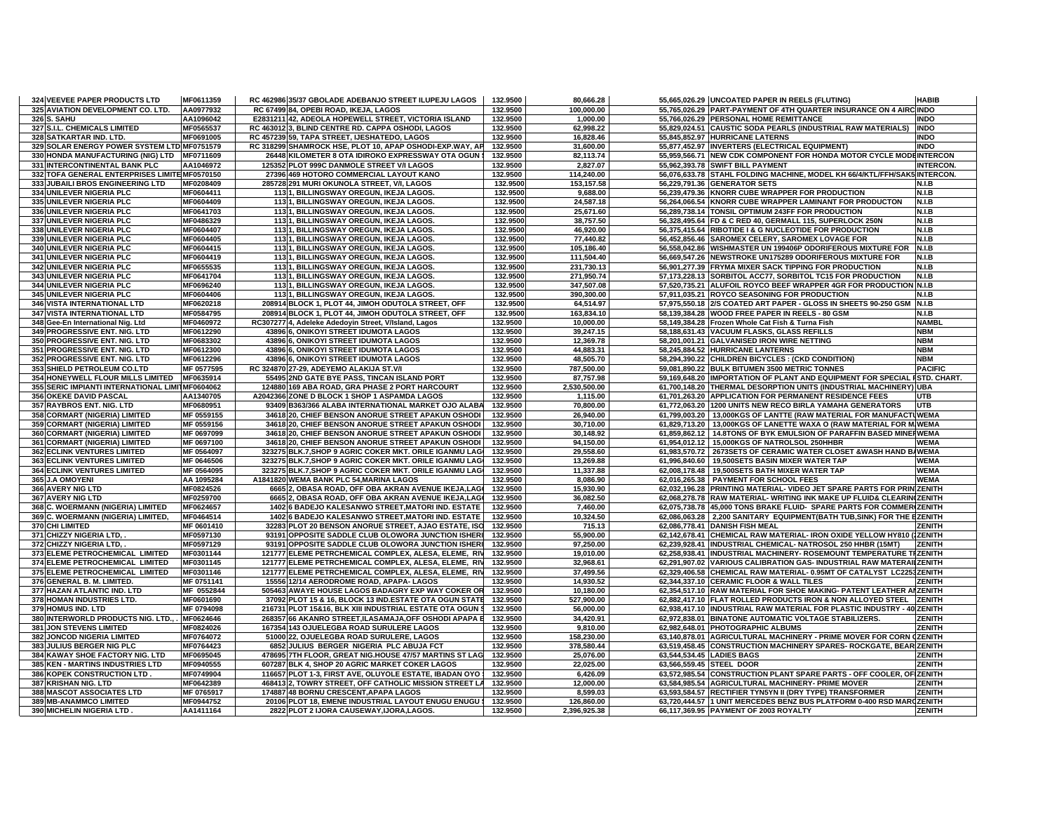| 324 VEEVEE PAPER PRODUCTS LTD                   | MF0611359         | RC 462986 35/37 GBOLADE ADEBANJO STREET ILUPEJU LAGOS     | 132.9500 | 80,666.28              |                           | 55,665,026.29 UNCOATED PAPER IN REELS (FLUTING)                           | <b>HABIB</b>    |
|-------------------------------------------------|-------------------|-----------------------------------------------------------|----------|------------------------|---------------------------|---------------------------------------------------------------------------|-----------------|
| 325 AVIATION DEVELOPMENT CO. LTD.               | AA0977932         | RC 67499 84, OPEBI ROAD, IKEJA, LAGOS                     | 132.9500 | 100,000.00             |                           | 55,765,026.29 PART-PAYMENT OF 4TH QUARTER INSURANCE ON 4 AIRC INDO        |                 |
| 326 S. SAHU                                     | AA1096042         | E2831211 42, ADEOLA HOPEWELL STREET, VICTORIA ISLAND      | 132.9500 | 1,000.00               |                           | 55,766,026.29 PERSONAL HOME REMITTANCE                                    | <b>INDO</b>     |
| 327 S.I.L. CHEMICALS LIMITED                    | MF0565537         | RC 463012 3, BLIND CENTRE RD. CAPPA OSHODI, LAGOS         | 132.9500 | 62,998.22              |                           | 55,829,024.51 CAUSTIC SODA PEARLS (INDUSTRIAL RAW MATERIALS)              | <b>INDO</b>     |
| 328 SATKARTAR IND. LTD.                         | MF0691005         | RC 457239 59, TAPA STREET, IJESHATEDO, LAGOS              | 132.9500 | 16,828.46              |                           | 55,845,852.97 HURRICANE LATERNS                                           | <b>INDO</b>     |
| 329 SOLAR ENERGY POWER SYSTEM LTD MF0751579     |                   | RC 318299 SHAMROCK HSE, PLOT 10, APAP OSHODI-EXP.WAY, AP  | 132.9500 | 31,600.00              |                           | 55,877,452.97 INVERTERS (ELECTRICAL EQUIPMENT)                            | <b>INDO</b>     |
| 330 HONDA MANUFACTURING (NIG) LTD               | MF0711609         | 26448 KILOMETER 8 OTA IDIROKO EXPRESSWAY OTA OGUN \$      | 132.9500 | 82,113.74              |                           | 55,959,566.71 NEW CDK COMPONENT FOR HONDA MOTOR CYCLE MODEINTERCON        |                 |
| 331 INTERCONTINENTAL BANK PLC                   | AA1046972         | 125352 PLOT 999C DANMOLE STREET V/I LAGOS                 | 132.9500 | 2,827.07               |                           | 55,962,393.78 SWIFT BILL PAYMENT                                          | <b>INTERCON</b> |
| 332 TOFA GENERAL ENTERPRISES LIMITE MF0570150   |                   | 27396 469 HOTORO COMMERCIAL LAYOUT KANO                   | 132.9500 | 114,240.00             |                           | 56,076,633.78 STAHL FOLDING MACHINE, MODEL KH 66/4/KTL/FFH/SAK5 INTERCON. |                 |
| 333 JUBAILI BROS ENGINEERING LTD                | MF0208409         | 285728 291 MURI OKUNOLA STREET, V/I, LAGOS                | 132.9500 | 153,157.58             |                           | 56.229.791.36 GENERATOR SETS                                              | N.I.B           |
| 334 UNILEVER NIGERIA PLC                        | MF0604411         | 1131, BILLINGSWAY OREGUN, IKEJA LAGOS.                    | 132.9500 | 9,688.00               |                           | 56,239,479.36 KNORR CUBE WRAPPER FOR PRODUCTION                           | N.I.B           |
| 335 UNILEVER NIGERIA PLC                        | MF0604409         | 1131, BILLINGSWAY OREGUN, IKEJA LAGOS.                    | 132.9500 | 24,587.18              |                           | 56,264,066.54 KNORR CUBE WRAPPER LAMINANT FOR PRODUCTON                   | <b>N.I.B</b>    |
| 336 UNILEVER NIGERIA PLC                        | MF0641703         | 1131, BILLINGSWAY OREGUN, IKEJA LAGOS.                    | 132.9500 | 25,671.60              |                           | 56,289,738.14 TONSIL OPTIMUM 243FF FOR PRODUCTION                         | N.I.B           |
| 337 UNILEVER NIGERIA PLC                        | MF0486329         | 1131, BILLINGSWAY OREGUN, IKEJA LAGOS.                    | 132.9500 | 38,757.50              |                           | 56,328,495.64 FD & C RED 40, GERMALL 115, SUPERLOCK 250N                  | N.I.B           |
| 338 UNILEVER NIGERIA PLC                        | MF0604407         | 1131. BILLINGSWAY OREGUN, IKEJA LAGOS.                    | 132.9500 | 46,920.00              |                           | 56.375.415.64 RIBOTIDE I & G NUCLEOTIDE FOR PRODUCTION                    | N.I.B           |
| 339 UNILEVER NIGERIA PLC                        | MF0604405         | 113 1, BILLINGSWAY OREGUN, IKEJA LAGOS.                   | 132.9500 | 77,440.82              |                           | 56,452,856.46 SAROMEX CELERY, SAROMEX LOVAGE FOR                          | N.I.B           |
| <b>340 UNILEVER NIGERIA PLC</b>                 | MF0604415         | 1131. BILLINGSWAY OREGUN, IKEJA LAGOS.                    | 132.9500 | 105.186.40             |                           | 56.558.042.86 WISHMASTER UN 199406P ODORIFEROUS MIXTURE FOR N.I.B         |                 |
| <b>341 UNILEVER NIGERIA PLC</b>                 | MF0604419         | 1131, BILLINGSWAY OREGUN, IKEJA LAGOS.                    | 132.9500 | 111,504.40             |                           | 56,669,547.26 NEWSTROKE UN175289 ODORIFEROUS MIXTURE FOR                  | N.I.B           |
| 342 UNILEVER NIGERIA PLC                        | MF0655535         | 1131, BILLINGSWAY OREGUN, IKEJA LAGOS.                    | 132.9500 | 231,730.13             |                           | 56,901,277.39 FRYMA MIXER SACK TIPPING FOR PRODUCTION                     | N.I.B           |
| 343 UNILEVER NIGERIA PLC                        | MF0641704         | 1131, BILLINGSWAY OREGUN, IKEJA LAGOS.                    | 132.9500 | 271,950.74             |                           | 57,173,228.13 SORBITOL ACC77, SORBITOL TC15 FOR PRODUCTION                | N.I.B           |
| 344 UNILEVER NIGERIA PLC                        | MF0696240         | 1131, BILLINGSWAY OREGUN, IKEJA LAGOS.                    | 132.9500 | 347,507.08             |                           | 57,520,735.21 ALUFOIL ROYCO BEEF WRAPPER 4GR FOR PRODUCTION N.I.B         |                 |
| 345 UNILEVER NIGERIA PLC                        | MF0604406         | 1131, BILLINGSWAY OREGUN, IKEJA LAGOS.                    | 132.9500 | 390,300.00             |                           | 57,911,035.21 ROYCO SEASONING FOR PRODUCTION                              | N.I.B           |
| 346 VISTA INTERNATIONAL LTD                     | MF0620218         | 208914 BLOCK 1, PLOT 44, JIMOH ODUTOLA STREET, OFF        | 132.9500 | 64,514.97              |                           | 57,975,550.18 2/S COATED ART PAPER - GLOSS IN SHEETS 90-250 GSM N.I.B     |                 |
| 347 VISTA INTERNATIONAL LTD                     | MF0584795         | 208914 BLOCK 1, PLOT 44, JIMOH ODUTOLA STREET, OFF        | 132.9500 | 163,834.10             |                           | 58,139,384.28 WOOD FREE PAPER IN REELS - 80 GSM                           | N.I.B           |
| 348 Gee-En International Nig. Ltd               | MF0460972         | RC307277 4, Adeleke Adedoyin Street, V/Island, Lagos      | 132.9500 | 10,000.00              |                           | 58,149,384.28 Frozen Whole Cat Fish & Turna Fish                          | <b>NAMBI</b>    |
| 349 PROGRESSIVE ENT. NIG. LTD                   | MF0612290         | 43896 6, ONIKOYI STREET IDUMOTA LAGOS                     | 132.9500 | 39,247.15              |                           | 58,188,631.43 VACUUM FLASKS, GLASS REFILLS                                | <b>NBM</b>      |
| 350 PROGRESSIVE ENT. NIG. LTD                   | MF0683302         | 43896 6, ONIKOYI STREET IDUMOTA LAGOS                     | 132.9500 | 12,369.78              |                           | 58,201,001.21 GALVANISED IRON WIRE NETTING                                | <b>NBM</b>      |
| 351 PROGRESSIVE ENT. NIG. LTD                   | MF0612300         | 43896 6, ONIKOYI STREET IDUMOTA LAGOS                     | 132.9500 | 44.883.31              |                           | 58.245.884.52 HURRICANE LANTERNS                                          | <b>NBM</b>      |
| 352 PROGRESSIVE ENT. NIG. LTD                   | MF0612296         | 43896 6, ONIKOYI STREET IDUMOTA LAGOS                     | 132.9500 | 48,505.70              |                           | 58,294,390.22 CHILDREN BICYCLES : (CKD CONDITION)                         | <b>NBM</b>      |
| 353 SHIELD PETROLEUM CO.LTD                     | MF 0577595        | RC 324870 27-29. ADEYEMO ALAKIJA ST.V/I                   | 132.9500 | 787.500.00             |                           | 59,081,890.22 BULK BITUMEN 3500 METRIC TONNES                             | <b>PACIFIC</b>  |
| 354 HONEYWELL FLOUR MILLS LIMITED               | MF0635914         | 55495 2ND GATE BYE PASS, TINCAN ISLAND PORT               | 132.9500 | 87,757.98              |                           | 59,169,648.20 IMPORTATION OF PLANT AND EQUIPMENT FOR SPECIAL FSTD. CHART. |                 |
| 355 SERIC IMPIANTI INTERNATIONAL LIMITMF0604062 |                   | 124880 169 ABA ROAD, GRA PHASE 2 PORT HARCOURT            | 132.9500 | 2,530,500.00           |                           | 61,700,148.20 THERMAL DESORPTION UNITS (INDUSTRIAL MACHINERY) UBA         |                 |
| 356 OKEKE DAVID PASCAL                          | AA1340705         | A2042366 ZONE D BLOCK 1 SHOP 1 ASPAMDA LAGOS              | 132.9500 | 1,115.00               |                           | 61,701,263.20 APPLICATION FOR PERMANENT RESIDENCE FEES                    | UTB             |
| 357 RAYBROS ENT. NIG. LTD                       | MF0680951         | 93409 B363/366 ALABA INTERNATIONAL MARKET OJO ALABA       | 132.9500 | 70,800.00              |                           | 61,772,063.20 1200 UNITS NEW RECO BIRLA YAMAHA GENERATORS                 | <b>UTB</b>      |
| 358 CORMART (NIGERIA) LIMITED                   | MF 0559155        | 34618 20, CHIEF BENSON ANORUE STREET APAKUN OSHODI        | 132.9500 | 26,940.00              |                           | 61,799,003.20   13,000KGS OF LANTTE (RAW MATERIAL FOR MANUFACTU WEMA      |                 |
| 359 CORMART (NIGERIA) LIMITED                   | MF 0559156        | 34618 20, CHIEF BENSON ANORUE STREET APAKUN OSHODI        | 132.9500 | 30,710.00              |                           | 61,829,713.20   13,000KGS OF LANETTE WAXA O (RAW MATERIAL FOR M WEMA      |                 |
| 360 CORMART (NIGERIA) LIMITED                   | MF 0697099        | 34618 20, CHIEF BENSON ANORUE STREET APAKUN OSHODI        | 132.9500 | 30,148.92              |                           | 61,859,862.12   14.8TONS OF BYK EMULSION OF PARAFFIN BASED MINEH WEMA     |                 |
| 361 CORMART (NIGERIA) LIMITED                   | MF 0697100        | 34618 20, CHIEF BENSON ANORUE STREET APAKUN OSHODI        | 132.9500 | 94,150.00              |                           | 61,954,012.12 35,000KGS OF NATROLSOL 250HHBR                              | <b>WEMA</b>     |
| 362 ECLINK VENTURES LIMITED                     | MF 0564097        | 323275 BLK.7, SHOP 9 AGRIC COKER MKT. ORILE IGANMU LAG    | 132.9500 | 29,558.60              |                           | 61,983,570.72 2673SETS OF CERAMIC WATER CLOSET & WASH HAND B/WEMA         |                 |
| <b>363 ECLINK VENTURES LIMITED</b>              | MF 0646506        | 323275 BLK.7.SHOP 9 AGRIC COKER MKT, ORILE IGANMU LAG     | 132.9500 |                        |                           | 61.996.840.60   19.500SETS BASIN MIXER WATER TAP                          | <b>WEMA</b>     |
| <b>364 ECLINK VENTURES LIMITED</b>              | MF 0564095        | 323275 BLK.7, SHOP 9 AGRIC COKER MKT. ORILE IGANMU LAG    | 132.9500 | 13,269.88<br>11,337.88 |                           | 62,008,178.48   19,500SETS BATH MIXER WATER TAP                           | <b>WEMA</b>     |
| 365 J.A OMOYENI                                 | AA 1095284        | A1841820 WEMA BANK PLC 54, MARINA LAGOS                   | 132.9500 | 8,086.90               |                           | 62,016,265.38 PAYMENT FOR SCHOOL FEES                                     | <b>WEMA</b>     |
| 366 AVERY NIG LTD                               | MF0824526         | 6665 2, OBASA ROAD, OFF OBA AKRAN AVENUE IKEJA,LAGI       | 132.9500 | 15,930.90              |                           |                                                                           |                 |
|                                                 |                   |                                                           |          |                        |                           | 62,032,196.28 PRINTING MATERIAL- VIDEO JET SPARE PARTS FOR PRIN ZENITH    |                 |
| 367 AVERY NIG LTD                               | MF0259700         | 6665 2, OBASA ROAD, OFF OBA AKRAN AVENUE IKEJA,LAGI       | 132.9500 | 36,082.50              |                           | 62,068,278.78 RAW MATERIAL- WRITING INK MAKE UP FLUID& CLEARIN(ZENITH     |                 |
| 368 C. WOERMANN (NIGERIA) LIMITED               | MF0624657         | 1402 6 BADEJO KALESANWO STREET, MATORI IND. ESTATE        | 132.9500 | 7,460.00               |                           | 62,075,738.78 45,000 TONS BRAKE FLUID- SPARE PARTS FOR COMMERIZENITH      |                 |
| 369 C. WOERMANN (NIGERIA) LIMITED.              | MF0464514         | 1402 6 BADEJO KALESANWO STREET, MATORI IND. ESTATE        | 132.9500 | 10,324.50              |                           | 62,086,063.28 2,200 SANITARY EQUIPMENT(BATH TUB, SINK) FOR THE EZENITH    |                 |
| 370 CHI LIMITED                                 | <b>MF 0601410</b> | 32283 PLOT 20 BENSON ANORUE STREET, AJAO ESTATE, ISO      | 132.9500 | 715.13                 |                           | 62,086,778.41 DANISH FISH MEAL                                            | <b>ZENITH</b>   |
| 371 CHIZZY NIGERIA LTD,                         | MF0597130         | 93191 OPPOSITE SADDLE CLUB OLOWORA JUNCTION ISHERI        | 132.9500 | 55,900.00              |                           | 62,142,678.41 CHEMICAL RAW MATERIAL- IRON OXIDE YELLOW HY810 (IZENITH     |                 |
| 372 CHIZZY NIGERIA LTD,                         | MF0597129         | 93191 OPPOSITE SADDLE CLUB OLOWORA JUNCTION ISHERI        | 132.9500 | 97,250.00              |                           | 62,239,928.41 INDUSTRIAL CHEMICAL-NATROSOL 250 HHBR (15MT)                | <b>ZENITH</b>   |
| 373 ELEME PETROCHEMICAL LIMITED                 | MF0301144         | 121777 ELEME PETRCHEMICAL COMPLEX, ALESA, ELEME, RIV      | 132.9500 | 19,010.00              |                           | 62,258,938.41 INDUSTRIAL MACHINERY- ROSEMOUNT TEMPERATURE TIZENITH        |                 |
| 374 ELEME PETROCHEMICAL LIMITED                 | MF0301145         | 121777 ELEME PETRCHEMICAL COMPLEX, ALESA, ELEME, RIV      | 132.9500 | 32,968.61              |                           | 62,291,907.02 VARIOUS CALIBRATION GAS- INDUSTRIAL RAW MATERAILZENITH      |                 |
| 375 ELEME PETROCHEMICAL LIMITED                 | MF0301146         | 121777 ELEME PETRCHEMICAL COMPLEX, ALESA, ELEME, RIV      | 132.9500 | 37,499.56              |                           | 62,329,406.58 CHEMICAL RAW MATERIAL-0.95MT OF CATALYST LC2253ZENITH       |                 |
| 376 GENERAL B. M. LIMITED                       | MF 0751141        | 15556 12/14 AERODROME ROAD, APAPA-LAGOS                   | 132.9500 | 14,930.52              |                           | 62,344,337.10 CERAMIC FLOOR & WALL TILES                                  | ZENITH          |
| 377 HAZAN ATLANTIC IND. LTD                     | MF 0552844        | 505463 AWAYE HOUSE LAGOS BADAGRY EXP WAY COKER OR         | 132.9500 | 10,180.00              |                           | 62,354,517.10 RAW MATERIAL FOR SHOE MAKING- PATENT LEATHER AIZENITH       |                 |
| 378 HOMAN INDUSTRIES LTD.                       | MF0601690         | 37092 PLOT 15 & 16, BLOCK 13 IND ESTATE OTA OGUN STATE    | 132.9500 | 527,900.00             |                           | 62,882,417.10 FLAT ROLLED PRODUCTS IRON & NON ALLOYED STEEL ZENITH        |                 |
| 379 HOMUS IND. LTD                              | MF 0794098        | 216731 PLOT 15&16, BLK XIII INDUSTRIAL ESTATE OTA OGUN \$ | 132.9500 | 56,000.00              |                           | 62,938,417.10 INDUSTRIAL RAW MATERIAL FOR PLASTIC INDUSTRY - 40 ZENITH    |                 |
| 380 INTERWORLD PRODUCTS NIG. LTD.,              | MF0624646         | 268357 66 AKANRO STREET, ILASAMAJA, OFF OSHODI APAPA E    | 132.9500 | 34,420.91              |                           | 62,972,838.01 BINATONE AUTOMATIC VOLTAGE STABILIZERS.                     | <b>ZENITH</b>   |
| <b>381 JON STEVENS LIMITED</b>                  | MF0824026         | 167354 143 OJUELEGBA ROAD SURULERE LAGOS                  | 132.9500 | 9,810.00               |                           | 62.982.648.01 PHOTOGRAPHIC ALBUMS                                         | <b>ZENITH</b>   |
| 382 JONCOD NIGERIA LIMITED                      | MF0764072         | 51000 22, OJUELEGBA ROAD SURULERE, LAGOS                  | 132.9500 | 158,230.00             |                           | 63,140,878.01 AGRICULTURAL MACHINERY - PRIME MOVER FOR CORN (ZENITH       |                 |
| 383 JULIUS BERGER NIG PLC                       | MF0764423         | 6852 JULIUS BERGER NIGERIA PLC ABUJA FCT                  | 132.9500 | 378.580.44             |                           | 63.519.458.45 CONSTRUCTION MACHINERY SPARES- ROCKGATE, BEAR ZENITH        |                 |
| 384 KAWAY SHOE FACTORY NIG. LTD                 | MF0695045         | 478695 7TH FLOOR, GREAT NIG.HOUSE 47/57 MARTINS ST LAG    | 132.9500 | 25,076.00              | 63,544,534.45 LADIES BAGS |                                                                           | ZENITH          |
| 385 KEN - MARTINS INDUSTRIES LTD                | MF0940555         | 607287 BLK 4, SHOP 20 AGRIC MARKET COKER LAGOS            | 132.9500 | 22,025.00              | 63,566,559.45 STEEL DOOR  |                                                                           | <b>ZENITH</b>   |
| 386 KOPEK CONSTRUCTION LTD                      | MF0749904         | 116657 PLOT 1-3, FIRST AVE, OLUYOLE ESTATE, IBADAN OYO    | 132.9500 | 6,426.09               |                           | 63,572,985.54 CONSTRUCTION PLANT SPARE PARTS - OFF COOLER, OF ZENITH      |                 |
| 387 KRISHAN NIG. LTD                            | MF0642389         | 468413 2, TOWRY STREET, OFF CATHOLIC MISSION STREET LA    | 132.9500 | 12,000.00              |                           | 63,584,985.54 AGRICULTURAL MACHINERY- PRIME MOVER                         | <b>ZENITH</b>   |
| 388 MASCOT ASSOCIATES LTD                       | MF 0765917        | 174887 48 BORNU CRESCENT, APAPA LAGOS                     | 132.9500 | 8,599.03               |                           | 63,593,584.57 RECTIFIER TYN5YN II (DRY TYPE) TRANSFORMER                  | <b>ZENITH</b>   |
| 389 MB-ANAMMCO LIMITED                          | MF0944752         | 20106 PLOT 18, EMENE INDUSTRIAL LAYOUT ENUGU ENUGU \$     | 132.9500 | 126,860.00             |                           | 63,720,444.57 1 UNIT MERCEDES BENZ BUS PLATFORM 0-400 RSD MARQZENITH      |                 |
| <b>390 MICHELIN NIGERIA LTD</b>                 | AA1411164         | 2822 PLOT 2 IJORA CAUSEWAY, IJORA, LAGOS.                 | 132.9500 | 2,396,925.38           |                           | 66.117.369.95 PAYMENT OF 2003 ROYALTY                                     | <b>ZENITH</b>   |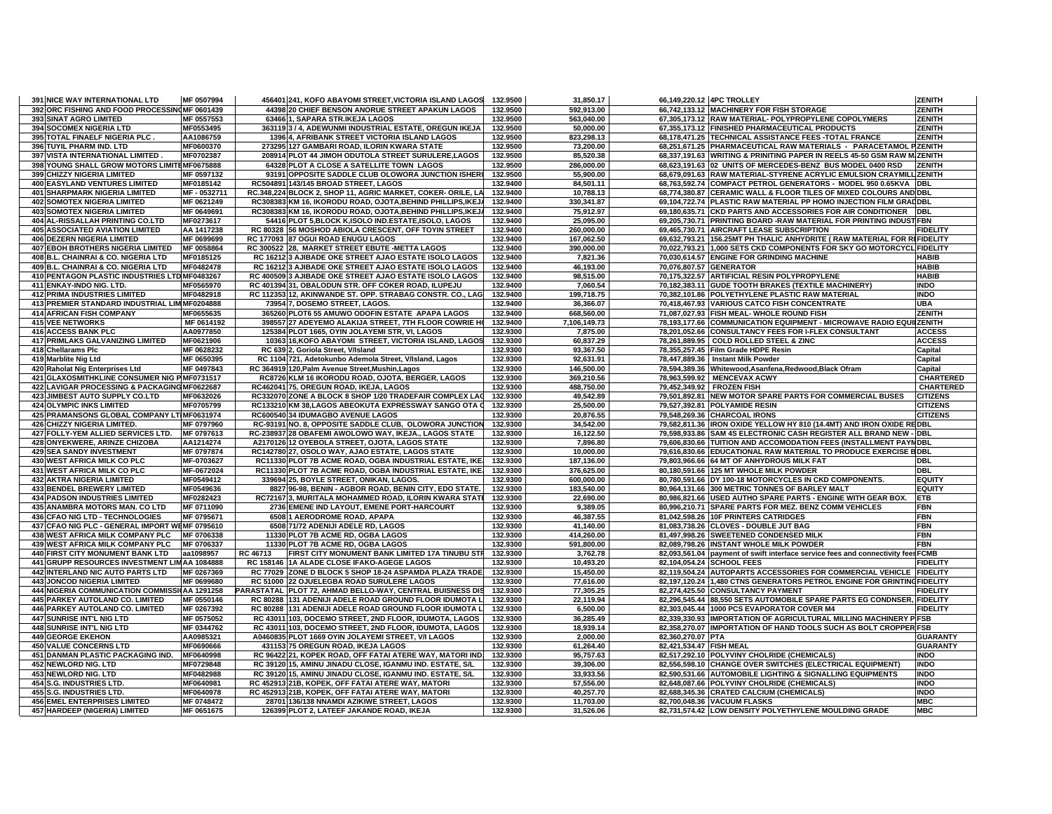| <b>391 NICE WAY INTERNATIONAL LTD</b><br>MF 0507994                                              | 456401 241, KOFO ABAYOMI STREET, VICTORIA ISLAND LAGOS                                  | 132.9500             | 31,850.17              | 66.149.220.12 4PC TROLLEY                                                            | <b>ZENITH</b>            |
|--------------------------------------------------------------------------------------------------|-----------------------------------------------------------------------------------------|----------------------|------------------------|--------------------------------------------------------------------------------------|--------------------------|
| 392 ORC FISHING AND FOOD PROCESSING MF 0601439                                                   | 44398 20 CHIEF BENSON ANORUE STREET APAKUN LAGOS                                        | 132.9500             | 592,913.00             | 66,742,133.12 MACHINERY FOR FISH STORAGE                                             | <b>ZENITH</b>            |
| 393 SINAT AGRO LIMITED<br>MF 0557553                                                             | 63466 1, SAPARA STR.IKEJA LAGOS                                                         | 132.9500             | 563,040.00             | 67,305,173.12 RAW MATERIAL- POLYPROPYLENE COPOLYMERS                                 | <b>ZENITH</b>            |
| <b>394 SOCOMEX NIGERIA LTD</b><br>MF0553495                                                      | 363119 3 / 4, ADEWUNMI INDUSTRIAL ESTATE, OREGUN IKEJA                                  | 132.9500             | 50.000.00              | 67,355,173.12 FINISHED PHARMACEUTICAL PRODUCTS                                       | <b>ZENITH</b>            |
| 395 TOTAL FINAELF NIGERIA PLC.<br>AA1086759                                                      | 1396 4, AFRIBANK STREET VICTORIA ISLAND LAGOS                                           | 132.9500             | 823,298.13             | 68,178,471.25 TECHNICAL ASSISTANCE FEES TOTAL FRANCE                                 | <b>ZENITH</b>            |
| 396 TUYIL PHARM IND. LTD<br>MF0600370                                                            | 273295 127 GAMBARI ROAD, ILORIN KWARA STATE                                             | 132.9500             | 73,200.00              | 68,251,671.25 PHARMACEUTICAL RAW MATERIALS - PARACETAMOL PZENITH                     |                          |
| 397 VISTA INTERNATIONAL LIMITED<br>MF0702387                                                     | 208914 PLOT 44 JIMOH ODUTOLA STREET SURULERE, LAGOS                                     | 132.9500             | 85,520.38              | 68,337,191.63 WRITING & PRINITING PAPER IN REELS 45-50 GSM RAW M ZENITH              |                          |
| 398 YOUNG SHALL GROW MOTORS LIMITEMF0675888                                                      | 64328 PLOT A CLOSE A SATELLITE TOWN LAGOS                                               | 132.9500             | 286,000.00             | 68,623,191.63 02 UNITS OF MERCEDES-BENZ BUS MODEL 0400 RSD                           | <b>ZENITH</b>            |
| 399 CHIZZY NIGERIA LIMITED<br>MF 0597132                                                         | 93191 OPPOSITE SADDLE CLUB OLOWORA JUNCTION ISHERI                                      | 132.9500             | 55,900.00              | 68,679,091.63 RAW MATERIAL-STYRENE ACRYLIC EMULSION CRAYMILL ZENITH                  |                          |
| <b>400 EASYLAND VENTURES LIMITED</b><br>MF0185142                                                | RC504891 143/145 BROAD STREET, LAGOS                                                    | 132.9400             | 84,501.11              | 68,763,592.74 COMPACT PETROL GENERATORS - MODEL 950 0.65KVA DBL                      |                          |
| <b>401 SHARPMARK NIGERIA LIMITED</b><br>MF - 0532711                                             | RC.348,224 BLOCK 2, SHOP 11, AGRIC MARKET, COKER-ORILE, LA                              | 132.9400             | 10,788.13              | 68,774,380.87 CERAMIC WALL & FLOOR TILES OF MIXED COLOURS AND DBL                    |                          |
| <b>402 SOMOTEX NIGERIA LIMITED</b><br>MF 0621249                                                 | RC308383 KM 16. IKORODU ROAD, OJOTA BEHIND PHILLIPS IKEJ                                | 132.9400             | 330.341.87             | 69.104.722.74 PLASTIC RAW MATERIAL PP HOMO INJECTION FILM GRAIDBL                    |                          |
| <b>403 SOMOTEX NIGERIA LIMITED</b><br>MF 0649691                                                 | RC308383 KM 16, IKORODU ROAD, OJOTA, BEHIND PHILLIPS, IKEJ/                             | 132.9400             | 75,912.97              | 69,180,635.71 CKD PARTS AND ACCESSORIES FOR AIR CONDITIONER DBL                      |                          |
| 404 AL-RISSALLAH PRINTING CO.LTD<br>MF0273617                                                    | 54416 PLOT 5, BLOCK K, ISOLO IND.ESTATE, ISOLO, LAGOS                                   | 132.9400             | 25,095.00              | 69,205,730.71 PRINTING BOARD -RAW MATERIAL FOR PRINTING INDUST FBN                   |                          |
| <b>405 ASSOCIATED AVIATION LIMITED</b><br>AA 1417238                                             | RC 80328 56 MOSHOD ABIOLA CRESCENT, OFF TOYIN STREET                                    | 132.9400             | 260,000.00             | 69,465,730.71 AIRCRAFT LEASE SUBSCRIPTION                                            | <b>FIDELITY</b>          |
| <b>406 DEZERN NIGERIA LIMITED</b><br>MF 0699699                                                  | RC 177093 87 OGUI ROAD ENUGU LAGOS                                                      | 132.9400             | 167,062.50             | 69,632,793.21 156.25MT PH THALIC ANHYDRITE (RAW MATERIAL FOR RIFIDELITY              |                          |
| 407 EBOH BROTHERS NIGERIA LIMITED<br>MF 0058864                                                  | RC 300522 28, MARKET STREET EBUTE - METTA LAGOS                                         | 132.9400             | 390,000.00             | 70,022,793.21 1,000 SETS CKD COMPONENTS FOR SKY GO MOTORCYCL FIDELITY                |                          |
| 408 B.L. CHAINRAI & CO. NIGERIA LTD<br>MF0185125                                                 | RC 16212 3 AJIBADE OKE STREET AJAO ESTATE ISOLO LAGOS                                   | 132.9400             | 7,821.36               | 70,030,614.57 ENGINE FOR GRINDING MACHINE                                            | <b>HABIB</b>             |
| 409 B.L. CHAINRAI & CO. NIGERIA LTD<br>MF0482478                                                 | RC 16212 3 AJIBADE OKE STREET AJAO ESTATE ISOLO LAGOS                                   | 132.9400             | 46,193.00              | 70,076,807.57 GENERATOR                                                              | <b>HABIB</b>             |
| 410 PENTAGON PLASTIC INDUSTRIES LTD MF0483267                                                    | RC 400509 3 AJIBADE OKE STREET AJAO ESTATE ISOLO LAGOS                                  | 132.9400             | 98,515.00              | 70,175,322.57 ARTIFICIAL RESIN POLYPROPYLENE                                         | <b>HABIB</b>             |
| 411 ENKAY-INDO NIG. LTD.<br>MF0565970                                                            | RC 401394 31. OBALODUN STR. OFF COKER ROAD. ILUPEJU                                     | 132.9400             | 7,060.54               | 70,182,383.11 GUDE TOOTH BRAKES (TEXTILE MACHINERY)                                  | <b>INDO</b>              |
| <b>412 PRIMA INDUSTRIES LIMITED</b><br>MF0482918                                                 | RC 112353 12, AKINWANDE ST. OPP. STRABAG CONSTR. CO., LAG                               | 132.9400             | 199,718.75             | 70,382,101.86 POLYETHYLENE PLASTIC RAW MATERIAL                                      | <b>INDO</b>              |
| 413 PREMIER STANDARD INDUSTRIAL LIM MF0204888                                                    | 73954 7, DOSEMO STREET, LAGOS.                                                          | 132.9400             | 36,366.07              | 70.418.467.93 VARIOUS CATCO FISH CONCENTRATE                                         | <b>UBA</b>               |
| <b>414 AFRICAN FISH COMPANY</b><br>MF0655635                                                     | 365260 PLOT6 55 AMUWO ODOFIN ESTATE APAPA LAGOS                                         | 132.9400             | 668,560.00             | 71,087,027.93 FISH MEAL-WHOLE ROUND FISH                                             | <b>ZENITH</b>            |
| <b>415 VEE NETWORKS</b><br>MF 0614192                                                            | 398557 27 ADEYEMO ALAKIJA STREET, 7TH FLOOR COWRIE HO                                   | 132.9400             | 7,106,149.73           | 78,193,177.66 COMMUNICATION EQUIPMENT - MICROWAVE RADIO EQUIIZENITH                  |                          |
| 416 ACCESS BANK PLC<br>AA0977850                                                                 | 125384 PLOT 1665, OYIN JOLAYEMI STR, VI, LAGOS                                          | 132.9300             | 7,875.00               | 78,201,052.66 CONSULTANCY FEES FOR I-FLEX CONSULTANT                                 | <b>ACCESS</b>            |
| <b>417 PRIMLAKS GALVANIZING LIMITED</b><br>MF0621906                                             | 10363 16, KOFO ABAYOMI STREET, VICTORIA ISLAND, LAGOS                                   | 132.9300             | 60,837.29              | 78,261,889.95 COLD ROLLED STEEL & ZINC                                               | <b>ACCESS</b>            |
| 418 Chellarams Plc<br>MF 0628232                                                                 | RC 639 2, Goriola Street, V/Island                                                      | 132.9300             | 93,367.50              | 78,355,257.45 Film Grade HDPE Resin                                                  | Capital                  |
| MF 0650395<br>419 Marblite Nig Ltd                                                               | RC 1104 721, Adetokunbo Ademola Street, V/Island, Lagos                                 | 132.9300             | 92,631.91              | 78,447,889.36   Instant Milk Powder                                                  | Capital                  |
| 420 Raholat Nig Enterprises Ltd<br>MF 0497843                                                    | RC 364919 120, Palm Avenue Street, Mushin, Lagos                                        | 132.9300             | 146,500.00             | 78,594,389.36 Whitewood, Asanfena, Redwood, Black Ofram                              | Capital                  |
| 421 GLAXOSMITHKLINE CONSUMER NIG P MF0731517                                                     | RC8726 KLM 16 IKORODU ROAD, OJOTA, BERGER, LAGOS                                        | 132.9300             | 369,210.56             | 78,963,599.92 MENCEVAX ACWY                                                          | <b>CHARTERED</b>         |
| 422 LAVIGAR PROCESSING & PACKAGING MF0622687                                                     | RC462041 75, OREGUN ROAD, IKEJA, LAGOS                                                  | 132.9300             | 488,750.00             | 79,452,349.92 FROZEN FISH                                                            | <b>CHARTERED</b>         |
| 423 JIMBEST AUTO SUPPLY CO.LTD<br>MF0632026                                                      | RC332070 ZONE A BLOCK 8 SHOP 1/20 TRADEFAIR COMPLEX LAG                                 | 132.9300             | 49,542.89              | 79,501,892.81 NEW MOTOR SPARE PARTS FOR COMMERCIAL BUSES                             | <b>CITIZENS</b>          |
| MF0705799                                                                                        |                                                                                         |                      |                        |                                                                                      |                          |
|                                                                                                  |                                                                                         |                      |                        |                                                                                      |                          |
| <b>424 OLYMPIC INKS LIMITED</b>                                                                  | RC133210 KM 38,LAGOS ABEOKUTA EXPRESSWAY SANGO OTA C                                    | 132.9300             | 25.500.00              | 79,527,392.81 POLYAMIDE RESIN                                                        | <b>CITIZENS</b>          |
| 425 PRAMANSONS GLOBAL COMPANY LTIMF0631974                                                       | RC600540 34 IDUMAGBO AVENUE LAGOS                                                       | 132.9300             | 20,876.55              | 79,548,269.36 CHARCOAL IRONS                                                         | <b>CITIZENS</b>          |
| 426 CHIZZY NIGERIA LIMITED.<br>MF 0797960                                                        | RC-93191 NO. 8, OPPOSITE SADDLE CLUB, OLOWORA JUNCTION                                  | 132.9300             | 34,542.00              | 79,582,811.36  IRON OXIDE YELLOW HY 810 (14.4MT) AND IRON OXIDE REDBL                |                          |
| 427 FOLLY-YEM ALLIED SERVICES LTD.<br>MF 0797613                                                 | RC-238937 28 OBAFEMI AWOLOWO WAY, IKEJA., LAGOS STATE                                   | 132.9300             | 16,122.50              | 79,598,933.86 SAM 4S ELECTRONIC CASH REGISTER ALL BRAND NEW - DBL                    |                          |
| 428 ONYEKWERE, ARINZE CHIZOBA<br>AA1214274                                                       | A2170126 12 OYEBOLA STREET, OJOTA, LAGOS STATE                                          | 132.9300             | 7,896.80               | 79,606,830.66 TUITION AND ACCOMODATION FEES (INSTALLMENT PAYMDBL                     |                          |
| <b>429 SEA SANDY INVESTMENT</b><br>MF 0797874                                                    | RC142780 27, OSOLO WAY, AJAO ESTATE, LAGOS STATE                                        | 132.9300             | 10,000.00              | 79,616,830.66 EDUCATIONAL RAW MATERIAL TO PRODUCE EXERCISE BDBL                      |                          |
| 430 WEST AFRICA MILK CO PLC<br>MF-0703627                                                        | RC11330 PLOT 7B ACME ROAD, OGBA INDUSTRIAL ESTATE, IKE                                  | 132.9300             | 187,136.00             | 79,803,966.66 64 MT OF ANHYDROUS MILK FAT                                            | <b>DBL</b>               |
| 431 WEST AFRICA MILK CO PLC<br>MF-0672024                                                        | RC11330 PLOT 7B ACME ROAD, OGBA INDUSTRIAL ESTATE, IKE                                  | 132.9300             | 376,625.00             | 80,180,591.66 125 MT WHOLE MILK POWDER                                               | <b>DBL</b>               |
| <b>432 AKTRA NIGERIA LIMITED</b><br>MF0549412                                                    | 339694 25, BOYLE STREET, ONIKAN, LAGOS.                                                 | 132.9300             | 600,000.00             | 80,780,591.66 DY 100-18 MOTORCYCLES IN CKD COMPONENTS.                               | <b>EQUITY</b>            |
| MF0549636<br><b>433 BENDEL BREWERY LIMITED</b>                                                   | 8827 96-98, BENIN - AGBOR ROAD, BENIN CITY, EDO STATE.                                  | 132.9300             | 183,540.00             | 80,964,131.66 300 METRIC TONNES OF BARLEY MALT                                       | <b>EQUITY</b>            |
| <b>434 PADSON INDUSTRIES LIMITED</b><br>MF0282423                                                | RC72167 3, MURITALA MOHAMMED ROAD, ILORIN KWARA STATI                                   | 132.9300             | 22,690.00              | 80,986,821.66 USED AUTHO SPARE PARTS - ENGINE WITH GEAR BOX.                         | <b>ETB</b>               |
| 435 ANAMBRA MOTORS MAN. CO LTD<br>MF 0711090                                                     | 2736 EMENE IND LAYOUT, EMENE PORT-HARCOURT                                              | 132.9300             | 9,389.05               | 80,996,210.71 SPARE PARTS FOR MEZ. BENZ COMM VEHICLES                                | <b>FBN</b>               |
| MF 0795671<br>436 CFAO NIG LTD - TECHNOLOGIES                                                    | 6508 1 AERODROME ROAD, APAPA                                                            | 132.9300             | 46,387.55              | 81,042,598.26 10F PRINTERS CATRIDGES                                                 | <b>FBN</b>               |
| 437 CFAO NIG PLC - GENERAL IMPORT WEMF 0795610                                                   | 6508 71/72 ADENIJI ADELE RD, LAGOS                                                      | 132.9300             | 41,140.00              | 81,083,738.26 CLOVES - DOUBLE JUT BAG                                                | <b>FBN</b>               |
| <b>438 WEST AFRICA MILK COMPANY PLC</b><br>MF 0706338                                            | 11330 PLOT 7B ACME RD, OGBA LAGOS                                                       | 132.9300             | 414,260.00             | 81,497,998.26 SWEETENED CONDENSED MILK                                               | <b>FBN</b>               |
| <b>439 WEST AFRICA MILK COMPANY PLC</b><br>MF 0706337                                            | 11330 PLOT 7B ACME RD. OGBA LAGOS                                                       | 132.9300             | 591.800.00             | 82.089.798.26 INSTANT WHOLE MILK POWDER                                              | <b>FBN</b>               |
| 440 FIRST CITY MONUMENT BANK LTD<br>aa1098957                                                    | RC 46713<br>FIRST CITY MONUMENT BANK LIMITED 17A TINUBU STF                             | 132.9300             | 3,762.78               | 82,093,561.04 payment of swift interface service fees and connectivity fees FCMB     |                          |
| 441 GRUPP RESOURCES INVESTMENT LIMAA 1084888                                                     | RC 158146 1A ALADE CLOSE IFAKO-AGEGE LAGOS                                              | 132.9300             | 10,493.20              | 82,104,054.24 SCHOOL FEES                                                            | <b>FIDELITY</b>          |
| 442 INTERLAND NIC AUTO PARTS LTD<br>MF 0267369                                                   | RC 77029 ZONE D BLOCK 5 SHOP 18-24 ASPAMDA PLAZA TRADE                                  | 132.9300             | 15,450.00              | 82,119,504.24 AUTOPARTS ACCESSORIES FOR COMMERCIAL VEHICLE FIDELITY                  |                          |
| <b>443 JONCOD NIGERIA LIMITED</b><br>MF 0699680                                                  | RC 51000 22 OJUELEGBA ROAD SURULERE LAGOS                                               | 132.9300             | 77,616.00              | 82,197,120.24 1,480 CTNS GENERATORS PETROL ENGINE FOR GRINTING FIDELITY              |                          |
| 444 NIGERIA COMMUNICATION COMMISSICAA 1291258                                                    | PARASTATAL PLOT 72, AHMAD BELLO-WAY, CENTRAL BUISNESS DIS                               | 132.9300             | 77,305.25              | 82,274,425.50 CONSULTANCY PAYMENT                                                    | <b>FIDELITY</b>          |
| 445 PARKEY AUTOLAND CO. LIMITED<br>MF 0550146                                                    | RC 80288 131 ADENIJI ADELE ROAD GROUND FLOOR IDUMOTA L                                  | 132.9300             | 22,119.94              | 82,296,545.44 88,550 SETS AUTOMOBILE SPARE PARTS EG CONDNSER,                        | <b>FIDELITY</b>          |
| <b>446 PARKEY AUTOLAND CO. LIMITED</b><br>MF 0267392                                             | RC 80288 131 ADENIJI ADELE ROAD GROUND FLOOR IDUMOTA L                                  | 132.9300             | 6,500.00               | 82.303.045.44 1000 PCS EVAPORATOR COVER M4                                           | <b>FIDELITY</b>          |
| 447 SUNRISE INT'L NIG LTD<br>MF 0575052                                                          | RC 43011 103, DOCEMO STREET, 2ND FLOOR, IDUMOTA, LAGOS                                  | 132.9300             | 36,285.49              | 82,339,330.93 IMPORTATION OF AGRICULTURAL MILLING MACHINERY P FSB                    |                          |
| 448 SUNRISE INT'L NIG LTD<br>MF 0344762                                                          | RC 43011 103, DOCEMO STREET, 2ND FLOOR, IDUMOTA, LAGOS                                  | 132.9300             | 18,939.14              | 82,358,270.07 IMPORTATION OF HAND TOOLS SUCH AS BOLT CROPPER FSB                     |                          |
| AA0985321<br><b>449 GEORGE EKEHON</b>                                                            | A0460835 PLOT 1669 OYIN JOLAYEMI STREET, V/I LAGOS                                      | 132.9300             | 2,000.00               | 82,360,270.07 PTA                                                                    | <b>GUARANTY</b>          |
| <b>450 VALUE CONCERNS LTD</b><br>MF0690666                                                       | 431153 75 OREGUN ROAD, IKEJA LAGOS                                                      | 132.9300             | 61.264.40              | 82.421.534.47 FISH MEAL                                                              | <b>GUARANTY</b>          |
| 451 DANMAN PLASTIC PACKAGING IND.<br>MF0640998                                                   | RC 96422 21, KOPEK ROAD, OFF FATAI ATERE WAY, MATORI IND.                               | 132.9300             | 95,757.63              | 82,517,292.10 POLYVINY CHOLRIDE (CHEMICALS)                                          | <b>INDO</b>              |
| 452 NEWLORD NIG. LTD<br>MF0729848                                                                | RC 39120 15, AMINU JINADU CLOSE, IGANMU IND. ESTATE, S/L                                | 132.9300             | 39,306.00              | 82,556,598.10 CHANGE OVER SWITCHES (ELECTRICAL EQUIPMENT)                            | <b>INDO</b>              |
| 453 NEWLORD NIG. LTD<br>MF0482988                                                                | RC 39120 15, AMINU JINADU CLOSE, IGANMU IND. ESTATE, S/L                                | 132.9300             | 33,933.56              | 82,590,531.66 AUTOMOBILE LIGHTING & SIGNALLING EQUIPMENTS                            | <b>INDO</b>              |
| MF0640981<br>454 S.G. INDUSTRIES LTD.                                                            | RC 452913 21B, KOPEK, OFF FATAI ATERE WAY, MATORI                                       | 132.9300             | 57,556.00              | 82,648,087.66 POLYVINY CHOLRIDE (CHEMICALS)                                          | <b>INDO</b>              |
| 455 S.G. INDUSTRIES LTD.<br>MF0640978                                                            | RC 452913 21B, KOPEK, OFF FATAI ATERE WAY, MATORI                                       | 132.9300             | 40,257.70              | 82,688,345.36 CRATED CALCIUM (CHEMICALS)                                             | <b>INDO</b>              |
| <b>456 EMEL ENTERPRISES LIMITED</b><br>MF 0748472<br>457 HARDEEP (NIGERIA) LIMITED<br>MF 0651675 | 28701 136/138 NNAMDI AZIKIWE STREET, LAGOS<br>126399 PLOT 2, LATEEF JAKANDE ROAD, IKEJA | 132.9300<br>132.9300 | 11,703.00<br>31,526.06 | 82,700,048.36 VACUUM FLASKS<br>82,731,574.42 LOW DENSITY POLYETHYLENE MOULDING GRADE | <b>MBC</b><br><b>MBC</b> |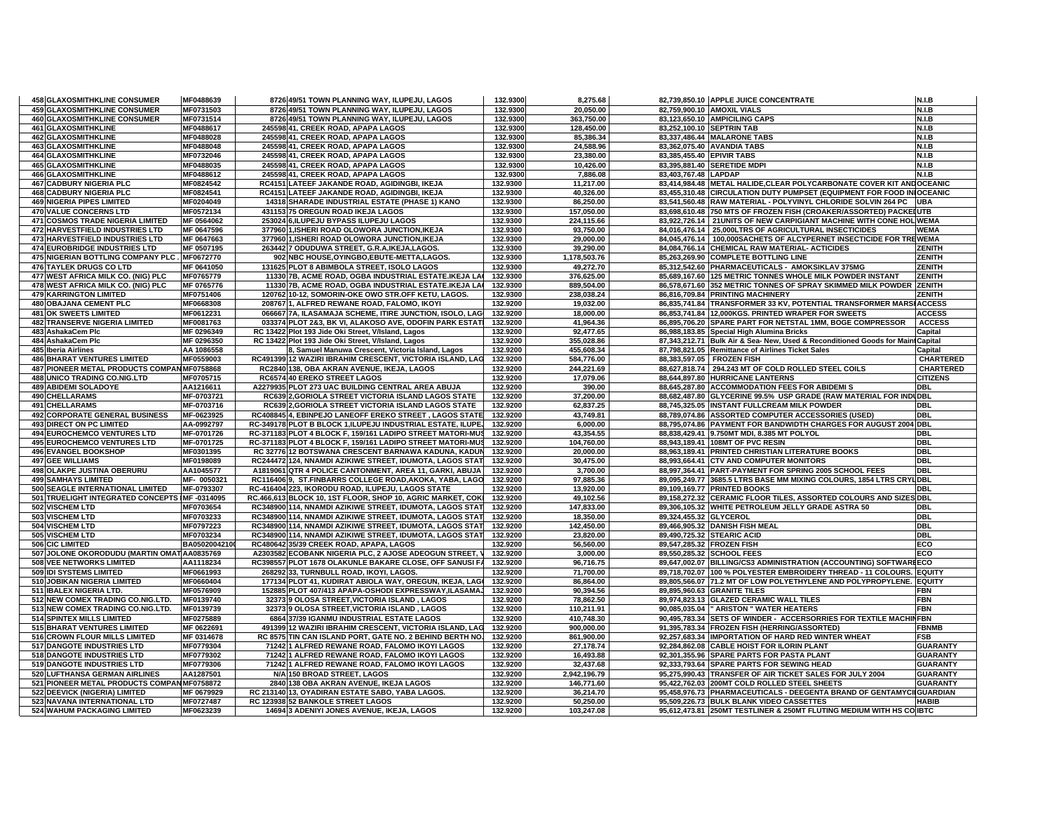| <b>458 GLAXOSMITHKLINE CONSUMER</b>            | MF0488639     | 8726 49/51 TOWN PLANNING WAY, ILUPEJU, LAGOS                | 132.9300 | 8,275.68     |                           | 82,739,850.10 APPLE JUICE CONCENTRATE                                           | N.I.B            |
|------------------------------------------------|---------------|-------------------------------------------------------------|----------|--------------|---------------------------|---------------------------------------------------------------------------------|------------------|
| <b>459 GLAXOSMITHKLINE CONSUMER</b>            | MF0731503     | 8726 49/51 TOWN PLANNING WAY, ILUPEJU, LAGOS                | 132.9300 | 20,050.00    |                           | 82,759,900.10 AMOXIL VIALS                                                      | N.I.B            |
| 460 GLAXOSMITHKLINE CONSUMER                   | MF0731514     | 8726 49/51 TOWN PLANNING WAY, ILUPEJU, LAGOS                | 132.9300 | 363,750.00   |                           | 83,123,650.10 AMPICILING CAPS                                                   | N.I.B            |
| <b>461 GLAXOSMITHKLINE</b>                     | MF0488617     | 245598 41, CREEK ROAD, APAPA LAGOS                          | 132.9300 | 128.450.00   |                           | 83,252,100.10 SEPTRIN TAB                                                       | N.I.B            |
| <b>462 GLAXOSMITHKLINE</b>                     | MF0488028     | 245598 41, CREEK ROAD, APAPA LAGOS                          | 132.9300 | 85,386.34    |                           | 83,337,486.44 MALARONE TABS                                                     | N.I.B            |
| <b>463 GLAXOSMITHKLINE</b>                     | MF0488048     | 245598 41, CREEK ROAD, APAPA LAGOS                          | 132.9300 | 24,588.96    |                           | 83,362,075.40 AVANDIA TABS                                                      | N.I.B            |
| 464 GLAXOSMITHKLINE                            | MF0732046     | 245598 41, CREEK ROAD, APAPA LAGOS                          | 132.9300 | 23,380.00    | 83,385,455.40 EPIVIR TABS |                                                                                 | N.I.B            |
| <b>465 GLAXOSMITHKLINE</b>                     | MF0488035     | 245598 41, CREEK ROAD, APAPA LAGOS                          | 132.9300 | 10,426.00    |                           | 83,395,881.40 SERETIDE MDPI                                                     | N.I.B            |
| <b>466 GLAXOSMITHKLINE</b>                     | MF0488612     | 245598 41, CREEK ROAD, APAPA LAGOS                          | 132.9300 | 7,886.08     | 83,403,767.48 LAPDAP      |                                                                                 | N.I.B            |
| <b>467 CADBURY NIGERIA PLC</b>                 | MF0824542     | RC4151 LATEEF JAKANDE ROAD, AGIDINGBI, IKEJA                | 132.9300 | 11,217.00    |                           | 83,414,984.48 METAL HALIDE, CLEAR POLYCARBONATE COVER KIT AND OCEANIC           |                  |
| <b>468 CADBURY NIGERIA PLC</b>                 | MF0824541     | RC4151 LATEEF JAKANDE ROAD, AGIDINGBI, IKEJA                | 132.9300 | 40,326.00    |                           | 83,455,310.48 CIRCULATION DUTY PUMPSET (EQUIPMENT FOR FOOD IN OCEANIC           |                  |
| <b>469 NIGERIA PIPES LIMITED</b>               | MF0204049     | 14318 SHARADE INDUSTRIAL ESTATE (PHASE 1) KANO              | 132.9300 | 86,250.00    |                           | 83,541,560.48 RAW MATERIAL - POLYVINYL CHLORIDE SOLVIN 264 PC UBA               |                  |
| <b>470 VALUE CONCERNS LTD</b>                  | MF0572134     | 431153 75 OREGUN ROAD IKEJA LAGOS                           | 132.9300 | 157.050.00   |                           | 83,698,610.48 750 MTS OF FROZEN FISH (CROAKER/ASSORTED) PACKEIUTB               |                  |
| <b>471 COSMOS TRADE NIGERIA LIMITED</b>        | MF 0564062    | 253024 6, ILUPEJU BYPASS ILUPEJU LAGOS                      | 132.9300 | 224,115.66   |                           | 83,922,726.14   21UNITS OF NEW CARPIGIANT MACHINE WITH CONE HOL WEMA            |                  |
| 472 HARVESTFIELD INDUSTRIES LTD                | MF 0647596    | 377960 1, ISHERI ROAD OLOWORA JUNCTION, IKEJA               | 132.9300 | 93,750.00    |                           | 84,016,476.14 25,000LTRS OF AGRICULTURAL INSECTICIDES                           | <b>WEMA</b>      |
| <b>473 HARVESTFIELD INDUSTRIES LTD</b>         | MF 0647663    | 377960 1, ISHERI ROAD OLOWORA JUNCTION, IKEJA               | 132.9300 | 29,000.00    |                           | 84,045,476.14   100,000SACHETS OF ALCYPERNET INSECTICIDE FOR TREWEMA            |                  |
| <b>474 EUROBRIDGE INDUSTRIES LTD</b>           | MF 0507195    | 263442 7 ODUDUWA STREET, G.R.A, IKEJA, LAGOS.               | 132.9300 | 39,290.00    |                           | 84,084,766.14 CHEMICAL RAW MATERIAL-ACTICIDES                                   | ZENITH           |
| 475 NIGERIAN BOTTLING COMPANY PLC.             | MF0672770     | 902 NBC HOUSE, OYINGBO, EBUTE-METTA, LAGOS.                 | 132.9300 | 1,178,503.76 |                           | 85,263,269.90 COMPLETE BOTTLING LINE                                            | <b>ZENITH</b>    |
| 476 TAYLEK DRUGS CO LTD                        | MF 0641050    | 131625 PLOT 8 ABIMBOLA STREET, ISOLO LAGOS                  | 132.9300 | 49,272.70    |                           | 85,312,542.60 PHARMACEUTICALS - AMOKSIKLAV 375MG                                | <b>ZENITH</b>    |
| 477 WEST AFRICA MILK CO. (NIG) PLC             | MF0765779     | 11330 7B, ACME ROAD, OGBA INDUSTRIAL ESTATE.IKEJA LA        | 132.9300 | 376,625.00   |                           | 85,689,167.60 125 METRIC TONNES WHOLE MILK POWDER INSTANT                       | <b>ZENITH</b>    |
| 478 WEST AFRICA MILK CO. (NIG) PLC             | MF 0765776    | 11330 7B, ACME ROAD, OGBA INDUSTRIAL ESTATE.IKEJA LA        | 132.9300 | 889,504.00   |                           | 86,578,671.60 352 METRIC TONNES OF SPRAY SKIMMED MILK POWDER ZENITH             |                  |
| <b>479 KARRINGTON LIMITED</b>                  | MF0751406     | 120762 10-12, SOMORIN-OKE OWO STR.OFF KETU, LAGOS.          | 132.9300 | 238,038.24   |                           | 86,816,709.84 PRINTING MACHINERY                                                | ZENITH           |
| <b>480 OBAJANA CEMENT PLC</b>                  | MF0668308     | 208767 1. ALFRED REWANE ROAD, FALOMO, IKOYI                 | 132.9200 | 19,032.00    |                           | 86,835,741.84 TRANSFORMER 33 KV, POTENTIAL TRANSFORMER MARSI ACCESS             |                  |
| <b>481 OK SWEETS LIMITED</b>                   | MF0612231     | 066667 7A, ILASAMAJA SCHEME, ITIRE JUNCTION, ISOLO, LAG     | 132.9200 | 18,000.00    |                           | 86,853,741.84 12,000KGS. PRINTED WRAPER FOR SWEETS                              | <b>ACCESS</b>    |
| <b>482 TRANSERVE NIGERIA LIMITED</b>           | MF0081763     | 033374 PLOT 2&3, BK VI, ALAKOSO AVE, ODOFIN PARK ESTATI     | 132.9200 | 41,964.36    |                           | 86,895,706.20 SPARE PART FOR NETSTAL 1MM, BOGE COMPRESSOR                       | <b>ACCESS</b>    |
| 483 AshakaCem Plc                              | MF 0296349    | RC 13422 Plot 193 Jide Oki Street, V/Island, Lagos          | 132.9200 | 92,477.65    |                           | 86,988,183.85 Special High Alumina Bricks                                       | Capital          |
| 484 AshakaCem Plc                              | MF 0296350    | RC 13422 Plot 193 Jide Oki Street, V/Island, Lagos          | 132.9200 | 355,028.86   |                           | 87,343,212.71 Bulk Air & Sea- New, Used & Reconditioned Goods for Maint Capital |                  |
| 485 Iberia Airlines                            | AA 1086558    | 8, Samuel Manuwa Crescent, Victoria Island, Lagos           | 132.9200 | 455,608.34   |                           | 87,798,821.05 Remittance of Airlines Ticket Sales                               | Capital          |
| <b>486 BHARAT VENTURES LIMITED</b>             | MF0559003     | RC491399 12 WAZIRI IBRAHIM CRESCENT, VICTORIA ISLAND, LAG   | 132.9200 | 584,776.00   |                           | 88,383,597.05 FROZEN FISH                                                       | <b>CHARTERED</b> |
| 487 PIONEER METAL PRODUCTS COMPAN MF0758868    |               | RC2840 138, OBA AKRAN AVENUE, IKEJA, LAGOS                  | 132.9200 | 244,221.69   |                           | 88,627,818.74 294.243 MT OF COLD ROLLED STEEL COILS                             | <b>CHARTERED</b> |
| 488 UNICO TRADING CO.NIG.LTD                   | MF0705715     | RC6574 40 EREKO STREET LAGOS                                | 132.9200 | 17,079.06    |                           | 88,644,897.80 HURRICANE LANTERNS                                                | <b>CITIZENS</b>  |
| <b>489 ABIDEMI SOLADOYE</b>                    | AA1216611     | A2279935 PLOT 273 UAC BUILDING CENTRAL AREA ABUJA           | 132.9200 | 390.00       |                           | 88,645,287.80 ACCOMMODATION FEES FOR ABIDEMI S                                  | <b>DBL</b>       |
| 490 CHELLARAMS                                 | MF-0703721    | RC639 2, GORIOLA STREET VICTORIA ISLAND LAGOS STATE         | 132.9200 | 37,200.00    |                           | 88,682,487.80 GLYCERINE 99.5% USP GRADE (RAW MATERIAL FOR INDUDBL               |                  |
| 491 CHELLARAMS                                 | MF-0703716    | RC639 2, GORIOLA STREET VICTORIA ISLAND LAGOS STATE         | 132.9200 | 62,837.25    |                           | 88,745,325.05 INSTANT FULLCREAM MILK POWDER                                     | DBL              |
| <b>492 CORPORATE GENERAL BUSINESS</b>          | MF-0623925    | RC408845 4, EBINPEJO LANEOFF EREKO STREET, LAGOS STATE      | 132.9200 | 43,749.81    |                           | 88,789,074.86 ASSORTED COMPUTER ACCESSORIES (USED)                              | <b>DBL</b>       |
| <b>493 DIRECT ON PC LIMITED</b>                | AA-0992797    | RC-349178 PLOT B BLOCK 1, ILUPEJU INDUSTRIAL ESTATE, ILUPE, | 132.9200 | 6,000.00     |                           | 88,795,074.86 PAYMENT FOR BANDWIDTH CHARGES FOR AUGUST 2004 DBL                 |                  |
| <b>494 EUROCHEMCO VENTURES LTD</b>             | MF-0701726    | RC-371183 PLOT 4 BLOCK F, 159/161 LADIPO STREET MATORI-MUS  | 132.9200 | 43,354.55    |                           | 88,838,429.41 9.750MT MDI, 8.385 MT POLYOL                                      | <b>DBL</b>       |
| <b>495 EUROCHEMCO VENTURES LTD</b>             | MF-0701725    | RC-371183 PLOT 4 BLOCK F, 159/161 LADIPO STREET MATORI-MUS  | 132.9200 | 104.760.00   |                           | 88,943,189.41 108MT OF PVC RESIN                                                | <b>DBL</b>       |
| <b>496 EVANGEL BOOKSHOP</b>                    | MF0301395     | RC 32776 12 BOTSWANA CRESCENT BARNAWA KADUNA, KADUN         | 132.9200 | 20,000.00    |                           | 88,963,189.41 PRINTED CHRISTIAN LITERATURE BOOKS                                | <b>DBL</b>       |
| <b>497 GEE WILLIAMS</b>                        | MF0198089     | RC244472 124, NNAMDI AZIKIWE STREET, IDUMOTA, LAGOS STAT    | 132.9200 | 30,475.00    |                           | 88,993,664.41 CTV AND COMPUTER MONITORS                                         | <b>DBL</b>       |
| 498 OLAKPE JUSTINA OBERURU                     | AA1045577     | A1819061 QTR 4 POLICE CANTONMENT, AREA 11, GARKI, ABUJA     | 132.9200 | 3,700.00     |                           | 88,997,364.41 PART-PAYMENT FOR SPRING 2005 SCHOOL FEES                          | <b>DBL</b>       |
| <b>499 SAMHAYS LIMITED</b>                     | MF-0050321    | RC116406 9, ST.FINBARRS COLLEGE ROAD, AKOKA, YABA, LAGO     | 132.9200 | 97.885.36    |                           | 89,095,249.77 3685.5 LTRS BASE MM MIXING COLOURS, 1854 LTRS CRYLDBL             |                  |
| 500 SEAGLE INTERNATIONAL LIMITED               | MF-0793307    | RC-416404 223, IKORODU ROAD, ILUPEJU, LAGOS STATE           | 132.9200 | 13,920.00    |                           | 89,109,169.77 PRINTED BOOKS                                                     | <b>DBL</b>       |
| 501 TRUELIGHT INTEGRATED CONCEPTS IMF -0314095 |               | RC.466,613 BLOCK 10, 1ST FLOOR, SHOP 10, AGRIC MARKET, COKI | 132.9200 | 49,102.56    |                           | 89,158,272.32 CERAMIC FLOOR TILES, ASSORTED COLOURS AND SIZES DBL               |                  |
| 502 VISCHEM LTD                                | MF0703654     | RC348900 114, NNAMDI AZIKIWE STREET, IDUMOTA, LAGOS STAT    | 132.9200 | 147,833.00   |                           | 89,306,105.32 WHITE PETROLEUM JELLY GRADE ASTRA 50                              | <b>DBL</b>       |
| 503 VISCHEM LTD                                | MF0703233     | RC348900 114, NNAMDI AZIKIWE STREET, IDUMOTA, LAGOS STAT    | 132.9200 | 18,350.00    | 89,324,455.32 GLYCEROL    |                                                                                 | <b>DBL</b>       |
| 504 VISCHEM LTD                                | MF0797223     | RC348900 114, NNAMDI AZIKIWE STREET, IDUMOTA, LAGOS STAT    | 132.9200 | 142,450.00   |                           | 89,466,905.32 DANISH FISH MEAL                                                  | <b>DBL</b>       |
| 505 VISCHEM LTD                                | MF0703234     | RC348900 114, NNAMDI AZIKIWE STREET, IDUMOTA, LAGOS STAT    | 132.9200 | 23,820.00    |                           | 89,490,725.32 STEARIC ACID                                                      | <b>DBL</b>       |
| 506 CIC LIMITED                                | BA05020042100 | RC480642 35/39 CREEK ROAD, APAPA, LAGOS                     | 132.9200 | 56,560.00    |                           | 89,547,285.32 FROZEN FISH                                                       | ECO              |
| 507 JOLONE OKORODUDU (MARTIN OMAT AA0835769    |               | A2303582 ECOBANK NIGERIA PLC, 2 AJOSE ADEOGUN STREET,       | 132.9200 | 3,000.00     |                           | 89,550,285.32 SCHOOL FEES                                                       | ECO              |
| <b>508 VEE NETWORKS LIMITED</b>                | AA1118234     | RC398557 PLOT 1678 OLAKUNLE BAKARE CLOSE, OFF SANUSI FA     | 132.9200 | 96.716.75    |                           | 89,647,002.07 BILLING/CS3 ADMINISTRATION (ACCOUNTING) SOFTWAREECO               |                  |
| 509 IDI SYSTEMS LIMITED                        | MF0661993     | 268292 33, TURNBULL ROAD, IKOYI, LAGOS.                     | 132.9200 | 71,700.00    |                           | 89,718,702.07 100 % POLYESTER EMBROIDERY THREAD - 11 COLOURS. EQUITY            |                  |
| 510 JOBIKAN NIGERIA LIMITED                    | MF0660404     | 177134 PLOT 41, KUDIRAT ABIOLA WAY, OREGUN, IKEJA, LAGI     | 132.9200 | 86,864.00    |                           | 89,805,566.07 71.2 MT OF LOW POLYETHYLENE AND POLYPROPYLENE. EQUITY             |                  |
| 511 IBALEX NIGERIA LTD.                        | MF0576909     | 152885 PLOT 407/413 APAPA-OSHODI EXPRESSWAY, ILASAMAJ       | 132.9200 | 90,394.56    |                           | 89,895,960.63 GRANITE TILES                                                     | <b>FBN</b>       |
| 512 NEW COMEX TRADING CO.NIG.LTD.              | MF0139740     | 32373 9 OLOSA STREET, VICTORIA ISLAND, LAGOS                | 132.9200 | 78.862.50    |                           | 89,974,823.13 GLAZED CERAMIC WALL TILES                                         | <b>FBN</b>       |
| 513 NEW COMEX TRADING CO.NIG.LTD.              | MF0139739     | 32373 9 OLOSA STREET, VICTORIA ISLAND, LAGOS                | 132.9200 | 110,211.91   |                           | 90,085,035.04   ARISTON " WATER HEATERS                                         | <b>FBN</b>       |
| 514 SPINTEX MILLS LIMITED                      | MF0275889     | 6864 37/39 IGANMU INDUSTRIAL ESTATE LAGOS                   | 132.9200 | 410,748.30   |                           | 90,495,783.34 SETS OF WINDER - ACCERSORRIES FOR TEXTILE MACHINFBN               |                  |
| 515 BHARAT VENTURES LIMITED                    | MF 0622691    | 491399 12 WAZIRI IBRAHIM CRESCENT, VICTORIA ISLAND, LAG     | 132.9200 | 900,000.00   |                           | 91,395,783.34 FROZEN FISH (HERRING/ASSORTED)                                    | <b>FBNMB</b>     |
| 516 CROWN FLOUR MILLS LIMITED                  | MF 0314678    | RC 8575 TIN CAN ISLAND PORT, GATE NO. 2 BEHIND BERTH NO.    | 132.9200 | 861,900.00   |                           | 92,257,683.34 IMPORTATION OF HARD RED WINTER WHEAT                              | <b>FSB</b>       |
| 517 DANGOTE INDUSTRIES LTD                     | MF0779304     | 71242 1 ALFRED REWANE ROAD, FALOMO IKOYI LAGOS              | 132.9200 | 27,178.74    |                           | 92,284,862.08 CABLE HOIST FOR ILORIN PLANT                                      | <b>GUARANTY</b>  |
| <b>518 DANGOTE INDUSTRIES LTD</b>              | MF0779302     | 71242 1 ALFRED REWANE ROAD, FALOMO IKOYI LAGOS              | 132.9200 | 16,493.88    |                           | 92,301,355.96 SPARE PARTS FOR PASTA PLANT                                       | <b>GUARANTY</b>  |
| 519 DANGOTE INDUSTRIES LTD                     | MF0779306     | 71242 1 ALFRED REWANE ROAD, FALOMO IKOYI LAGOS              | 132.9200 | 32,437.68    |                           | 92,333,793.64 SPARE PARTS FOR SEWING HEAD                                       | <b>GUARANTY</b>  |
| 520 LUFTHANSA GERMAN AIRLINES                  | AA1287501     | N/A 150 BROAD STREET, LAGOS                                 | 132.9200 | 2,942,196.79 |                           | 95,275,990.43 TRANSFER OF AIR TICKET SALES FOR JULY 2004                        | <b>GUARANTY</b>  |
| 521 PIONEER METAL PRODUCTS COMPAN MF0758872    |               | 2840 138 OBA AKRAN AVENUE, IKEJA LAGOS                      | 132.9200 | 146,771.60   |                           | 95,422,762.03 200MT COLD ROLLED STEEL SHEETS                                    | <b>GUARANTY</b>  |
| 522 DEEVICK (NIGERIA) LIMITED                  | MF 0679929    | RC 213140 13, OYADIRAN ESTATE SABO, YABA LAGOS.             | 132.9200 | 36,214.70    |                           | 95,458,976.73 PHARMACEUTICALS - DEEGENTA BRAND OF GENTAMYCIIGUARDIAN            |                  |
| 523 NAVANA INTERNATIONAL LTD                   | MF0727487     | RC 123938 52 BANKOLE STREET LAGOS                           | 132.9200 | 50,250.00    |                           | 95,509,226.73 BULK BLANK VIDEO CASSETTES                                        | <b>HABIB</b>     |
| <b>524 WAHUM PACKAGING LIMITED</b>             | MF0623239     | 14694 3 ADENIYI JONES AVENUE, IKEJA, LAGOS                  | 132.9200 | 103.247.08   |                           | 95,612,473.81 250MT TESTLINER & 250MT FLUTING MEDIUM WITH HS CO IBTC            |                  |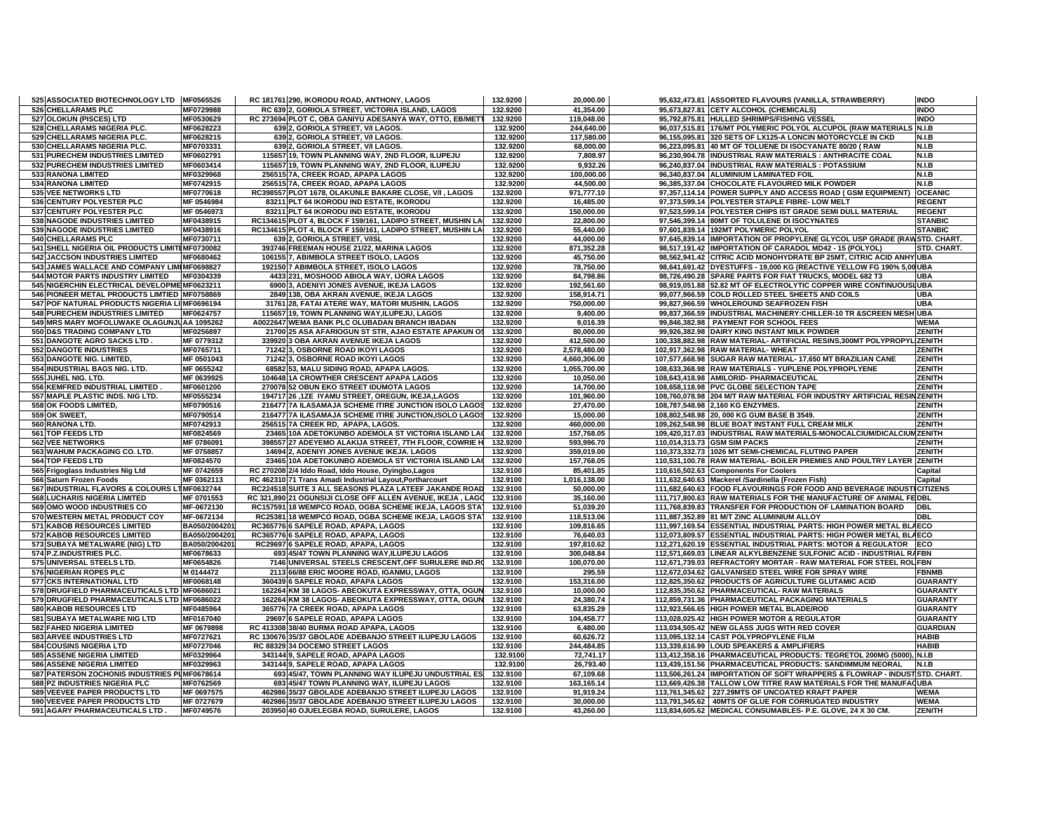| 525 ASSOCIATED BIOTECHNOLOGY LTD MF0565526     |               | RC 181761 290, IKORODU ROAD, ANTHONY, LAGOS                | 132.9200 | 20,000.00    | 95,632,473.81 ASSORTED FLAVOURS (VANILLA, STRAWBERRY)                      | <b>INDO</b>     |
|------------------------------------------------|---------------|------------------------------------------------------------|----------|--------------|----------------------------------------------------------------------------|-----------------|
| 526 CHELLARAMS PLC                             | MF0729988     | RC 639 2, GORIOLA STREET, VICTORIA ISLAND, LAGOS           | 132.9200 | 41,354.00    | 95,673,827.81 CETY ALCOHOL (CHEMICALS)                                     | <b>INDO</b>     |
| 527 OLOKUN (PISCES) LTD                        | MF0530629     | RC 273694 PLOT C, OBA GANIYU ADESANYA WAY, OTTO, EB/METT   | 132.9200 | 119.048.00   | 95.792.875.81 HULLED SHRIMPS/FISHING VESSEL                                | <b>INDO</b>     |
| 528 CHELLARAMS NIGERIA PLC.                    | MF0628223     | 639 2, GORIOLA STREET, V/I LAGOS.                          | 132.9200 | 244,640.00   | 96,037,515.81 176/MT POLYMERIC POLYOL ALCUPOL (RAW MATERIAL                | $S$ N.I.B       |
| 529 CHELLARAMS NIGERIA PLC.                    | MF0628215     | 639 2, GORIOLA STREET, V/I LAGOS.                          | 132.9200 | 117,580.00   | 96,155,095.81 320 SETS OF LX125-A LONCIN MOTORCYCLE IN CKD                 | N.I.B           |
| 530 CHELLARAMS NIGERIA PLC.                    | MF0703331     | 639 2, GORIOLA STREET, V/I LAGOS.                          | 132.9200 | 68,000.00    | 96,223,095.81 40 MT OF TOLUENE DI ISOCYANATE 80/20 ( RAW                   | N.I.B           |
| 531 PURECHEM INDUSTRIES LIMITED                | MF0602791     | 115657 19, TOWN PLANNING WAY, 2ND FLOOR, ILUPEJU           | 132.9200 | 7,808.97     | 96,230,904.78 INDUSTRIAL RAW MATERIALS : ANTHRACITE COAL                   | N.I.B           |
| 532 PURECHEM INDUSTRIES LIMITED                | MF0603414     | 115657 19, TOWN PLANNING WAY, 2ND FLOOR, ILUPEJU           | 132.9200 | 9,932.26     | 96,240,837.04 INDUSTRIAL RAW MATERIALS : POTASSIUM                         | N.I.B           |
| <b>533 RANONA LIMITED</b>                      | MF0329968     | 256515 7A, CREEK ROAD, APAPA LAGOS                         | 132.9200 | 100,000.00   | 96,340,837.04 ALUMINIUM LAMINATED FOIL                                     | N.I.B           |
| <b>534 RANONA LIMITED</b>                      | MF0742915     | 256515 7A, CREEK ROAD, APAPA LAGOS                         | 132.9200 | 44,500.00    | 96,385,337.04 CHOCOLATE FLAVOURED MILK POWDER                              | N.I.B           |
| 535 VEE NETWORKS LTD                           | MF0770618     | RC398557 PLOT 1678, OLAKUNLE BAKARE CLOSE, V/I, LAGOS      | 132.9200 | 971,777.10   | 97,357,114.14 POWER SUPPLY AND ACCESS ROAD (GSM EQUIPMENT) OCEANIC         |                 |
| 536 CENTURY POLYESTER PLC                      | MF 0546984    | 83211 PLT 64 IKORODU IND ESTATE, IKORODU                   | 132.9200 | 16,485.00    | 97,373,599.14 POLYESTER STAPLE FIBRE- LOW MELT                             | <b>REGENT</b>   |
|                                                |               |                                                            | 132.9200 |              |                                                                            | <b>REGENT</b>   |
| 537 CENTURY POLYESTER PLC                      | MF 0546973    | 83211 PLT 64 IKORODU IND ESTATE, IKORODU                   |          | 150,000.00   | 97,523,599.14 POLYESTER CHIPS IST GRADE SEMI DULL MATERIAL                 |                 |
| 538 NAGODE INDUSTRIES LIMITED                  | MF0438915     | RC134615 PLOT 4, BLOCK F 159/161, LADIPO STREET, MUSHIN LA | 132.9200 | 22,800.00    | 97,546,399.14 80MT OF TOLULENE DI ISOCYNATES                               | <b>STANBIC</b>  |
| 539 NAGODE INDUSTRIES LIMITED                  | MF0438916     | RC134615 PLOT 4, BLOCK F 159/161, LADIPO STREET, MUSHIN LA | 132.9200 | 55,440.00    | 97,601,839.14 192MT POLYMERIC POLYOL                                       | <b>STANBIC</b>  |
| 540 CHELLARAMS PLC                             | MF0730711     | 639 2, GORIOLA STREET, V/ISL                               | 132.9200 | 44,000.00    | 97,645,839.14 IMPORTATION OF PROPYLENE GLYCOL USP GRADE (RAWSTD. CHART     |                 |
| 541 SHELL NIGERIA OIL PRODUCTS LIMITEMF0730082 |               | 393746 FREEMAN HOUSE 21/22, MARINA LAGOS                   | 132.9200 | 871,352.28   | 98,517,191.42 IMPORTATION OF CARADOL MD42 - 15 (POLYOL)                    | STD. CHART.     |
| <b>542 JACCSON INDUSTRIES LIMITED</b>          | MF0680462     | 106155 7, ABIMBOLA STREET ISOLO, LAGOS                     | 132.9200 | 45,750.00    | 98,562,941.42 CITRIC ACID MONOHYDRATE BP 25MT, CITRIC ACID ANHY UBA        |                 |
| 543 JAMES WALLACE AND COMPANY LIMIMF0698827    |               | 192150 7 ABIMBOLA STREET, ISOLO LAGOS                      | 132.9200 | 78,750.00    | 98,641,691.42 DYESTUFFS - 19,000 KG (REACTIVE YELLOW FG 190% 5,00 UBA      |                 |
| <b>544 MOTOR PARTS INDUSTRY LIMITED</b>        | MF0304339     | 4433 231, MOSHOOD ABIOLA WAY, IJORA LAGOS                  | 132.9200 | 84,798.86    | 98,726,490.28 SPARE PARTS FOR FIAT TRUCKS, MODEL 682 T3                    | <b>UBA</b>      |
| 545 NIGERCHIN ELECTRICAL DEVELOPME MF0623211   |               | 6900 3, ADENIYI JONES AVENUE, IKEJA LAGOS                  | 132.9200 | 192,561.60   | 98,919,051.88 52.82 MT OF ELECTROLYTIC COPPER WIRE CONTINUOUSLUBA          |                 |
| 546 PIONEER METAL PRODUCTS LIMTIED MF0758869   |               | 2849 138, OBA AKRAN AVENUE, IKEJA LAGOS                    | 132.9200 | 158.914.71   | 99,077,966.59 COLD ROLLED STEEL SHEETS AND COILS                           | <b>UBA</b>      |
| 547 POF NATURAL PRODUCTS NIGERIA LIIMF0696194  |               | 31761 28, FATAI ATERE WAY, MATORI MUSHIN, LAGOS            | 132.9200 | 750,000.00   | 99,827,966.59 WHOLEROUND SEAFROZEN FISH                                    | <b>UBA</b>      |
| <b>548 PURECHEM INDUSTRIES LIMITED</b>         | MF0624757     | 115657 19. TOWN PLANNING WAY ILUPEJU, LAGOS                | 132.9200 | 9,400.00     | 99.837.366.59 INDUSTRIAL MACHINERY: CHILLER-10 TR & SCREEN MESH UBA        |                 |
| 549 MRS MARY MOFOLUWAKE OLAGUNJUAA 1095262     |               | A0022647 WEMA BANK PLC OLUBADAN BRANCH IBADAN              | 132.9200 | 9,016.39     | 99,846,382.98 PAYMENT FOR SCHOOL FEES                                      | WEMA            |
| 550 D&S TRADING COMPANY LTD                    | MF0256897     | 21700 25 ASA AFARIOGUN ST STR. AJAO ESTATE APAKUN OS       | 132.9200 | 80.000.00    | 99,926,382.98 DAIRY KING INSTANT MILK POWDER                               | <b>ZENITH</b>   |
|                                                |               |                                                            |          |              |                                                                            |                 |
| 551 DANGOTE AGRO SACKS LTD.                    | MF 0779312    | 339920 3 OBA AKRAN AVENUE IKEJA LAGOS                      | 132.9200 | 412,500.00   | 100,338,882.98 RAW MATERIAL- ARTIFICIAL RESINS,300MT POLYPROPYL ZENITH     |                 |
| <b>552 DANGOTE INDUSTRIES</b>                  | MF0765711     | 71242 3, OSBORNE ROAD IKOYI LAGOS                          | 132.9200 | 2,578,480.00 | 102,917,362.98 RAW MATERIAL- WHEAT                                         | ZENITH          |
| 553 DANGOTE NIG. LIMITED,                      | MF 0501043    | 71242 3, OSBORNE ROAD IKOYI LAGOS                          | 132.9200 | 4,660,306.00 | 107,577,668.98 SUGAR RAW MATERIAL-17,650 MT BRAZILIAN CANE                 | <b>ZENITH</b>   |
| 554 INDUSTRIAL BAGS NIG. LTD.                  | MF 0655242    | 68582 53, MALU SIDING ROAD, APAPA LAGOS.                   | 132.9200 | 1,055,700.00 | 108,633,368.98 RAW MATERIALS - YUPLENE POLYPROPLYENE                       | <b>ZENITH</b>   |
| 555 JUHEL NIG. LTD.                            | MF 0639925    | 104648 1A CROWTHER CRESCENT APAPA LAGOS                    | 132.9200 | 10,050.00    | 108,643,418.98 AMILORID- PHARMACEUTICAL                                    | <b>ZENITH</b>   |
| 556 KEMFRED INDUSTRIAL LIMITED                 | MF0601200     | 270078 52 OBUN EKO STREET IDUMOTA LAGOS                    | 132.9200 | 14,700.00    | 108,658,118.98 PVC GLOBE SELECTION TAPE                                    | <b>ZENITH</b>   |
| 557 MAPLE PLASTIC INDS. NIG LTD.               | MF0555234     | 194717 26 ,1ZE IYAMU STREET, OREGUN, IKEJA,LAGOS           | 132.9200 | 101,960.00   | 108,760,078.98 204 M/T RAW MATERIAL FOR INDUSTRY ARTIFICIAL RESINZENITH    |                 |
| 558 OK FOODS LIMITED,                          | MF0790516     | 216477 7A ILASAMAJA SCHEME ITIRE JUNCTION ISOLO LAGOS      | 132.9200 | 27,470.00    | 108,787,548.98 2,160 KG ENZYMES                                            | ZENITH          |
| 559 OK SWEET,                                  | MF0790514     | 216477 7A ILASAMAJA SCHEME ITIRE JUNCTION, ISOLO LAGOS     | 132.9200 | 15.000.00    | 108,802,548.98 20, 000 KG GUM BASE B 3549.                                 | <b>ZENITH</b>   |
| 560 RANONA LTD.                                | MF0742913     | 256515 7A CREEK RD, APAPA, LAGOS.                          | 132.9200 | 460,000.00   | 109,262,548.98 BLUE BOAT INSTANT FULL CREAM MILK                           | ZENITH          |
| 561 TOP FEEDS LTD                              | MF0824569     | 23465 10A ADETOKUNBO ADEMOLA ST VICTORIA ISLAND LAC        | 132.9200 | 157,768.05   | 109,420,317.03 INDUSTRIAL RAW MATERIALS-MONOCALCIUM/DICALCIUMZENITH        |                 |
| <b>562 VEE NETWORKS</b>                        | MF 0786091    | 398557 27 ADEYEMO ALAKIJA STREET, 7TH FLOOR, COWRIE H      | 132.9200 | 593,996.70   | 110,014,313.73 GSM SIM PACKS                                               | <b>ZENITH</b>   |
|                                                | MF 0758857    |                                                            | 132.9200 | 359.019.00   |                                                                            | <b>ZENITH</b>   |
| 563 WAHUM PACKAGING CO. LTD.                   |               | 14694 2, ADENIYI JONES AVENUE IKEJA. LAGOS                 |          |              | 110,373,332.73 1026 MT SEMI-CHEMICAL FLUTING PAPER                         |                 |
| 564 TOP FEEDS LTD                              | MF0824570     | 23465 10A ADETOKUNBO ADEMOLA ST VICTORIA ISLAND LAO        | 132.9200 | 157,768.05   | 110,531,100.78 RAW MATERIAL- BOILER PREMIES AND POULTRY LAYER ZENITH       |                 |
| 565 Frigoglass Industries Nig Ltd              | MF 0742659    | RC 270208 2/4 Iddo Road, Iddo House, Oyingbo, Lagos        | 132.9100 | 85.401.85    | 110,616,502.63 Components For Coolers                                      | Capital         |
| 566 Saturn Frozen Foods                        | MF 0362113    | RC 462310 71 Trans Amadi Industrial Layout, Portharcourt   | 132.9100 | 1,016,138.00 | 111,632,640.63 Mackerel /Sardinella (Frozen Fish)                          | Capital         |
| 567 INDUSTRIAL FLAVORS & COLOURS LTMF0632744   |               | RC224518 SUITE 3 ALL SEASONS PLAZA LATEEF JAKANDE ROAD     | 132.9100 | 50,000.00    | 111,682,640.63 FOOD FLAVOURINGS FOR FOOD AND BEVERAGE INDUSTICITIZENS      |                 |
| <b>568 LUCHARIS NIGERIA LIMITED</b>            | MF 0701553    | RC 321,890 21 OGUNSIJI CLOSE OFF ALLEN AVENUE, IKEJA, LAGO | 132.9100 | 35,160.00    | 111,717,800.63 RAW MATERIALS FOR THE MANUFACTURE OF ANIMAL FEDBL           |                 |
| 569 OMO WOOD INDUSTRIES CO                     | MF-0672130    | RC157591 18 WEMPCO ROAD, OGBA SCHEME IKEJA, LAGOS STA      | 132.9100 | 51,039.20    | 111,768,839.83 TRANSFER FOR PRODUCTION OF LAMINATION BOARD                 | <b>DBL</b>      |
| 570 WESTERN METAL PRODUCT COY                  | MF-0672134    | RC25381 18 WEMPCO ROAD, OGBA SCHEME IKEJA, LAGOS STA       | 132.9100 | 118,513.06   | 111,887,352.89 81 M/T ZINC ALUMINIUM ALLOY                                 | <b>DBL</b>      |
| 571 KABOB RESOURCES LIMITED                    | BA050/2004201 | RC365776 6 SAPELE ROAD, APAPA, LAGOS                       | 132.9100 | 109,816.65   | 111,997,169.54 ESSENTIAL INDUSTRIAL PARTS: HIGH POWER METAL BLAECO         |                 |
| 572 KABOB RESOURCES LIMITED                    | BA050/2004201 | RC365776 6 SAPELE ROAD, APAPA, LAGOS                       | 132.9100 | 76.640.03    | 112,073,809.57 ESSENTIAL INDUSTRIAL PARTS: HIGH POWER METAL BLAECO         |                 |
| 573 SUBAYA METALWARE (NIG) LTD                 | BA050/2004201 | RC29697 6 SAPELE ROAD, APAPA, LAGOS                        | 132.9100 | 197,810.62   | 112,271,620.19 ESSENTIAL INDUSTRIAL PARTS: MOTOR & REGULATOR ECO           |                 |
| 574 P.Z.INDUSTRIES PLC.                        | MF0678633     | 693 45/47 TOWN PLANNING WAY, ILUPEJU LAGOS                 | 132.9100 | 300,048.84   | 112,571,669.03 LINEAR ALKYLBENZENE SULFONIC ACID - INDUSTRIAL RAFBN        |                 |
| 575 UNIVERSAL STEELS LTD.                      | MF0654826     | 7146 UNIVERSAL STEELS CRESCENT, OFF SURULERE IND.RO        | 132.9100 | 100,070.00   | 112,671,739.03 REFRACTORY MORTAR - RAW MATERIAL FOR STEEL ROL FBN          |                 |
|                                                |               |                                                            |          |              |                                                                            |                 |
| 576 NIGERIAN ROPES PLC                         | M 0144472     | 2113 66/88 ERIC MOORE ROAD, IGANMU, LAGOS                  | 132.9100 | 295.59       | 112,672,034.62 GALVANISED STEEL WIRE FOR SPRAY WIRE                        | <b>FBNMB</b>    |
| 577 CKS INTERNATIONAL LTD                      | MF0068148     | 360439 6 SAPELE ROAD, APAPA LAGOS                          | 132.9100 | 153,316.00   | 112,825,350.62 PRODUCTS OF AGRICULTURE GLUTAMIC ACID                       | <b>GUARANTY</b> |
| 578 DRUGFIELD PHARMACEUTICALS LTD MF0686021    |               | 162264 KM 38 LAGOS- ABEOKUTA EXPRESSWAY, OTTA, OGUN        | 132.9100 | 10,000.00    | 112,835,350.62 PHARMACEUTICAL-RAW MATERIALS                                | <b>GUARANTY</b> |
| 579 DRUGFIELD PHARMACEUTICALS LTD MF0686022    |               | 162264 KM 38 LAGOS- ABEOKUTA EXPRESSWAY, OTTA, OGUN        | 132.9100 | 24,380.74    | 112,859,731.36 PHARMACEUTICAL PACKAGING MATERIALS                          | <b>GUARANTY</b> |
| 580 KABOB RESOURCES LTD                        | MF0485964     | 365776 7A CREEK ROAD, APAPA LAGOS                          | 132.9100 | 63,835.29    | 112,923,566.65 HIGH POWER METAL BLADE/ROD                                  | <b>GUARANTY</b> |
| 581 SUBAYA METALWARE NIG LTD                   | MF0167040     | 29697 6 SAPELE ROAD, APAPA LAGOS                           | 132.9100 | 104,458.77   | 113,028,025.42 HIGH POWER MOTOR & REGULATOR                                | <b>GUARANTY</b> |
| <b>582 FAHED NIGERIA LIMITED</b>               | MF 0679898    | RC 413308 38/40 BURMA ROAD APAPA, LAGOS                    | 132.9100 | 6.480.00     | 113.034.505.42 NEW GLASS JUGS WITH RED COVER                               | <b>GUARDIAN</b> |
| 583 ARVEE INDUSTRIES LTD                       | MF0727621     | RC 130676 35/37 GBOLADE ADEBANJO STREET ILUPEJU LAGOS      | 132.9100 | 60,626.72    | 113,095,132.14 CAST POLYPROPYLENE FILM                                     | <b>HABIB</b>    |
| 584 COUSINS NIGERIA LTD                        | MF0727046     | RC 88329 34 DOCEMO STREET LAGOS                            | 132.9100 | 244,484.85   | 113,339,616.99 LOUD SPEAKERS & AMPLIFIERS                                  | <b>HABIB</b>    |
| 585 ASSENE NIGERIA LIMITED                     | MF0329964     | 343144 9, SAPELE ROAD, APAPA LAGOS                         | 132.9100 | 72,741.17    | 113,412,358.16 PHARMACEUTICAL PRODUCTS: TEGRETOL 200MG (5000), N.I.B       |                 |
| 586 ASSENE NIGERIA LIMITED                     | MF0329963     | 343144 9, SAPELE ROAD, APAPA LAGOS                         | 132.9100 | 26,793.40    | 113,439,151.56 PHARMACEUTICAL PRODUCTS: SANDIMMUM NEORAL                   | N.I.B           |
| 587 PATERSON ZOCHONIS INDUSTRIES PLMF0678614   |               | 693 45/47, TOWN PLANNING WAY ILUPEJU UNDUSTRIAL ES         | 132.9100 | 67,109.68    | 113,506,261.24 IMPORTATION OF SOFT WRAPPERS & FLOWRAP - INDUST STD. CHART. |                 |
| 588 PZ INDUSTRIES NIGERIA PLC                  | MF0762569     | 693 45/47 TOWN PLANNING WAY, ILUPEJU LAGOS                 | 132.9100 | 163,165.14   | 113,669,426.38 TALLOW LOW TITRE RAW MATERIALS FOR THE MANUFAQUBA           |                 |
|                                                |               |                                                            |          |              |                                                                            |                 |
| 589 VEEVEE PAPER PRODUCTS LTD                  | MF 0697575    | 462986 35/37 GBOLADE ADEBANJO STREET ILUPEJU LAGOS         | 132.9100 | 91,919.24    | 113,761,345.62 227.29MTS OF UNCOATED KRAFT PAPER                           | <b>WEMA</b>     |
| 590 VEEVEE PAPER PRODUCTS LTD                  | MF 0727679    | 462986 35/37 GBOLADE ADEBANJO STREET ILUPEJU LAGOS         | 132.9100 | 30,000.00    | 113,791,345.62 40MTS OF GLUE FOR CORRUGATED INDUSTRY                       | <b>WEMA</b>     |
| 591 AGARY PHARMACEUTICALS LTD                  | MF0749576     | 203950 40 OJUELEGBA ROAD, SURULERE, LAGOS                  | 132.9100 | 43.260.00    | 113,834,605.62 MEDICAL CONSUMABLES- P.E. GLOVE, 24 X 30 CM.                | <b>ZENITH</b>   |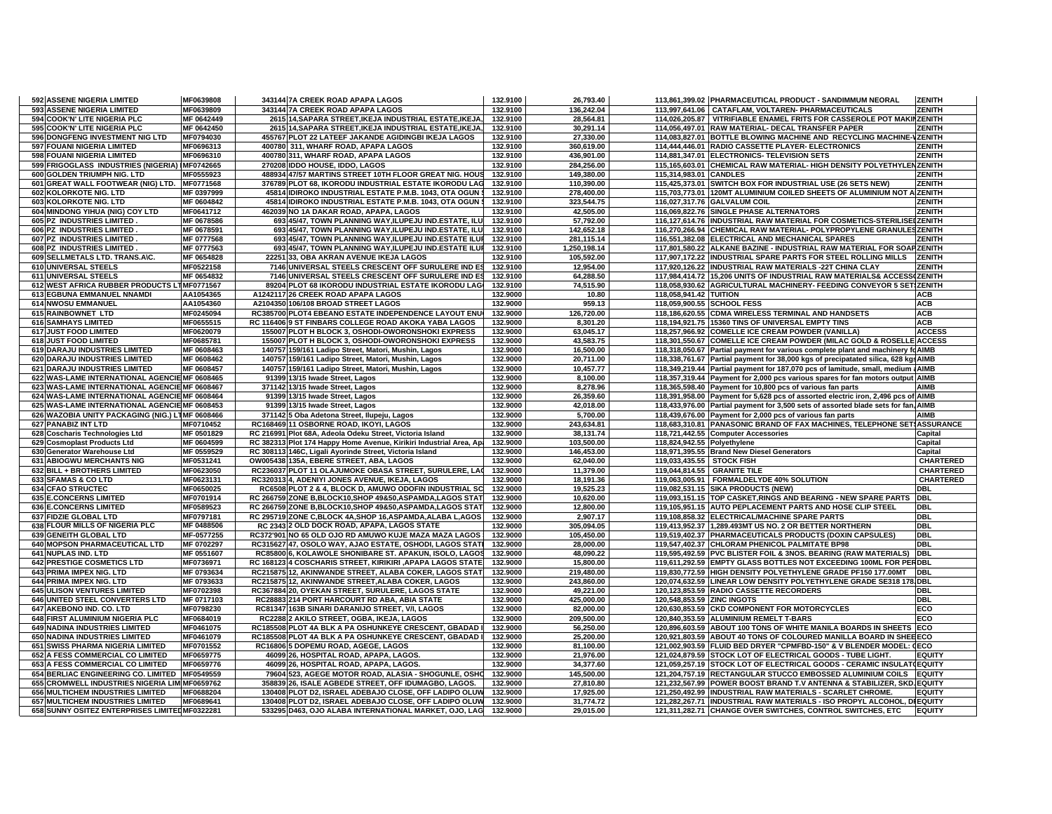| 592 ASSENE NIGERIA LIMITED<br>MF0639808              | 343144 7A CREEK ROAD APAPA LAGOS                                                                               | 132.9100             | 26,793.40              |                             | 113,861,399.02 PHARMACEUTICAL PRODUCT - SANDIMMUM NEORAL                           | <b>ZENITH</b>    |
|------------------------------------------------------|----------------------------------------------------------------------------------------------------------------|----------------------|------------------------|-----------------------------|------------------------------------------------------------------------------------|------------------|
| 593 ASSENE NIGERIA LIMITED<br>MF0639809              | 343144 7A CREEK ROAD APAPA LAGOS                                                                               | 132.9100             | 136,242.04             |                             | 113,997,641.06 CATAFLAM, VOLTAREN- PHARMACEUTICALS                                 | <b>ZENITH</b>    |
| 594 COOK'N' LITE NIGERIA PLC<br>MF 0642449           | 2615 14, SAPARA STREET, IKEJA INDUSTRIAL ESTATE, IKEJA,                                                        | 132.9100             | 28,564.81              |                             | 114,026,205.87   VITRIFIABLE ENAMEL FRITS FOR CASSEROLE POT MAKINZENITH            |                  |
| MF 0642450<br>595 COOK'N' LITE NIGERIA PLC           | 2615 14, SAPARA STREET, IKEJA INDUSTRIAL ESTATE, IKEJA,                                                        | 132.9100             | 30,291.14              |                             | 114,056,497.01 RAW MATERIAL- DECAL TRANSFER PAPER                                  | <b>ZENITH</b>    |
| 596 DONGFENG INVESTMENT NIG LTD<br>MF0794030         | 455767 PLOT 22 LATEEF JAKANDE AGIDINGBI IKEJA LAGOS                                                            | 132.9100             | 27,330.00              |                             | 114,083,827.01 BOTTLE BLOWING MACHINE AND RECYCLING MACHINE-VZENITH                |                  |
| 597 FOUANI NIGERIA LIMITED<br>MF0696313              | 400780 311, WHARF ROAD, APAPA LAGOS                                                                            | 132.9100             | 360,619.00             |                             | 114,444,446.01 RADIO CASSETTE PLAYER- ELECTRONICS                                  | ZENITH           |
| 598 FOUANI NIGERIA LIMITED<br>MF0696310              | 400780 311, WHARF ROAD, APAPA LAGOS                                                                            | 132.9100             | 436,901.00             |                             | 114,881,347.01 ELECTRONICS- TELEVISION SETS                                        | <b>ZENITH</b>    |
| 599 FRIGOGLASS INDUSTRIES (NIGERIA) IMF0742665       | 270208 IDDO HOUSE, IDDO, LAGOS                                                                                 | 132.9100             | 284,256.00             |                             | 115,165,603.01 CHEMICAL RAW MATERIAL- HIGH DENSITY POLYETHYLENZENITH               |                  |
| 600 GOLDEN TRIUMPH NIG. LTD<br>MF0555923             | 488934 47/57 MARTINS STREET 10TH FLOOR GREAT NIG. HOUS                                                         | 132.9100             | 149,380.00             | 115,314,983.01 CANDLES      |                                                                                    | ZENITH           |
|                                                      |                                                                                                                |                      |                        |                             |                                                                                    |                  |
| 601 GREAT WALL FOOTWEAR (NIG) LTD.<br>MF0771568      | 376789 PLOT 68, IKORODU INDUSTRIAL ESTATE IKORODU LAG                                                          | 132.9100             | 110,390.00             |                             | 115,425,373.01 SWITCH BOX FOR INDUSTRIAL USE (26 SETS NEW)                         | <b>ZENITH</b>    |
| 602 KOLORKOTE NIG. LTD<br>MF 0397999                 | 45814 IDIROKO INDUSTRIAL ESTATE P.M.B. 1043, OTA OGUN \$                                                       | 132.9100             | 278,400.00             |                             | 115,703,773.01   120MT ALUMINIUM COILED SHEETS OF ALUMINIUM NOT A ZENITH           |                  |
| 603 KOLORKOTE NIG. LTD<br>MF 0604842                 | 45814 IDIROKO INDUSTRIAL ESTATE P.M.B. 1043, OTA OGUN \$                                                       | 132.9100             | 323,544.75             |                             | 116,027,317.76 GALVALUM COIL                                                       | <b>ZENITH</b>    |
| 604 MINDONG YIHUA (NIG) COY LTD<br>MF0641712         | 462039 NO 1A DAKAR ROAD, APAPA, LAGOS                                                                          | 132.9100             | 42,505.00              |                             | 116,069,822.76 SINGLE PHASE ALTERNATORS                                            | ZENITH           |
| 605 PZ INDUSTRIES LIMITED<br>MF 0678586              | 693 45/47, TOWN PLANNING WAY, ILUPEJU IND ESTATE, ILU                                                          | 132.9100             | 57,792.00              |                             | 116,127,614.76  INDUSTRIAL RAW MATERIAL FOR COSMETICS-STERILISE ZENITH             |                  |
| 606 PZ INDUSTRIES LIMITED<br>MF 0678591              | 693 45/47. TOWN PLANNING WAY ILUPEJU IND ESTATE, ILU                                                           | 132.9100             | 142,652.18             |                             | 116.270.266.94 CHEMICAL RAW MATERIAL- POLYPROPYLENE GRANULESZENITH                 |                  |
| 607 PZ INDUSTRIES LIMITED<br>MF 0777568              | 693 45/47, TOWN PLANNING WAY, ILUPEJU IND ESTATE ILUF                                                          | 132.9100             | 281,115.14             |                             | 116,551,382.08 ELECTRICAL AND MECHANICAL SPARES                                    | ZENITH           |
| 608 PZ INDUSTRIES LIMITED.<br>MF 0777563             | 693 45/47. TOWN PLANNING WAY ILUPEJU IND ESTATE ILUF                                                           | 132.9100             | 1.250.198.14           |                             | 117.801.580.22 ALKANE BAZINE - INDUSTRIAL RAW MATERIAL FOR SOAPZENITH              |                  |
| 609 SELLMETALS LTD. TRANS.A\C.<br>MF 0654828         | 22251 33, OBA AKRAN AVENUE IKEJA LAGOS                                                                         | 132.9100             | 105,592.00             |                             | 117,907,172.22 INDUSTRIAL SPARE PARTS FOR STEEL ROLLING MILLS   ZENITH             |                  |
| 610 UNIVERSAL STEELS<br>MF0522158                    | 7146 UNIVERSAL STEELS CRESCENT OFF SURULERE IND ES                                                             | 132.9100             | 12,954.00              |                             | 117,920,126.22 INDUSTRIAL RAW MATERIALS - 22T CHINA CLAY                           | ZENITH           |
| 611 UNIVERSAL STEELS<br>MF 0654832                   |                                                                                                                | 132.9100             | 64,288.50              |                             | 117,984,414.72 15,206 UNITS OF INDUSTRIAL RAW MATERIALS& ACCESS(ZENITH             |                  |
|                                                      | 7146 UNIVERSAL STEELS CRESCENT OFF SURULERE IND ES                                                             |                      |                        |                             |                                                                                    |                  |
| 612 WEST AFRICA RUBBER PRODUCTS LTMF0771567          | 89204 PLOT 68 IKORODU INDUSTRIAL ESTATE IKORODU LAG                                                            | 132.9100             | 74,515.90              |                             | 118,058,930.62 AGRICULTURAL MACHINERY- FEEDING CONVEYOR 5 SETIZENITH               |                  |
| 613 EGBUNA EMMANUEL NNAMDI<br>AA1054365              | A1242117 26 CREEK ROAD APAPA LAGOS                                                                             | 132.9000             | 10.80                  | 118,058,941.42 TUITION      |                                                                                    | <b>ACB</b>       |
| 614 NWOSU EMMANUEL<br>AA1054360                      | A2104350 106/108 BROAD STREET LAGOS                                                                            | 132.9000             | 959.13                 |                             | 118,059,900.55 SCHOOL FESS                                                         | <b>ACB</b>       |
| 615 RAINBOWNET LTD<br>MF0245094                      | RC385700 PLOT4 EBEANO ESTATE INDEPENDENCE LAYOUT ENU                                                           | 132.9000             | 126,720.00             |                             | 118,186,620.55 CDMA WIRELESS TERMINAL AND HANDSETS                                 | <b>ACB</b>       |
| <b>616 SAMHAYS LIMITED</b><br>MF0655515              | RC 116406 9 ST FINBARS COLLEGE ROAD AKOKA YABA LAGOS                                                           | 132.9000             | 8,301.20               |                             | 118,194,921.75 15360 TINS OF UNIVERSAL EMPTY TINS                                  | <b>ACB</b>       |
| 617 JUST FOOD LIMITED<br>MF0620079                   | 155007 PLOT H BLOCK 3, OSHODI-OWORONSHOKI EXPRESS                                                              | 132.9000             | 63,045.17              |                             | 118,257,966.92 COMELLE ICE CREAM POWDER (VANILLA)                                  | <b>ACCESS</b>    |
| 618 JUST FOOD LIMITED<br>MF0685781                   | 155007 PLOT H BLOCK 3, OSHODI-OWORONSHOKI EXPRESS                                                              | 132.9000             | 43,583.75              |                             | 118,301,550.67 COMELLE ICE CREAM POWDER (MILAC GOLD & ROSELLE ACCESS               |                  |
| <b>619 DARAJU INDUSTRIES LIMITED</b><br>MF 0608463   | 140757 159/161 Ladipo Street, Matori, Mushin, Lagos                                                            | 132.9000             | 16,500.00              |                             | 118,318,050.67 Partial payment for various complete plant and machinery fo AIMB    |                  |
| 620 DARAJU INDUSTRIES LIMITED<br>MF 0608462          | 140757 159/161 Ladipo Street, Matori, Mushin, Lagos                                                            | 132.9000             | 20,711.00              |                             | 118,338,761.67 Partial payment for 38,000 kgs of precipatated silica, 628 kgs AIMB |                  |
| <b>621 DARAJU INDUSTRIES LIMITED</b><br>MF 0608457   | 140757 159/161 Ladipo Street, Matori, Mushin, Lagos                                                            | 132.9000             | 10.457.77              |                             | 118,349,219.44 Partial payment for 187,070 pcs of lamitude, small, medium (AIMB    |                  |
| 622 WAS-LAME INTERNATIONAL AGENCIE MF 0608465        | 91399 13/15 Iwade Street, Lagos                                                                                | 132.9000             | 8,100.00               |                             |                                                                                    |                  |
|                                                      |                                                                                                                |                      |                        |                             | 118,357,319.44 Payment for 2,000 pcs various spares for fan motors output AIMB     |                  |
| 623 WAS-LAME INTERNATIONAL AGENCIE MF 0608467        | 371142 13/15 Iwade Street, Lagos                                                                               | 132.9000             | 8,278.96               |                             | 118,365,598.40 Payment for 10,800 pcs of various fan parts                         | <b>AIMB</b>      |
| 624 WAS-LAME INTERNATIONAL AGENCIE MF 0608464        | 91399 13/15 Iwade Street, Lagos                                                                                | 132.9000             | 26,359.60              |                             | 118,391,958.00 Payment for 5,628 pcs of assorted electric iron, 2,496 pcs of AIMB  |                  |
| 625 WAS-LAME INTERNATIONAL AGENCIE MF 0608453        | 91399 13/15 Iwade Street, Lagos                                                                                | 132.9000             | 42,018.00              |                             | 118,433,976.00 Partial payment for 3,500 sets of assorted blade sets for fan. AIMB |                  |
| 626 WAZOBIA UNITY PACKAGING (NIG.) LTMF 0608466      | 371142 5 Oba Adetona Street, Ilupeju, Lagos                                                                    | 132.9000             | 5,700.00               |                             | 118,439,676.00 Payment for 2,000 pcs of various fan parts                          | <b>AIMB</b>      |
| 627 PANABIZ INT LTD<br>MF0710452                     | RC168469 11 OSBORNE ROAD, IKOYI, LAGOS                                                                         | 132.9000             | 243,634.81             |                             | 118,683,310.81 PANASONIC BRAND OF FAX MACHINES, TELEPHONE SET1ASSURANCE            |                  |
| 628 Coscharis Technologies Ltd<br>MF 0501829         | RC 216991 Plot 68A, Adeola Odeku Street, Victoria Island                                                       | 132.9000             | 38,131.74              |                             | 118,721,442.55 Computer Accessories                                                | Capital          |
| MF 0604599<br>629 Cosmoplast Products Ltd            | RC 382313 Plot 174 Happy Home Avenue, Kirikiri Industrial Area, Apa                                            | 132.9000             | 103,500.00             | 118,824,942.55 Polyethylene |                                                                                    | Capital          |
| MF 0559529<br>630 Generator Warehouse Ltd            | RC 308113 146C, Ligali Ayorinde Street, Victoria Island                                                        | 132.9000             | 146,453.00             |                             | 118,971,395.55 Brand New Diesel Generators                                         | Capital          |
| <b>631 ABIOGWU MERCHANTS NIG</b><br>MF0531241        | OW005438 135A. EBERE STREET. ABA. LAGOS                                                                        | 132.9000             | 62.040.00              | 119.033.435.55 STOCK FISH   |                                                                                    | <b>CHARTERED</b> |
| 632 BILL + BROTHERS LIMITED<br>MF0623050             | RC236037 PLOT 11 OLAJUMOKE OBASA STREET, SURULERE, LAC                                                         | 132.9000             | 11,379.00              |                             | 119,044,814.55 GRANITE TILE                                                        | <b>CHARTERED</b> |
| 633 SFAMAS & CO LTD<br>MF0623131                     | RC320313 4, ADENIYI JONES AVENUE, IKEJA, LAGOS                                                                 | 132.9000             | 18,191.36              |                             | 119,063,005.91 FORMALDELYDE 40% SOLUTION                                           | <b>CHARTERED</b> |
| <b>634 CFAO STRUCTEC</b><br>MF0650025                | RC6508 PLOT 2 & 4, BLOCK D, AMUWO ODOFIN INDUSTRIAL SC                                                         | 132.9000             | 19,525.23              |                             | 119,082,531.15 SIKA PRODUCTS (NEW)                                                 | <b>DBL</b>       |
|                                                      |                                                                                                                |                      |                        |                             |                                                                                    |                  |
| 635 E.CONCERNS LIMITED<br>MF0701914                  | RC 266759 ZONE B,BLOCK10,SHOP 49&50,ASPAMDA,LAGOS STAT                                                         | 132.9000             | 10,620.00              |                             | 119,093,151.15 TOP CASKET, RINGS AND BEARING - NEW SPARE PARTS DBL                 |                  |
| <b>636 E.CONCERNS LIMITED</b><br>MF0589523           | RC 266759 ZONE B,BLOCK10,SHOP 49&50,ASPAMDA,LAGOS STAT                                                         | 132.9000             | 12,800.00              |                             | 119,105,951.15 AUTO PEPLACEMENT PARTS AND HOSE CLIP STEEL                          | <b>DBL</b>       |
| 637 FIDZIE GLOBAL LTD<br>MF0797181                   | RC 295719 ZONE C,BLOCK 4A,SHOP 16,ASPAMDA,ALABA L,AGOS                                                         | 132.9000             | 2,907.17               |                             | 119,108,858.32 ELECTRICAL/MACHINE SPARE PARTS                                      | <b>DBL</b>       |
| 638 FLOUR MILLS OF NIGERIA PLC<br>MF 0488506         | RC 2343 2 OLD DOCK ROAD, APAPA, LAGOS STATE                                                                    | 132.9000             | 305,094.05             |                             | 119,413,952.37 1,289.493MT US NO. 2 OR BETTER NORTHERN                             | <b>DBL</b>       |
| 639 GENEITH GLOBAL LTD<br>MF-0577255                 | RC372'901 NO 65 OLD OJO RD AMUWO KUJE MAZA MAZA LAGOS                                                          | 132.9000             | 105,450.00             |                             | 119,519,402.37 PHARMACEUTICALS PRODUCTS (DOXIN CAPSULES)                           | <b>DBL</b>       |
| 640 MOPSON PHARMACEUTICAL LTD<br>MF 0702297          | RC315627 47, OSOLO WAY, AJAO ESTATE, OSHODI, LAGOS STATI                                                       | 132.9000             | 28,000.00              |                             | 119,547,402.37 CHLORAM PHENICOL PALMITATE BP98                                     | <b>DBL</b>       |
| 641 NUPLAS IND. LTD<br>MF 0551607                    | RC85800 6, KOLAWOLE SHONIBARE ST. APAKUN, ISOLO, LAGOS                                                         | 132.9000             | 48.090.22              |                             | 119,595,492.59 PVC BLISTER FOIL & 3NOS. BEARING (RAW MATERIALS)                    | <b>DBL</b>       |
| <b>642 PRESTIGE COSMETICS LTD</b><br>MF0736971       | RC 168123 4 COSCHARIS STREET, KIRIKIRI ,APAPA LAGOS STATE                                                      | 132.9000             | 15,800.00              |                             | 119,611,292.59 EMPTY GLASS BOTTLES NOT EXCEEDING 100ML FOR PERDBL                  |                  |
| 643 PRIMA IMPEX NIG. LTD<br>MF 0793634               | RC215875 12, AKINWANDE STREET, ALABA COKER, LAGOS STAT                                                         | 132.9000             | 219,480.00             |                             | 119,830,772.59 HIGH DENSITY POLYETHYLENE GRADE PF150 177.00MT                      | <b>DBL</b>       |
| 644 PRIMA IMPEX NIG. LTD<br>MF 0793633               | RC215875 12, AKINWANDE STREET, ALABA COKER, LAGOS                                                              | 132.9000             | 243,860.00             |                             | 120,074,632.59 LINEAR LOW DENSITY POLYETHYLENE GRADE SE318 178 DBL                 |                  |
| 645 ULISON VENTURES LIMITED<br>MF0702398             | RC367884 20, OYEKAN STREET, SURULERE, LAGOS STATE                                                              | 132.9000             | 49,221.00              |                             | 120,123,853.59 RADIO CASSETTE RECORDERS                                            | <b>DBL</b>       |
|                                                      |                                                                                                                |                      |                        |                             |                                                                                    |                  |
| 646 UNITED STEEL CONVERTERS LTD<br>MF 0717103        | RC28883 214 PORT HARCOURT RD ABA, ABIA STATE                                                                   | 132.9000             | 425,000.00             | 120,548,853.59 ZINC INGOTS  |                                                                                    | <b>DBL</b>       |
| MF0798230<br>647 AKEBONO IND. CO. LTD                | RC81347 163B SINARI DARANIJO STREET, V/I, LAGOS                                                                | 132.9000             | 82,000.00              |                             | 120,630,853.59 CKD COMPONENT FOR MOTORCYCLES                                       | ECO              |
| 648 FIRST ALUMINIUM NIGERIA PLC<br>MF0684019         | RC2288 2 AKILO STREET, OGBA, IKEJA, LAGOS                                                                      | 132.9000             | 209,500.00             |                             | 120,840,353.59 ALUMINIUM REMELT T-BARS                                             | ECO              |
| <b>649 NADINA INDUSTRIES LIMITED</b><br>MF0461075    | RC185508 PLOT 4A BLK A PA OSHUNKEYE CRESCENT. GBADAD I                                                         | 132.9000             | 56,250.00              |                             | 120.896.603.59 ABOUT 100 TONS OF WHITE MANILA BOARDS IN SHEETS ECO                 |                  |
| MF0461079<br>650 NADINA INDUSTRIES LIMITED           | RC185508 PLOT 4A BLK A PA OSHUNKEYE CRESCENT, GBADAD I                                                         | 132.9000             | 25,200.00              |                             | 120,921,803.59 ABOUT 40 TONS OF COLOURED MANILLA BOARD IN SHEE ECO                 |                  |
| <b>651 SWISS PHARMA NIGERIA LIMITED</b><br>MF0701552 | RC16806 5 DOPEMU ROAD, AGEGE, LAGOS                                                                            | 132.9000             | 81.100.00              |                             | 121.002.903.59 FLUID BED DRYER "CPMFBD-150" & V BLENDER MODEL: (ECO                |                  |
| 652 A FESS COMMERCIAL CO LIMITED<br>MF0659775        | 46099 26, HOSPITAL ROAD, APAPA, LAGOS.                                                                         | 132.9000             | 21,976.00              |                             | 121,024,879.59 STOCK LOT OF ELECTRICAL GOODS - TUBE LIGHT.                         | <b>EQUITY</b>    |
| 653 A FESS COMMERCIAL CO LIMITED<br>MF0659776        | 46099 26, HOSPITAL ROAD, APAPA, LAGOS.                                                                         | 132.9000             | 34,377.60              |                             | 121,059,257.19 STOCK LOT OF ELECTRICAL GOODS - CERAMIC INSULAT(EQUITY              |                  |
| 654 BERLIAC ENGINEERING CO. LIMITED MF0549559        | 79604 523, AGEGE MOTOR ROAD, ALASIA - SHOGUNLE, OSHO                                                           | 132.9000             | 145,500.00             |                             | 121,204,757.19 RECTANGULAR STUCCO EMBOSSED ALUMINIUM COILS EQUITY                  |                  |
| 655 CROMWELL INDUSTRIES NIGERIA LIMIMF0659762        | 358839 26, ISALE AGBEDE STREET, OFF IDUMAGBO, LAGOS.                                                           | 132.9000             | 27,810.80              |                             | 121,232,567.99 POWER BOOST BRAND T.V ANTENNA & STABILIZER, SKD EQUITY              |                  |
| 656 MULTICHEM INDUSTRIES LIMITED<br>MF0688204        | 130408 PLOT D2, ISRAEL ADEBAJO CLOSE, OFF LADIPO OLUW                                                          | 132.9000             | 17,925.00              |                             | 121,250,492.99 INDUSTRIAL RAW MATERIALS - SCARLET CHROME.                          | <b>EQUITY</b>    |
|                                                      |                                                                                                                |                      |                        |                             | 121,282,267.71 INDUSTRIAL RAW MATERIALS - ISO PROPYL ALCOHOL, DI EQUITY            |                  |
| 657 MULTICHEM INDUSTRIES LIMITED<br>MF0689641        | 130408 PLOT D2, ISRAEL ADEBAJO CLOSE, OFF LADIPO OLUW<br>533295 D463, OJO ALABA INTERNATIONAL MARKET, OJO, LAG | 132.9000<br>132.9000 | 31,774.72<br>29.015.00 |                             | 121,311,282.71 CHANGE OVER SWITCHES, CONTROL SWITCHES, ETC                         | <b>EQUITY</b>    |
| 658 SUNNY OSITEZ ENTERPRISES LIMITED MF0322281       |                                                                                                                |                      |                        |                             |                                                                                    |                  |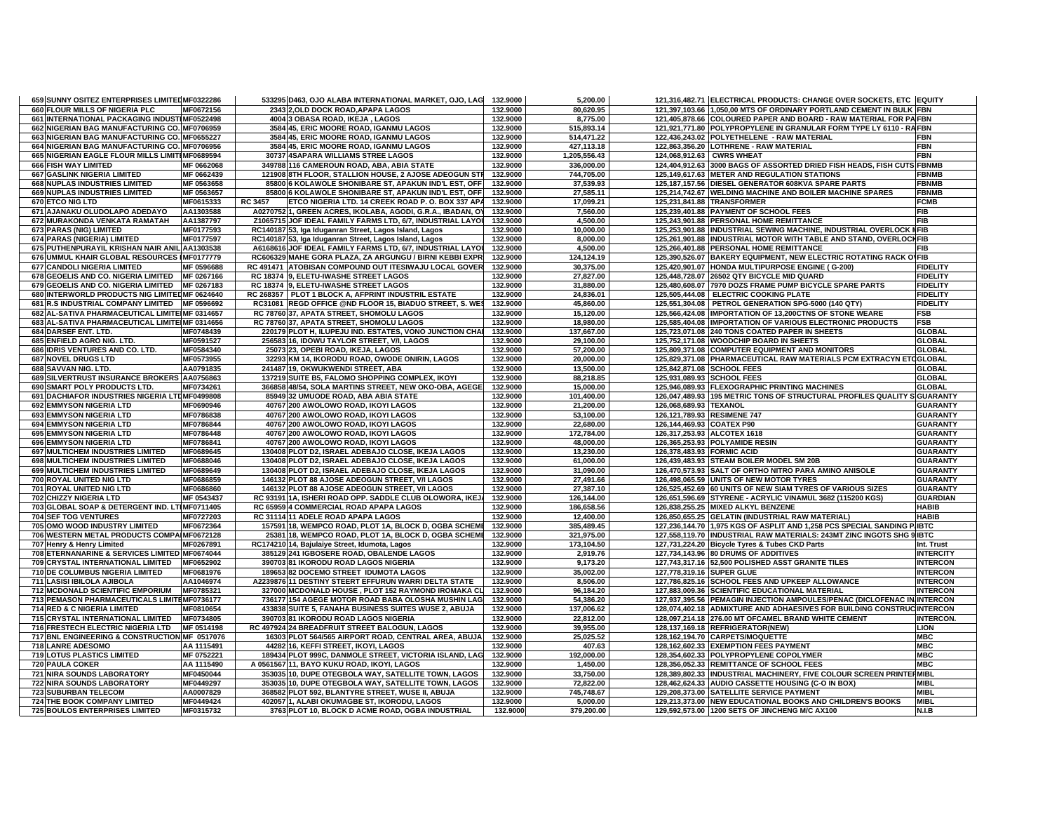| 659 SUNNY OSITEZ ENTERPRISES LIMITED MF0322286     |                        | 533295 D463, OJO ALABA INTERNATIONAL MARKET, OJO, LAG 132.9000             |                      | 5,200.00               | 121,316,482.71 ELECTRICAL PRODUCTS: CHANGE OVER SOCKETS, ETC EQUITY      |                                    |
|----------------------------------------------------|------------------------|----------------------------------------------------------------------------|----------------------|------------------------|--------------------------------------------------------------------------|------------------------------------|
| 660 FLOUR MILLS OF NIGERIA PLC                     | MF0672156              | 2343 2, OLD DOCK ROAD, APAPA LAGOS                                         | 132.9000             | 80,620.95              | 121,397,103.66 1,050,00 MTS OF ORDINARY PORTLAND CEMENT IN BULK FBN      |                                    |
| 661 INTERNATIONAL PACKAGING INDUSTIMF0522498       |                        | 4004 3 OBASA ROAD, IKEJA, LAGOS                                            | 132.9000             | 8,775.00               | 121,405,878.66 COLOURED PAPER AND BOARD - RAW MATERIAL FOR PAFBN         |                                    |
| 662 NIGERIAN BAG MANUFACTURING CO. MF0706959       |                        | 3584 45, ERIC MOORE ROAD, IGANMU LAGOS                                     | 132.9000             | 515,893.14             | 121,921,771.80 POLYPROPYLENE IN GRANULAR FORM TYPE LY 6110 - RAFBN       |                                    |
| 663 NIGERIAN BAG MANUFACTURING CO. MF0655227       |                        | 3584 45, ERIC MOORE ROAD, IGANMU LAGOS                                     | 132.9000             | 514,471.22             | 122.436.243.02 POLYETHELENE - RAW MATERIAL                               | <b>FBN</b>                         |
| 664 NIGERIAN BAG MANUFACTURING CO. MF0706956       |                        | 3584 45, ERIC MOORE ROAD, IGANMU LAGOS                                     | 132.9000             | 427,113.18             | 122,863,356.20 LOTHRENE - RAW MATERIAL                                   | <b>FBN</b>                         |
| 665 NIGERIAN EAGLE FLOUR MILLS LIMITEMF0689594     |                        | 30737 4SAPARA WILLIAMS STREE LAGOS                                         | 132.9000             | 1,205,556.43           | 124,068,912.63 CWRS WHEAT                                                | <b>FBN</b>                         |
| 666 FISH WAY LIMITED                               | MF 0662068             | 349788 116 CAMEROUN ROAD, ABA, ABIA STATE                                  | 132.9000             | 336,000.00             | 124,404,912.63 3000 BAGS OF ASSORTED DRIED FISH HEADS, FISH CUTS FBNMB   |                                    |
| 667 GASLINK NIGERIA LIMITED                        | MF 0662439             | 121908 8TH FLOOR, STALLION HOUSE, 2 AJOSE ADEOGUN STR                      | 132.9000             | 744,705.00             | 125,149,617.63 METER AND REGULATION STATIONS                             | <b>FBNMB</b>                       |
| 668 NUPLAS INDUSTRIES LIMITED                      | MF 0563658             | 85800 6 KOLAWOLE SHONIBARE ST, APAKUN IND'L EST, OFF                       | 132.9000             | 37,539.93              | 125,187,157.56 DIESEL GENERATOR 608KVA SPARE PARTS                       | <b>FBNMB</b>                       |
| 669 NUPLAS INDUSTRIES LIMITED                      | MF 0563657             | 85800 6 KOLAWOLE SHONIBARE ST, APAKUN IND'L EST, OFF                       | 132.9000             | 27,585.11              | 125,214,742.67 WELDING MACHINE AND BOILER MACHINE SPARES                 | <b>FBNMB</b>                       |
| 670 ETCO NIG LTD                                   | MF0615333              | <b>RC 3457</b><br>ETCO NIGERIA LTD. 14 CREEK ROAD P. O. BOX 337 APA        | 132.9000             | 17,099.21              | 125.231.841.88 TRANSFORMER                                               | <b>FCMB</b>                        |
| 671 AJANAKU OLUDOLAPO ADEDAYO                      | AA1303588              | A0270752 1, GREEN ACRES, IKOLABA, AGODI, G.R.A., IBADAN, OY                | 132.9000             | 7,560.00               | 125,239,401.88 PAYMENT OF SCHOOL FEES                                    | <b>FIB</b>                         |
| 672 MURAKONDA VENKATA RAMATAH                      | AA1387797              | Z1065715 JOF IDEAL FAMILY FARMS LTD, 6/7, INDUSTRIAL LAYOU                 | 132.9000             | 4,500.00               | 125,243,901.88 PERSONAL HOME REMITTANCE                                  | FIB                                |
| 673 PARAS (NIG) LIMITED                            | MF0177593              | RC140187 53, Iga Iduganran Street, Lagos Island, Lagos                     | 132.9000             | 10,000.00              | 125,253,901.88 INDUSTRIAL SEWING MACHINE, INDUSTRIAL OVERLOCK NFIB       |                                    |
| 674 PARAS (NIGERIA) LIMITED                        | MF0177597              | RC140187 53, Iga Iduganran Street, Lagos Island, Lagos                     | 132.9000             | 8.000.00               | 125,261,901.88 INDUSTRIAL MOTOR WITH TABLE AND STAND, OVERLOCHFIB        |                                    |
| 675 PUTHENPURAYIL KRISHAN NAIR ANIL AA1303538      |                        | A6168616 JOF IDEAL FAMILY FARMS LTD, 6/7, INDUSTRIAL LAYOU                 | 132.9000             | 4,500.00               | 125,266,401.88 PERSONAL HOME REMITTANCE                                  | <b>FIB</b>                         |
| 676 UMMUL KHAIR GLOBAL RESOURCES IMF0177779        |                        | RC606329 MAHE GORA PLAZA, ZA ARGUNGU / BIRNI KEBBI EXPR                    | 132.9000             | 124,124.19             | 125,390,526.07 BAKERY EQUIPMENT, NEW ELECTRIC ROTATING RACK OVFIB        |                                    |
| 677 CANDOLI NIGERIA LIMITED                        | MF 0596688             | RC 491471 ATOBISAN COMPOUND OUT ITESIWAJU LOCAL GOVER                      | 132.9000             | 30,375.00              | 125,420,901.07 HONDA MULTIPURPOSE ENGINE (G-200)                         | <b>FIDELITY</b>                    |
| 678 GEOELIS AND CO. NIGERIA LIMITED                | MF 0267166             | RC 18374 9, ELETU-IWASHE STREET LAGOS                                      | 132.9000             | 27,827.00              | 125,448,728.07 26502 QTY BICYCLE MID QUARD                               | <b>FIDELITY</b>                    |
| 679 GEOELIS AND CO. NIGERIA LIMITED MF 0267183     |                        | RC 18374 9, ELETU-IWASHE STREET LAGOS                                      | 132.9000             | 31,880.00              | 125,480,608.07 7970 DOZS FRAME PUMP BICYCLE SPARE PARTS                  | <b>FIDELITY</b>                    |
| 680 INTERWORLD PRODUCTS NIG LIMITED MF 0624640     |                        | RC 268357 PLOT 1 BLOCK A, AFPRINT INDUSTRIL ESTATE                         | 132.9000             | 24,836.01              | 125,505,444.08 ELECTRIC COOKING PLATE                                    | <b>FIDELITY</b>                    |
| 681 R.S INDUSTRIAL COMPANY LIMITED MF 0596692      |                        | RC31081 REGD OFFICE @ND FLOOR 15, BIADUO STREET, S. WES                    | 132.9000             | 45,860.00              | 125,551,304.08 PETROL GENERATION SPG-5000 (140 QTY)                      | <b>FIDELITY</b>                    |
| 682 AL-SATIVA PHARMACEUTICAL LIMITEIMF 0314657     |                        | RC 78760 37, APATA STREET, SHOMOLU LAGOS                                   | 132.9000             | 15,120.00              | 125,566,424.08 IMPORTATION OF 13,200CTNS OF STONE WEARE                  | <b>FSB</b>                         |
| 683 AL-SATIVA PHARMACEUTICAL LIMITEIMF 0314656     |                        | RC 78760 37, APATA STREET, SHOMOLU LAGOS                                   | 132.9000             | 18.980.00              | 125,585,404.08 IMPORTATION OF VARIOUS ELECTRONIC PRODUCTS                | <b>FSB</b>                         |
| 684 DARSEF ENT. LTD.                               | MF0748439              | 220179 PLOT H, ILUPEJU IND. ESTATES, VONO JUNCTION CHAI                    | 132.9000             | 137,667.00             | 125,723,071.08 240 TONS COATED PAPER IN SHEETS                           | <b>GLOBAL</b>                      |
| 685 ENFIELD AGRO NIG. LTD.                         | MF0591527              | 256583 16, IDOWU TAYLOR STREET, V/I, LAGOS                                 | 132.9000             | 29,100.00              | 125,752,171.08 WOODCHIP BOARD IN SHEETS                                  | <b>GLOBAL</b>                      |
| 686 IDRIS VENTURES AND CO. LTD.                    | MF0584340              | 25073 23, OPEBI ROAD, IKEJA, LAGOS                                         | 132.9000             | 57,200.00              | 125,809,371.08 COMPUTER EQUIPMENT AND MONITORS                           | <b>GLOBAL</b>                      |
| 687 NOVEL DRUGS LTD                                | MF0573955              | 32293 KM 14, IKORODU ROAD, OWODE ONIRIN, LAGOS                             | 132.9000             | 20.000.00              | 125,829,371.08 PHARMACEUTICAL RAW MATERIALS PCM EXTRACYN ETOGLOBAL       |                                    |
| 688 SAVVAN NIG. LTD.                               | AA0791835              | 241487 19, OKWUKWENDI STREET, ABA                                          | 132.9000             | 13,500.00              | 125,842,871.08 SCHOOL FEES                                               | <b>GLOBAL</b>                      |
| 689 SILVERTRUST INSURANCE BROKERS AA0756863        |                        | 137219 SUITE B5, FALOMO SHOPPING COMPLEX, IKOYI                            | 132.9000             | 88,218.85              | 125,931,089.93 SCHOOL FEES                                               | <b>GLOBAL</b>                      |
| 690 SMART POLY PRODUCTS LTD.                       | MF0734261              | 366858 48/54, SOLA MARTINS STREET, NEW OKO-OBA, AGEGE                      | 132.9000             | 15,000.00              | 125,946,089.93 FLEXOGRAPHIC PRINTING MACHINES                            | <b>GLOBAL</b>                      |
| 691 DACHIAFOR INDUSTRIES NIGERIA LTDMF0499808      |                        | 85949 32 UMUODE ROAD. ABA ABIA STATE                                       | 132.9000             | 101.400.00             | 126,047,489.93 195 METRIC TONS OF STRUCTURAL PROFILES QUALITY S GUARANTY |                                    |
| 692 EMMYSON NIGERIA LTD                            | MF0690946              | 40767 200 AWOLOWO ROAD, IKOYI LAGOS                                        | 132.9000             | 21,200.00              | 126,068,689.93 TEXANOL                                                   | <b>GUARANTY</b>                    |
| 693 EMMYSON NIGERIA LTD<br>694 EMMYSON NIGERIA LTD | MF0786838<br>MF0786844 | 40767 200 AWOLOWO ROAD, IKOYI LAGOS<br>40767 200 AWOLOWO ROAD, IKOYI LAGOS | 132.9000<br>132.9000 | 53,100.00<br>22,680.00 | 126,121,789.93 RESIMENE 747<br>126,144,469.93 COATEX P90                 | <b>GUARANTY</b><br><b>GUARANTY</b> |
| 695 EMMYSON NIGERIA LTD                            | MF0786448              | 40767 200 AWOLOWO ROAD, IKOYI LAGOS                                        | 132.9000             | 172,784.00             | 126,317,253.93 ALCOTEX 1618                                              | <b>GUARANTY</b>                    |
| 696 EMMYSON NIGERIA LTD                            | MF0786841              | 40767 200 AWOLOWO ROAD, IKOYI LAGOS                                        | 132.9000             | 48,000.00              | 126,365,253.93 POLYAMIDE RESIN                                           | <b>GUARANTY</b>                    |
| 697 MULTICHEM INDUSTRIES LIMITED                   | MF0689645              | 130408 PLOT D2, ISRAEL ADEBAJO CLOSE, IKEJA LAGOS                          | 132.9000             | 13,230.00              | 126,378,483.93 FORMIC ACID                                               | <b>GUARANTY</b>                    |
| 698 MULTICHEM INDUSTRIES LIMITED                   | MF0688046              | 130408 PLOT D2, ISRAEL ADEBAJO CLOSE, IKEJA LAGOS                          | 132.9000             | 61,000.00              | 126,439,483.93 STEAM BOILER MODEL SM 20B                                 | <b>GUARANTY</b>                    |
| 699 MULTICHEM INDUSTRIES LIMITED                   | MF0689649              | 130408 PLOT D2, ISRAEL ADEBAJO CLOSE, IKEJA LAGOS                          | 132.9000             | 31,090.00              | 126,470,573.93 SALT OF ORTHO NITRO PARA AMINO ANISOLE                    | <b>GUARANTY</b>                    |
| 700 ROYAL UNITED NIG LTD                           | MF0686859              | 146132 PLOT 88 AJOSE ADEOGUN STREET, V/I LAGOS                             | 132.9000             | 27,491.66              | 126,498,065.59 UNITS OF NEW MOTOR TYRES                                  | <b>GUARANTY</b>                    |
| 701 ROYAL UNITED NIG LTD                           | MF0686860              | 146132 PLOT 88 AJOSE ADEOGUN STREET, V/I LAGOS                             | 132.9000             | 27,387.10              | 126,525,452.69 60 UNITS OF NEW SIAM TYRES OF VARIOUS SIZES               | <b>GUARANTY</b>                    |
| 702 CHIZZY NIGERIA LTD                             | MF 0543437             | RC 93191 1A, ISHERI ROAD OPP. SADDLE CLUB OLOWORA, IKEJ                    | 132.9000             | 126,144.00             | 126,651,596.69 STYRENE - ACRYLIC VINAMUL 3682 (115200 KGS)               | <b>GUARDIAN</b>                    |
| 703 GLOBAL SOAP & DETERGENT IND. LTIMF0711405      |                        | RC 65959 4 COMMERCIAL ROAD APAPA LAGOS                                     | 132.9000             | 186,658.56             | 126,838,255.25 MIXED ALKYL BENZENE                                       | <b>HABIB</b>                       |
| <b>704 SEF TOG VENTURES</b>                        | MF0727203              | RC 31114 11 ADELE ROAD APAPA LAGOS                                         | 132.9000             | 12.400.00              | 126.850.655.25 GELATIN (INDUSTRIAL RAW MATERIAL)                         | <b>HABIB</b>                       |
| 705 OMO WOOD INDUSTRY LIMITED                      | MF0672364              | 157591 18, WEMPCO ROAD, PLOT 1A, BLOCK D, OGBA SCHEME                      | 132.9000             | 385,489.45             | 127,236,144.70 1,975 KGS OF ASPLIT AND 1,258 PCS SPECIAL SANDING PIBTC   |                                    |
| 706 WESTERN METAL PRODUCTS COMPAIMF0672128         |                        | 25381 18, WEMPCO ROAD, PLOT 1A, BLOCK D, OGBA SCHEME                       | 132.9000             | 321,975.00             | 127,558,119.70 INDUSTRIAL RAW MATERIALS: 243MT ZINC INGOTS SHG 9 IBTC    |                                    |
| 707 Henry & Henry Limited                          | MF0267891              | RC174210 14, Bajulaiye Street, Idumota, Lagos                              | 132.9000             | 173,104.50             | 127,731,224.20 Bicycle Tyres & Tubes CKD Parts                           | Int. Trust                         |
| 708 ETERNANARINE & SERVICES LIMITED MF0674044      |                        | 385129 241 IGBOSERE ROAD, OBALENDE LAGOS                                   | 132.9000             | 2,919.76               | 127,734,143.96 80 DRUMS OF ADDITIVES                                     | <b>INTERCITY</b>                   |
| 709 CRYSTAL INTERNATIONAL LIMITED                  | MF0652902              | 390703 81 IKORODU ROAD LAGOS NIGERIA                                       | 132.9000             | 9,173.20               | 127,743,317.16 52,500 POLISHED ASST GRANITE TILES                        | <b>INTERCON</b>                    |
| 710 DE COLUMBUS NIGERIA LIMITED                    | MF0681976              | 189653 82 DOCEMO STREET IDUMOTA LAGOS                                      | 132.9000             | 35,002.00              | 127,778,319.16 SUPER GLUE                                                | <b>INTERCON</b>                    |
| 711 LASISI IBILOLA AJIBOLA                         | AA1046974              | A2239876 11 DESTINY STEERT EFFURUN WARRI DELTA STATE                       | 132.9000             | 8,506.00               | 127,786,825.16 SCHOOL FEES AND UPKEEP ALLOWANCE                          | <b>INTERCON</b>                    |
| <b>712 MCDONALD SCIENTIFIC EMPORIUM</b>            | MF0785321              | 327000 MCDONALD HOUSE, PLOT 152 RAYMOND IROMAKA CL                         | 132.9000             | 96,184.20              | 127,883,009.36 SCIENTIFIC EDUCATIONAL MATERIAL                           | <b>INTERCON</b>                    |
| 713 PEMASON PHARMACEUTICALS LIMITEMF0736177        |                        | 736177 154 AGEGE MOTOR ROAD BABA OLOSHA MUSHIN LAG                         | 132.9000             | 54,386.20              | 127,937,395.56 PEMAGIN INJECTION AMPOULES/PENAC (DICLOFENAC IN INTERCON  |                                    |
| 714 RED & C NIGERIA LIMITED                        | MF0810654              | 433838 SUITE 5, FANAHA BUSINESS SUITES WUSE 2, ABUJA                       | 132.9000             | 137,006.62             | 128,074,402.18 ADMIXTURE AND ADHAESIVES FOR BUILDING CONSTRUCINTERCON    |                                    |
| 715 CRYSTAL INTERNATIONAL LIMITED                  | MF0734805              | 390703 81 IKORODU ROAD LAGOS NIGERIA                                       | 132.9000             | 22,812.00              | 128,097,214.18 276.00 MT OFCAMEL BRAND WHITE CEMENT                      | <b>INTERCON.</b>                   |
| 716 FRESTECH ELECTRIC NIGERIA LTD                  | MF 0514198             | RC 497924 24 BREADFRUIT STREET BALOGUN, LAGOS                              | 132.9000             | 39,955.00              | 128,137,169.18 REFRIGERATOR(NEW)                                         | <b>LION</b>                        |
| 717 BNL ENGINEERING & CONSTRUCTION MF 0517076      |                        | 16303 PLOT 564/565 AIRPORT ROAD, CENTRAL AREA, ABUJA                       | 132.9000             | 25,025.52              | 128,162,194.70 CARPETS/MOQUETTE                                          | <b>MBC</b>                         |
| <b>718 LANRE ADESOMO</b>                           | AA 1115491             | 44282 16, KEFFI STREET, IKOYI, LAGOS                                       | 132.9000             | 407.63                 | 128,162,602.33 EXEMPTION FEES PAYMENT                                    | <b>MBC</b>                         |
| <b>719 LOTUS PLASTICS LIMITED</b>                  | MF 0752221             | 189434 PLOT 999C, DANMOLE STREET, VICTORIA ISLAND, LAG                     | 132.9000             | 192,000.00             | 128,354,602.33 POLYPROPYLENE COPOLYMER                                   | <b>MBC</b>                         |
| 720 PAULA COKER                                    | AA 1115490             | A 0561567 11, BAYO KUKU ROAD, IKOYI, LAGOS                                 | 132.9000             | 1,450.00               | 128,356,052.33 REMITTANCE OF SCHOOL FEES                                 | <b>MBC</b>                         |
| 721 NIRA SOUNDS LABORATORY                         | MF0450044              | 353035 10, DUPE OTEGBOLA WAY, SATELLITE TOWN, LAGOS                        | 132.9000             | 33,750.00              | 128,389,802.33 INDUSTRIAL MACHINERY, FIVE COLOUR SCREEN PRINTERMIBL      |                                    |
| 722 NIRA SOUNDS LABORATORY                         | MF0449297              | 353035 10, DUPE OTEGBOLA WAY, SATELLITE TOWN, LAGOS                        | 132.9000             | 72,822.00              | 128,462,624.33 AUDIO CASSETTE HOUSING (C-O IN BOX)                       | <b>MIBL</b>                        |
| <b>723 SUBURBAN TELECOM</b>                        | AA0007829              | 368582 PLOT 592, BLANTYRE STREET, WUSE II, ABUJA                           | 132.9000             | 745,748.67             | 129,208,373.00 SATELLITE SERVICE PAYMENT                                 | <b>MIBL</b>                        |
| 724 THE BOOK COMPANY LIMITED                       | MF0449424              | 402057 1, ALABI OKUMAGBE ST, IKORODU, LAGOS                                | 132.9000             | 5,000.00               | 129,213,373.00 NEW EDUCATIONAL BOOKS AND CHILDREN'S BOOKS                | <b>MIBL</b>                        |
| <b>725 BOULOS ENTERPRISES LIMITED</b>              | MF0315732              | 3763 PLOT 10, BLOCK D ACME ROAD, OGBA INDUSTRIAL                           | 132.9000             | 379,200.00             | 129,592,573.00 1200 SETS OF JINCHENG M/C AX100                           | N.I.B                              |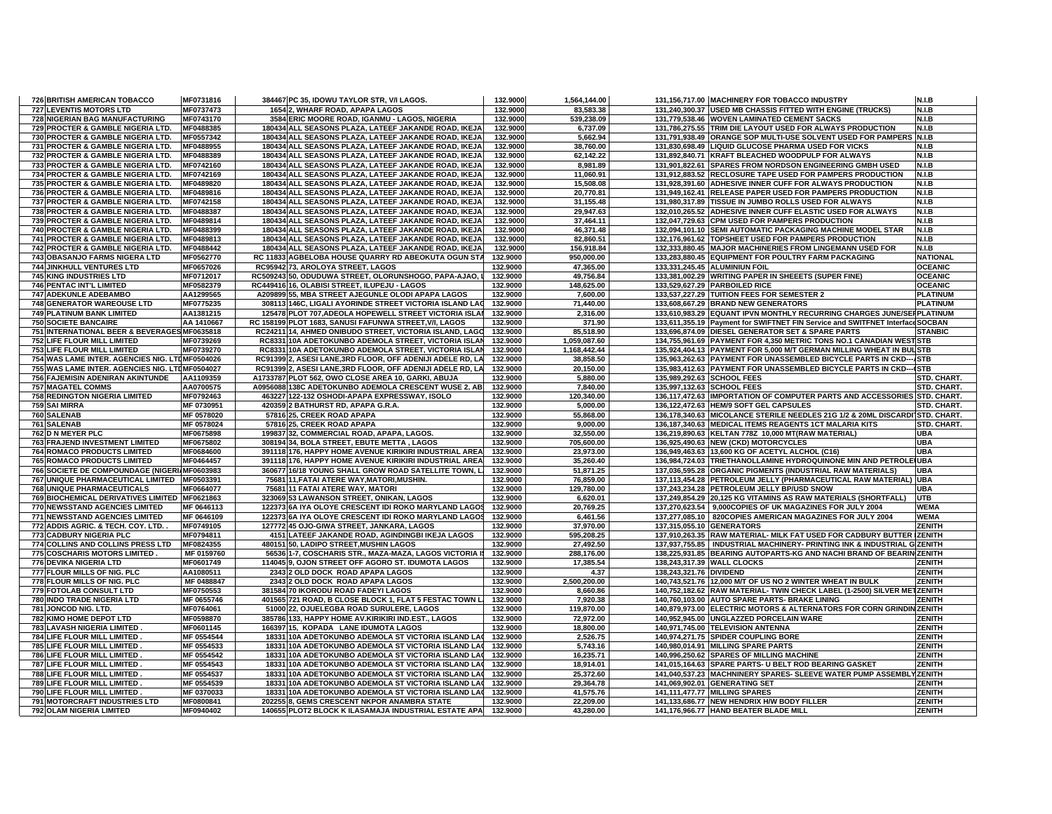| <b>726 BRITISH AMERICAN TOBACCO</b>                              | MF0731816              | 384467 PC 35, IDOWU TAYLOR STR, V/I LAGOS.                                                          | 132.9000             | 1,564,144.00           |                         | 131,156,717.00 MACHINERY FOR TOBACCO INDUSTRY                                       | N.I.B                          |
|------------------------------------------------------------------|------------------------|-----------------------------------------------------------------------------------------------------|----------------------|------------------------|-------------------------|-------------------------------------------------------------------------------------|--------------------------------|
| 727 LEVENTIS MOTORS LTD                                          | MF0737473              | 1654 2, WHARF ROAD, APAPA LAGOS                                                                     | 132.9000             | 83,583.38              |                         | 131,240,300.37 USED MB CHASSIS FITTED WITH ENGINE (TRUCKS)                          | N.I.B                          |
| <b>728 NIGERIAN BAG MANUFACTURING</b>                            | MF0743170              | 3584 ERIC MOORE ROAD, IGANMU - LAGOS, NIGERIA                                                       | 132.9000             | 539.238.09             |                         | 131.779.538.46 WOVEN LAMINATED CEMENT SACKS                                         | N.I.B                          |
| 729 PROCTER & GAMBLE NIGERIA LTD.                                | MF0488385              | 180434 ALL SEASONS PLAZA, LATEEF JAKANDE ROAD, IKEJA                                                | 132.9000             | 6,737.09               |                         | 131,786,275.55 TRIM DIE LAYOUT USED FOR ALWAYS PRODUCTION                           | N.I.B                          |
| 730 PROCTER & GAMBLE NIGERIA LTD.                                | MF0557342              | 180434 ALL SEASONS PLAZA, LATEEF JAKANDE ROAD, IKEJA                                                | 132.9000             | 5,662.94               |                         | 131,791,938.49 ORANGE SOP MULTI-USE SOLVENT USED FOR PAMPERS N.I.B                  |                                |
| 731 PROCTER & GAMBLE NIGERIA LTD.                                | MF0488955              | 180434 ALL SEASONS PLAZA, LATEEF JAKANDE ROAD, IKEJA                                                | 132.9000             | 38,760.00              |                         | 131.830.698.49 LIQUID GLUCOSE PHARMA USED FOR VICKS                                 | N.I.B                          |
| 732 PROCTER & GAMBLE NIGERIA LTD.                                | MF0488389              | 180434 ALL SEASONS PLAZA, LATEEF JAKANDE ROAD, IKEJA                                                | 132.9000             | 62,142.22              |                         | 131,892,840.71 KRAFT BLEACHED WOODPULP FOR ALWAYS                                   | N.I.B                          |
| 733 PROCTER & GAMBLE NIGERIA LTD.                                | MF0742160              | 180434 ALL SEASONS PLAZA, LATEEF JAKANDE ROAD, IKEJA                                                | 132.9000             | 8,981.89               |                         | 131,901,822.61 SPARES FROM NORDSON ENGINEERING GMBH USED                            | N.I.B                          |
| 734 PROCTER & GAMBLE NIGERIA LTD.                                | MF0742169              | 180434 ALL SEASONS PLAZA, LATEEF JAKANDE ROAD, IKEJA                                                | 132.9000             | 11.060.91              |                         | 131,912,883.52 RECLOSURE TAPE USED FOR PAMPERS PRODUCTION                           | N.I.B                          |
| 735 PROCTER & GAMBLE NIGERIA LTD.                                | MF0489820              | 180434 ALL SEASONS PLAZA, LATEEF JAKANDE ROAD, IKEJA                                                | 132.9000             | 15,508.08              |                         | 131,928,391.60 ADHESIVE INNER CUFF FOR ALWAYS PRODUCTION                            | N.I.B                          |
| 736 PROCTER & GAMBLE NIGERIA LTD.                                | MF0489816              | 180434 ALL SEASONS PLAZA, LATEEF JAKANDE ROAD, IKEJA                                                | 132.9000             | 20,770.81              |                         | 131,949,162.41 RELEASE PAPER USED FOR PAMPERS PRODUCTION                            | N.I.B                          |
| 737 PROCTER & GAMBLE NIGERIA LTD.                                | MF0742158              | 180434 ALL SEASONS PLAZA, LATEEF JAKANDE ROAD, IKEJA                                                | 132.9000             | 31,155.48              |                         | 131,980,317.89 TISSUE IN JUMBO ROLLS USED FOR ALWAYS                                | N.I.B                          |
| 738 PROCTER & GAMBLE NIGERIA LTD.                                | MF0488387              | 180434 ALL SEASONS PLAZA, LATEEF JAKANDE ROAD, IKEJA                                                | 132.9000             | 29,947.63              |                         | 132,010,265.52 ADHESIVE INNER CUFF ELASTIC USED FOR ALWAYS                          | N.I.B                          |
| 739 PROCTER & GAMBLE NIGERIA LTD.                                | MF0489814              | 180434 ALL SEASONS PLAZA, LATEEF JAKANDE ROAD, IKEJA                                                | 132.9000             | 37,464.11              |                         | 132,047,729.63 CPM USED FOR PAMPERS PRODUCTION                                      | N.I.B                          |
| 740 PROCTER & GAMBLE NIGERIA LTD.                                | MF0488399              | 180434 ALL SEASONS PLAZA. LATEEF JAKANDE ROAD. IKEJA                                                | 132.9000             | 46,371.48              |                         | 132.094.101.10 SEMI AUTOMATIC PACKAGING MACHINE MODEL STAR                          | N.I.B                          |
| 741 PROCTER & GAMBLE NIGERIA LTD.                                | MF0489813              | 180434 ALL SEASONS PLAZA, LATEEF JAKANDE ROAD, IKEJA                                                | 132.9000             | 82,860.51              |                         | 132,176,961.62 TOPSHEET USED FOR PAMPERS PRODUCTION                                 | N.I.B                          |
| 742 PROCTER & GAMBLE NIGERIA LTD.                                | MF0488442              | 180434 ALL SEASONS PLAZA, LATEEF JAKANDE ROAD, IKEJA                                                | 132.9000             | 156,918.84             |                         | 132,333,880.45 MAJOR MACHINERIES FROM LINGEMANN USED FOR                            | N.I.B                          |
|                                                                  |                        |                                                                                                     |                      |                        |                         |                                                                                     |                                |
| 743 OBASANJO FARMS NIGERA LTD                                    | MF0562770              | RC 11833 AGBELOBA HOUSE QUARRY RD ABEOKUTA OGUN STA                                                 | 132.9000             | 950,000.00             |                         | 133,283,880.45 EQUIPMENT FOR POULTRY FARM PACKAGING                                 | <b>NATIONAL</b>                |
| <b>744 JINKHULL VENTURES LTD</b>                                 | MF0657026              | RC95942 73, AROLOYA STREET, LAGOS                                                                   | 132.9000             | 47,365.00              |                         | 133,331,245.45 ALUMINIUN FOIL                                                       | <b>OCEANIC</b>                 |
| <b>745 KING INDUSTRIES LTD</b>                                   | MF0712017              | RC509243 50, ODUDUWA STREET, OLORUNSHOGO, PAPA-AJAO,                                                | 132.9000             | 49,756.84              |                         | 133,381,002.29 WRITING PAPER IN SHEEETS (SUPER FINE)                                | <b>OCEANIC</b>                 |
| <b>746 PENTAC INT'L LIMITED</b>                                  | MF0582379              | RC449416 16, OLABISI STREET, ILUPEJU - LAGOS                                                        | 132.9000             | 148,625.00             |                         | 133,529,627.29 PARBOILED RICE                                                       | <b>OCEANIC</b>                 |
| <b>747 ADEKUNLE ADEBAMBO</b>                                     | AA1299565              | A209899 55, MBA STREET AJEGUNLE OLODI APAPA LAGOS                                                   | 132.9000             | 7.600.00               |                         | 133,537,227.29 TUITION FEES FOR SEMESTER 2                                          | <b>PLATINUM</b>                |
| <b>748 GENERATOR WAREOUSE LTD</b>                                | MF0775235              | 308113 146C, LIGALI AYORINDE STREET VICTORIA ISLAND LAC                                             | 132.9000             | 71,440.00              |                         | 133,608,667.29 BRAND NEW GENERATORS                                                 | <b>PLATINUM</b>                |
| <b>749 PLATINUM BANK LIMITED</b>                                 | AA1381215              | 125478 PLOT 707, ADEOLA HOPEWELL STREET VICTORIA ISLAI                                              | 132.9000             | 2,316.00               |                         | 133,610,983.29 EQUANT IPVN MONTHLY RECURRING CHARGES JUNE/SEFPLATINUM               |                                |
| <b>750 SOCIETE BANCAIRE</b>                                      | AA 1410667             | RC 158199 PLOT 1683, SANUSI FAFUNWA STREET, V/I, LAGOS                                              | 132.9000             | 371.90                 |                         | 133,611,355.19 Payment for SWIFTNET FIN Service and SWITFNET Interface SOCBAN       |                                |
| 751 INTERNATIONAL BEER & BEVERAGES MF0635818                     |                        | RC24211 14, AHMED ONIBUDO STREET, VICTORIA ISLAND, LAGO                                             | 132.9000             | 85,518.90              |                         | 133,696,874.09 DIESEL GENERATOR SET & SPARE PARTS                                   | <b>STANBIC</b>                 |
| <b>752 LIFE FLOUR MILL LIMITED</b>                               | MF0739269              | RC8331 10A ADETOKUNBO ADEMOLA STREET, VICTORIA ISLAN                                                | 132.9000             | 1,059,087.60           |                         | 134,755,961.69 PAYMENT FOR 4,350 METRIC TONS NO.1 CANADIAN WEST STB                 |                                |
| <b>753 LIFE FLOUR MILL LIMITED</b>                               | MF0739270              | RC8331 10A ADETOKUNBO ADEMOLA STREET, VICTORIA ISLAN                                                | 132.9000             | 1,168,442.44           |                         | 135.924.404.13 PAYMENT FOR 5.000 M/T GERMAN MILLING WHEAT IN BULSTB                 |                                |
| 754 WAS LAME INTER. AGENCIES NIG. LTDMF0504026                   |                        | RC91399 2, ASESI LANE, 3RD FLOOR, OFF ADENIJI ADELE RD, LA                                          | 132.9000             | 38,858.50              |                         | 135,963,262.63 PAYMENT FOR UNASSEMBLED BICYCLE PARTS IN CKD--- STB                  |                                |
| 755 WAS LAME INTER. AGENCIES NIG. LTDMF0504027                   |                        | RC91399 2, ASESI LANE, 3RD FLOOR, OFF ADENIJI ADELE RD, LA                                          | 132.9000             | 20,150.00              |                         | 135,983,412.63 PAYMENT FOR UNASSEMBLED BICYCLE PARTS IN CKD--- (STB                 |                                |
| 756 FAJEMISIN ADENIRAN AKINTUNDE                                 | AA1109359              | A1733787 PLOT 562, OWO CLOSE AREA 10, GARKI, ABUJA                                                  | 132.9000             | 5,880.00               |                         | 135,989,292.63 SCHOOL FEES                                                          | STD. CHART.                    |
| <b>757 MAGATEL COMMS</b>                                         | AA0700575              | A0956088 138C ADETOKUNBO ADEMOLA CRESCENT WUSE 2, AB                                                | 132.9000             | 7,840.00               |                         | 135,997,132.63 SCHOOL FEES                                                          | STD. CHART.                    |
| <b>758 REDINGTON NIGERIA LIMITED</b>                             | MF0792463              | 463227 122-132 OSHODI-APAPA EXPRESSWAY, ISOLO                                                       | 132.9000             | 120,340.00             |                         | 136,117,472.63 IMPORTATION OF COMPUTER PARTS AND ACCESSORIES STD. CHART.            |                                |
| 759 SAI MIRRA                                                    | MF 0730951             | 420359 2 BATHURST RD, APAPA G.R.A.                                                                  | 132.9000             | 5,000.00               |                         | 136,122,472.63 HEM/9 SOFT GEL CAPSULES                                              | STD. CHART.                    |
| 760 SALENAB                                                      | MF 0578020             | 57816 25, CREEK ROAD APAPA                                                                          | 132.9000             | 55,868.00              |                         | 136,178,340.63 MICOLANCE STERILE NEEDLES 21G 1/2 & 20ML DISCARDI STD. CHART.        |                                |
| 761 SALENAB                                                      | MF 0578024             | 57816 25, CREEK ROAD APAPA                                                                          | 132.9000             | 9,000.00               |                         | 136,187,340.63 MEDICAL ITEMS REAGENTS 1CT MALARIA KITS                              | STD. CHART.                    |
| 762 D N MEYER PLC                                                | MF0675898              | 199837 32, COMMERCIAL ROAD, APAPA, LAGOS.                                                           | 132.9000             | 32,550.00              |                         | 136,219,890.63 KELTAN 778Z 10,000 MT(RAW MATERIAL)                                  | <b>UBA</b>                     |
| <b>763 FRAJEND INVESTMENT LIMITED</b>                            | MF0675802              | 308194 34, BOLA STREET, EBUTE METTA, LAGOS                                                          | 132.9000             | 705,600.00             |                         | 136,925,490.63 NEW (CKD) MOTORCYCLES                                                | <b>UBA</b>                     |
| <b>764 ROMACO PRODUCTS LIMITED</b>                               | MF0684600              | 391118 176, HAPPY HOME AVENUE KIRIKIRI INDUSTRIAL AREA                                              | 132.9000             | 23,973.00              |                         |                                                                                     | <b>UBA</b>                     |
| <b>765 ROMACO PRODUCTS LIMITED</b>                               | MF0464457              | 391118 176, HAPPY HOME AVENUE KIRIKIRI INDUSTRIAL AREA                                              |                      |                        |                         | 136,949,463.63 13,600 KG OF ACETYL ALCHOL (C16)                                     |                                |
|                                                                  |                        |                                                                                                     | 132.9000             | 35,260.40              |                         | 136,984,724.03 TRIETHANOLLAMINE HYDROQUINONE MIN AND PETROLE UBA                    |                                |
| 766 SOCIETE DE COMPOUNDAGE (NIGERIAMF0603983                     |                        | 360677 16/18 YOUNG SHALL GROW ROAD SATELLITE TOWN, L                                                | 132.9000             | 51,871.25              |                         | 137,036,595.28 ORGANIC PIGMENTS (INDUSTRIAL RAW MATERIALS)                          | <b>UBA</b>                     |
| 767 UNIQUE PHARMACEUTICAL LIMITED MF0503391                      |                        | 75681 11, FATAI ATERE WAY, MATORI, MUSHIN.                                                          | 132.9000             | 76,859.00              |                         | 137,113,454.28 PETROLEUM JELLY (PHARMACEUTICAL RAW MATERIAL)                        | UBA                            |
| <b>768 UNIQUE PHARMACEUTICALS</b>                                | MF0664077              | 75681 11 FATAI ATERE WAY, MATORI                                                                    | 132.9000             | 129,780.00             |                         | 137,243,234.28 PETROLEUM JELLY BP/USD SNOW                                          | <b>UBA</b>                     |
| 769 BIOCHEMICAL DERIVATIVES LIMITED MF0621863                    |                        | 323069 53 LAWANSON STREET, ONIKAN, LAGOS                                                            | 132.9000             | 6,620.01               |                         | 137,249,854.29 20,125 KG VITAMINS AS RAW MATERIALS (SHORTFALL)                      | <b>UTB</b>                     |
| 770 NEWSSTAND AGENCIES LIMITED                                   | MF 0646113             | 122373 6A IYA OLOYE CRESCENT IDI ROKO MARYLAND LAGOS                                                | 132.9000             | 20,769.25              |                         | 137,270,623.54 9,000COPIES OF UK MAGAZINES FOR JULY 2004                            | <b>WEMA</b>                    |
| 771 NEWSSTAND AGENCIES LIMITED                                   | MF 0646109             | 122373 6A IYA OLOYE CRESCENT IDI ROKO MARYLAND LAGOS                                                | 132.9000             | 6,461.56               |                         | 137,277,085.10 820COPIES AMERICAN MAGAZINES FOR JULY 2004                           | <b>WEMA</b>                    |
| 772 ADDIS AGRIC. & TECH. COY. LTD.                               | MF0749105              | 127772 45 OJO-GIWA STREET, JANKARA, LAGOS                                                           | 132.9000             | 37,970.00              |                         | 137,315,055.10 GENERATORS                                                           | ZENITH                         |
| 773 CADBURY NIGERIA PLC                                          | MF0794811              | 4151 LATEEF JAKANDE ROAD, AGINDINGBI IKEJA LAGOS                                                    | 132.9000             | 595,208.25             |                         | 137,910,263.35 RAW MATERIAL- MILK FAT USED FOR CADBURY BUTTER (ZENITH               |                                |
| 774 COLLINS AND COLLINS PRESS LTD                                | MF0824355              | 480151 50. LADIPO STREET MUSHIN LAGOS                                                               | 132.9000             | 27.492.50              |                         | 137.937.755.85 INDUSTRIAL MACHINERY- PRINTING INK & INDUSTRIAL GIZENITH             |                                |
| 775 COSCHARIS MOTORS LIMITED.                                    | MF 0159760             | 56536 1-7, COSCHARIS STR., MAZA-MAZA, LAGOS VICTORIA                                                | 132.9000             | 288,176.00             |                         | 138,225,931.85 BEARING AUTOPARTS-KG AND NACHI BRAND OF BEARIN ZENITH                |                                |
| 776 DEVIKA NIGERIA LTD                                           | MF0601749              | 114045 9, OJON STREET OFF AGORO ST. IDUMOTA LAGOS                                                   | 132.9000             | 17,385.54              |                         | 138,243,317.39 WALL CLOCKS                                                          | ZENITH                         |
| 777 FLOUR MILLS OF NIG. PLC                                      | AA1080511              | 2343 2 OLD DOCK ROAD APAPA LAGOS                                                                    | 132.9000             | 4.37                   | 138,243,321.76 DIVIDEND |                                                                                     | ZENITH                         |
| 778 FLOUR MILLS OF NIG. PLC                                      | MF 0488847             | 2343 2 OLD DOCK ROAD APAPA LAGOS                                                                    | 132.9000             | 2,500,200.00           |                         | 140,743,521.76 12,000 M/T OF US NO 2 WINTER WHEAT IN BULK                           | ZENITH                         |
| 779 FOTOLAB CONSULT LTD                                          | MF0750553              | 381584 70 IKORODU ROAD FADEYI LAGOS                                                                 | 132.9000             | 8,660.86               |                         | 140,752,182.62 RAW MATERIAL- TWIN CHECK LABEL (1-2500) SILVER METZENITH             |                                |
| 780 INDO TRADE NIGERIA LTD                                       |                        |                                                                                                     |                      |                        |                         |                                                                                     |                                |
| 781 JONCOD NIG. LTD.                                             | MF 0655746             | 401565 721 ROAD, B CLOSE BLOCK 1, FLAT 5 FESTAC TOWN L                                              | 132.9000             | 7,920.38               |                         | 140,760,103.00 AUTO SPARE PARTS- BRAKE LINING                                       | <b>ZENITH</b>                  |
| <b>782 KIMO HOME DEPOT LTD</b>                                   | MF0764061              | 51000 22, OJUELEGBA ROAD SURULERE, LAGOS                                                            |                      | 119,870.00             |                         | 140,879,973.00 ELECTRIC MOTORS & ALTERNATORS FOR CORN GRINDIN ZENITH                |                                |
|                                                                  |                        |                                                                                                     | 132.9000             |                        |                         |                                                                                     |                                |
|                                                                  | MF0598870              | 385786 133, HAPPY HOME AV.KIRIKIRI IND.EST., LAGOS                                                  | 132.9000             | 72,972.00              |                         | 140,952,945.00 UNGLAZZED PORCELAIN WARE                                             | ZENITH                         |
| <b>783 LAVASH NIGERIA LIMITED</b>                                | MF0601145              | 166397 15, KOPADA LANE IDUMOTA LAGOS                                                                | 132.9000             | 18,800.00              |                         | 140,971,745.00 TELEVISION ANTENNA                                                   | ZENITH                         |
| 784 LIFE FLOUR MILL LIMITED                                      | MF 0554544             | 18331 10A ADETOKUNBO ADEMOLA ST VICTORIA ISLAND LAC                                                 | 132.9000             | 2,526.75               |                         | 140,974,271.75 SPIDER COUPLING BORE                                                 | ZENITH                         |
| 785 LIFE FLOUR MILL LIMITED.                                     | MF 0554533             | 18331 10A ADETOKUNBO ADEMOLA ST VICTORIA ISLAND LAC                                                 | 132.9000             | 5,743.16               |                         | 140,980,014.91 MILLING SPARE PARTS                                                  | <b>ZENITH</b>                  |
| 786 LIFE FLOUR MILL LIMITED.                                     | MF 0554542             | 18331 10A ADETOKUNBO ADEMOLA ST VICTORIA ISLAND LAC                                                 | 132.9000             | 16,235.71              |                         | 140,996,250.62 SPARES OF MILLING MACHINE                                            | ZENITH                         |
| 787 LIFE FLOUR MILL LIMITED                                      | MF 0554543             | 18331 10A ADETOKUNBO ADEMOLA ST VICTORIA ISLAND LAO                                                 | 132.9000             | 18,914.01              |                         | 141,015,164.63 SPARE PARTS- U BELT ROD BEARING GASKET                               | ZENITH                         |
| 788 LIFE FLOUR MILL LIMITED.                                     | MF 0554537             | 18331 10A ADETOKUNBO ADEMOLA ST VICTORIA ISLAND LAO                                                 | 132.9000             | 25,372.60              |                         | 141,040,537.23 MACHNINERY SPARES- SLEEVE WATER PUMP ASSEMBLY ZENITH                 |                                |
| 789 LIFE FLOUR MILL LIMITED.                                     | MF 0554539             | 18331 10A ADETOKUNBO ADEMOLA ST VICTORIA ISLAND LAC                                                 | 132.9000             | 29,364.78              |                         | 141.069.902.01 GENERATING SET                                                       | <b>ZENITH</b>                  |
| 790 LIFE FLOUR MILL LIMITED                                      | MF 0370033             | 18331 10A ADETOKUNBO ADEMOLA ST VICTORIA ISLAND LAC                                                 | 132.9000             | 41,575.76              |                         | 141,111,477.77 MILLING SPARES                                                       | ZENITH                         |
| 791 MOTORCRAFT INDUSTRIES LTD<br><b>792 OLAM NIGERIA LIMITED</b> | MF0800841<br>MF0940402 | 202255 8, GEMS CRESCENT NKPOR ANAMBRA STATE<br>140655 PLOT2 BLOCK K ILASAMAJA INDUSTRIAL ESTATE APA | 132.9000<br>132.9000 | 22,209.00<br>43,280.00 |                         | 141,133,686.77 NEW HENDRIX H/W BODY FILLER<br>141,176,966.77 HAND BEATER BLADE MILL | <b>ZENITH</b><br><b>ZENITH</b> |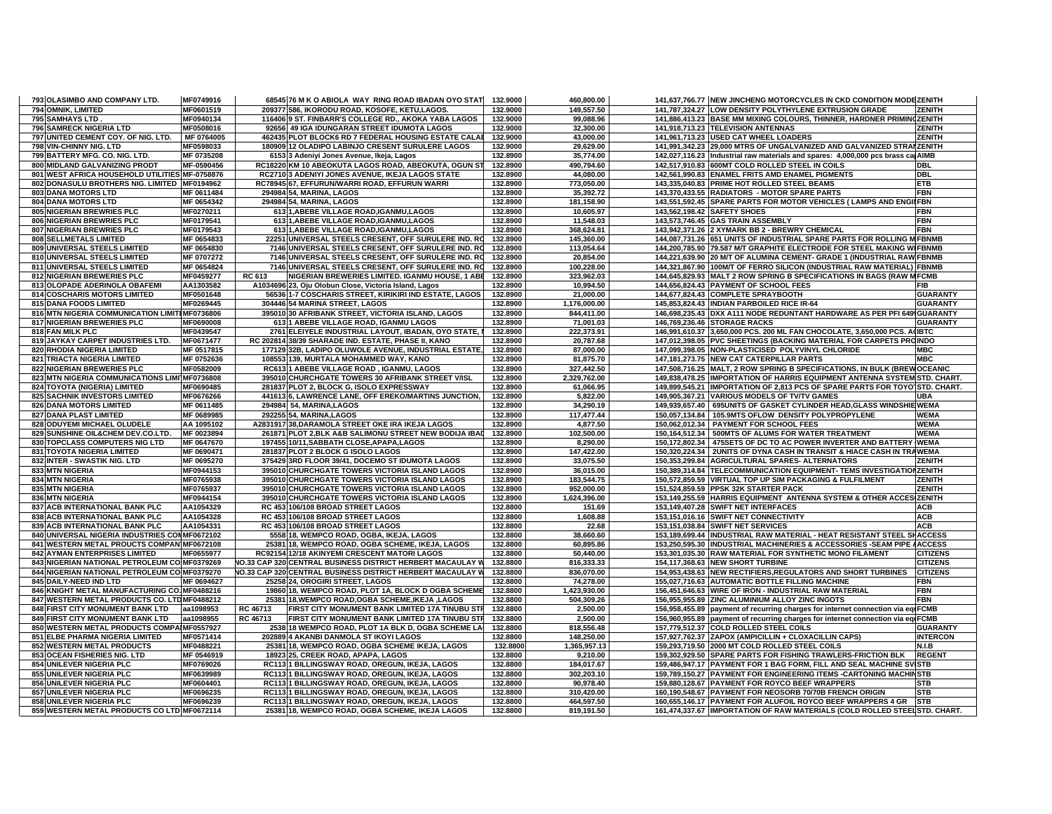| 793 OLASIMBO AND COMPANY LTD.                  | MF0749916  | 68545 76 M K O ABIOLA WAY RING ROAD IBADAN OYO STAT         | 132.9000 | 460,800.00   | 141,637,766.77 NEW JINCHENG MOTORCYCLES IN CKD CONDITION MODEZENITH               |                 |
|------------------------------------------------|------------|-------------------------------------------------------------|----------|--------------|-----------------------------------------------------------------------------------|-----------------|
| 794 OMNIK, LIMITED                             | MF0601519  | 209377 586, IKORODU ROAD, KOSOFE, KETU,LAGOS.               | 132.9000 | 149,557.50   | 141,787,324.27 LOW DENSITY POLYTHYLENE EXTRUSION GRADE                            | ZENITH          |
| 795 SAMHAYS LTD                                | MF0940134  | 116406 9 ST. FINBARR'S COLLEGE RD., AKOKA YABA LAGOS        | 132.9000 | 99,088.96    | 141,886,413.23 BASE MM MIXING COLOURS, THINNER, HARDNER PRIMIN(ZENITH             |                 |
| <b>796 SAMRECK NIGERIA LTD</b>                 | MF0508016  | 92656 49 IGA IDUNGARAN STREET IDUMOTA LAGOS                 | 132.9000 | 32,300.00    | 141,918,713.23 TELEVISION ANTENNAS                                                | <b>ZENITH</b>   |
| 797 UNITED CEMENT COY. OF NIG. LTD.            | MF 0764005 | 462435 PLOT BLOCK6 RD 7 FEDERAL HOUSING ESTATE CALAI        | 132.9000 | 43,000.00    | 141,961,713.23 USED CAT WHEEL LOADERS                                             | <b>ZENITH</b>   |
| 798 VIN-CHINNY NIG. LTD                        | MF0598033  | 180909 12 OLADIPO LABINJO CRESENT SURULERE LAGOS            | 132.9000 | 29.629.00    | 141.991.342.23 29.000 MTRS OF UNGALVANIZED AND GALVANIZED STRAIZENITH             |                 |
| 799 BATTERY MFG. CO. NIG. LTD.                 | MF 0735208 | 6153 3 Adeniyi Jones Avenue, Ikeja, Lagos                   | 132.8900 | 35,774.00    | 142,027,116.23  Industrial raw materials and spares: 4,000,000 pcs brass cal AIMB |                 |
| 800 MIDLAND GALVANIZING PRODT                  | MF-0590456 | RC18220 KM 10 ABEOKUTA LAGOS ROAD, ABEOKUTA, OGUN ST        | 132.8900 | 490,794.60   | 142,517,910.83 600MT COLD ROLLED STEEL IN COILS                                   | <b>DBL</b>      |
| 801 WEST AFRICA HOUSEHOLD UTILITIES MF-0758876 |            | RC2710 3 ADENIYI JONES AVENUE, IKEJA LAGOS STATE            | 132.8900 | 44.080.00    | 142,561,990.83 ENAMEL FRITS AMD ENAMEL PIGMENTS                                   | <b>DBL</b>      |
| 802 DONASULU BROTHERS NIG. LIMITED MF0194962   |            | RC78945 67, EFFURUN/WARRI ROAD, EFFURUN WARRI               | 132.8900 | 773,050.00   | 143,335,040.83 PRIME HOT ROLLED STEEL BEAMS                                       | <b>ETB</b>      |
| 803 DANA MOTORS LTD                            | MF 0611484 | 294984 54, MARINA, LAGOS                                    | 132.8900 | 35,392.72    | 143,370,433.55 RADIATORS - MOTOR SPARE PARTS                                      | <b>FBN</b>      |
| <b>804 DANA MOTORS LTD</b>                     | MF 0654342 | 294984 54, MARINA, LAGOS                                    | 132.8900 | 181,158.90   | 143,551,592.45 SPARE PARTS FOR MOTOR VEHICLES (LAMPS AND ENGILFBN                 |                 |
| 805 NIGERIAN BREWRIES PLC                      | MF0270211  | 613 1, ABEBE VILLAGE ROAD, IGANMU, LAGOS                    | 132.8900 | 10.605.97    | 143,562,198.42 SAFETY SHOES                                                       | FBN             |
| 806 NIGERIAN BREWRIES PLC                      | MF0179541  | 613 1, ABEBE VILLAGE ROAD, IGANMU, LAGOS                    | 132.8900 | 11,548.03    | 143,573,746.45 GAS TRAIN ASSEMBLY                                                 | <b>FBN</b>      |
| 807 NIGERIAN BREWRIES PLC                      | MF0179543  | 613 1, ABEBE VILLAGE ROAD, IGANMU, LAGOS                    | 132.8900 | 368,624.81   | 143,942,371.26 2 XYMARK BB 2 - BREWRY CHEMICAL                                    | <b>FBN</b>      |
| 808 SELLMETALS LIMITED                         | MF 0654833 | 22251 UNIVERSAL STEELS CRESENT, OFF SURULERE IND. RO        | 132.8900 | 145,360.00   | 144,087,731.26 651 UNITS OF INDUSTRIAL SPARE PARTS FOR ROLLING M FBNMB            |                 |
| 809 UNIVERSAL STEELS LIMITED                   | MF 0654830 | 7146 UNIVERSAL STEELS CRESENT, OFF SURULERE IND. RO         | 132.8900 | 113,054.64   | 144,200,785.90 79.587 M/T GRAPHITE ELECTRODE FOR STEEL MAKING WIFBNMB             |                 |
| 810 UNIVERSAL STEELS LIMITED                   | MF 0707272 | 7146 UNIVERSAL STEELS CRESENT, OFF SURULERE IND. RC         | 132.8900 | 20,854.00    | 144,221,639.90 20 M/T OF ALUMINA CEMENT- GRADE 1 (INDUSTRIAL RAW FBNMB            |                 |
| 811 UNIVERSAL STEELS LIMITED                   | MF 0654824 | 7146 UNIVERSAL STEELS CRESENT. OFF SURULERE IND. RO         | 132.8900 | 100,228.00   | 144.321.867.90 100M/T OF FERRO SILICON (INDUSTRIAL RAW MATERIAL) FBNMB            |                 |
| 812 NIGERIAN BREWERIES PLC                     | MF0459277  | RC 613<br>NIGERIAN BREWERIES LIMITED. IGANMU HOUSE, 1 ABE   | 132.8900 | 323,962.03   | 144,645,829.93 MALT 2 ROW SPRING B SPECIFICATIONS IN BAGS (RAW MFCMB              |                 |
| 813 OLOPADE ADERINOLA OBAFEMI                  | AA1303582  | A1034696 23, Oju Olobun Close, Victoria Island, Lagos       | 132.8900 | 10,994.50    | 144,656,824.43 PAYMENT OF SCHOOL FEES                                             | FIB             |
| 814 COSCHARIS MOTORS LIMITED                   | MF0501648  | 56536 1-7 COSCHARIS STREET, KIRIKIRI IND ESTATE, LAGOS      | 132.8900 | 21,000.00    | 144,677,824.43 COMPLETE SPRAYBOOTH                                                | <b>GUARANTY</b> |
| 815 DANA FOODS LIMITED                         | MF0269445  | 304446 54 MARINA STREET, LAGOS                              | 132.8900 | 1,176,000.00 | 145,853,824.43 INDIAN PARBOILED RICE IR-64                                        | <b>GUARANTY</b> |
| 816 MTN NIGERIA COMMUNICATION LIMITEMF0736806  |            | 395010 30 AFRIBANK STREET, VICTORIA ISLAND, LAGOS           | 132.8900 | 844,411.00   | 146,698,235.43 DXX A111 NODE REDUNTANT HARDWARE AS PER PFI 649 GUARANTY           |                 |
| 817 NIGERIAN BREWERIES PLC                     | MF0690008  | 613 1 ABEBE VILLAGE ROAD, IGANMU LAGOS                      | 132.8900 | 71,001.03    | 146,769,236.46 STORAGE RACKS                                                      | <b>GUARANTY</b> |
| 818 FAN MILK PLC                               | MF0439547  | 2761 ELEIYELE INDUSTRIAL LAYOUT, IBADAN, OYO STATE, I       | 132.8900 | 222,373.91   | 146,991,610.37 3,650,000 PCS. 200 ML FAN CHOCOLATE, 3,650,000 PCS. A(IBTC         |                 |
| 819 JAYKAY CARPET INDUSTRIES LTD.              | MF0671477  | RC 202814 38/39 SHARADE IND. ESTATE, PHASE II, KANO         | 132.8900 | 20,787.68    | 147,012,398.05 PVC SHEETINGS (BACKING MATERIAL FOR CARPETS PROINDO                |                 |
| 820 RHODIA NIGERIA LIMITED                     | MF 0517815 | 177129 32B, LADIPO OLUWOLE AVENUE, INDUSTRIAL ESTATE        | 132.8900 | 87,000.00    | 147,099,398.05 NON-PLASTICISED POLYVINYL CHLORIDE                                 | <b>MBC</b>      |
| 821 TRIACTA NIGERIA LIMITED                    | MF 0752636 | 108553 139, MURTALA MOHAMMED WAY, KANO                      | 132.8900 | 81,875.70    | 147,181,273.75 NEW CAT CATERPILLAR PARTS                                          | <b>MBC</b>      |
| 822 NIGERIAN BREWERIES PLC                     | MF0582009  | RC613 1 ABEBE VILLAGE ROAD, IGANMU, LAGOS                   | 132.8900 | 327,442.50   | 147,508,716.25 MALT, 2 ROW SPRING B SPECIFICATIONS, IN BULK (BREW OCEANIC         |                 |
| 823 MTN NIGERIA COMMUNICATIONS LIMITMF0736808  |            | 395010 CHURCHGATE TOWERS 30 AFRIBANK STREET V/ISL           | 132.8900 | 2,329,762.00 | 149.838.478.25 IMPORTATION OF HARRIS EQUIPMENT ANTENNA SYSTEM STD. CHART.         |                 |
| 824 TOYOTA (NIGERIA) LIMITED                   | MF0690485  | 281837 PLOT 2, BLOCK G, ISOLO EXPRESSWAY                    | 132.8900 | 61,066.95    | 149,899,545.21 IMPORTATION OF 2,813 PCS OF SPARE PARTS FOR TOYO STD. CHART.       |                 |
| 825 SACHNIK INVESTORS LIMITED                  | MF0676266  | 441613 6, LAWRENCE LANE, OFF EREKO/MARTINS JUNCTION,        | 132.8900 | 5,822.00     | 149,905,367.21 VARIOUS MODELS OF TV/TV GAMES                                      | <b>UBA</b>      |
| <b>826 DANA MOTORS LIMITED</b>                 | MF 0611485 | 294984 54, MARINA, LAGOS                                    | 132.8900 | 34.290.19    | 149,939,657.40   695UNITS OF GASKET CYLINDER HEAD, GLASS WINDSHIE WEMA            |                 |
| 827 DANA PLAST LIMITED                         | MF 0689985 | 292255 54, MARINA, LAGOS                                    | 132.8900 | 117,477.44   | 150,057,134.84 105.9MTS OFLOW DENSITY POLYPROPYLENE                               | <b>WEMA</b>     |
| 828 ODUYEMI MICHAEL OLUDELE                    | AA 1095102 | A2831917 38, DARAMOLA STREET OKE IRA IKEJA LAGOS            | 132.8900 | 4,877.50     | 150,062,012.34 PAYMENT FOR SCHOOL FEES                                            | <b>WEMA</b>     |
| 829 SUNSHINE OIL&CHEM DEV.CO.LTD.              | MF 0023894 | 261871 PLOT 2, BLK A&B SALIMONU STREET NEW BODIJA IBAD      | 132.8900 | 102,500.00   | 150,164,512.34 500MTS OF ALUMS FOR WATER TREATMENT                                | <b>WEMA</b>     |
| 830 TOPCLASS COMPUTERS NIG LTD                 | MF 0647670 | 197455 10/11, SABBATH CLOSE, APAPA, LAGOS                   | 132.8900 | 8,290.00     | 150,172,802.34 475SETS OF DC TO AC POWER INVERTER AND BATTERY WEMA                |                 |
|                                                | MF 0690471 |                                                             | 132.8900 | 147,422.00   |                                                                                   |                 |
| 831 TOYOTA NIGERIA LIMITED                     |            | 281837 PLOT 2 BLOCK G ISOLO LAGOS                           |          |              | 150,320,224.34 2UNITS OF DYNA CASH IN TRANSIT & HIACE CASH IN TRAWEMA             |                 |
| 832 INTER - SWASTIK NIG. LTD                   | MF 0695270 | 375429 3RD FLOOR 39/41. DOCEMO ST IDUMOTA LAGOS             | 132.8900 | 33.075.50    | 150.353.299.84 AGRICULTURAL SPARES ALTERNATORS                                    | <b>ZENITH</b>   |
| 833 MTN NIGERIA                                | MF0944153  | 395010 CHURCHGATE TOWERS VICTORIA ISLAND LAGOS              | 132.8900 | 36,015.00    | 150,389,314.84 TELECOMMUNICATION EQUIPMENT- TEMS INVESTIGATIONZENITH              |                 |
| 834 MTN NIGERIA                                | MF0765938  | 395010 CHURCHGATE TOWERS VICTORIA ISLAND LAGOS              | 132.8900 | 183,544.75   | 150,572,859.59 VIRTUAL TOP UP SIM PACKAGING & FULFILMENT                          | ZENITH          |
| 835 MTN NIGERIA                                | MF0765937  | 395010 CHURCHGATE TOWERS VICTORIA ISLAND LAGOS              | 132.8900 | 952,000.00   | 151,524,859.59 PPSK 32K STARTER PACK                                              | <b>ZENITH</b>   |
| <b>836 MTN NIGERIA</b>                         | MF0944154  | 395010 CHURCHGATE TOWERS VICTORIA ISLAND LAGOS              | 132.8900 | 1,624,396.00 | 153,149,255.59 HARRIS EQUIPMENT ANTENNA SYSTEM & OTHER ACCES ZENITH               |                 |
| 837 ACB INTERNATIONAL BANK PLC                 | AA1054329  | RC 453 106/108 BROAD STREET LAGOS                           | 132.8800 | 151.69       | 153,149,407.28 SWIFT NET INTERFACES                                               | <b>ACB</b>      |
| 838 ACB INTERNATIONAL BANK PLC                 | AA1054328  | RC 453 106/108 BROAD STREET LAGOS                           | 132.8800 | 1,608.88     | 153,151,016.16 SWIFT NET CONNECTIVITY                                             | <b>ACB</b>      |
| 839 ACB INTERNATIONAL BANK PLC                 | AA1054331  | RC 453 106/108 BROAD STREET LAGOS                           | 132.8800 | 22.68        | 153,151,038.84 SWIFT NET SERVICES                                                 | <b>ACB</b>      |
| 840 UNIVERSAL NIGERIA INDUSTRIES CONMF0672102  |            | 5558 18, WEMPCO ROAD, OGBA, IKEJA, LAGOS                    | 132.8800 | 38,660.60    | 153,189,699.44 INDUSTRIAL RAW MATERIAL - HEAT RESISTANT STEEL SHACCESS            |                 |
| 841 WESTERN METAL PROUCTS COMPAN MF0672108     |            | 25381 18, WEMPCO ROAD, OGBA SCHEME, IKEJA, LAGOS            | 132.8800 | 60,895.86    | 153,250,595.30 INDUSTRIAL MACHINERIES & ACCESSORIES -SEAM PIPE {ACCESS            |                 |
| 842 AYMAN ENTERPRISES LIMITED                  | MF0655977  | RC92154 12/18 AKINYEMI CRESCENT MATORI LAGOS                | 132.8800 | 50,440.00    | 153,301,035.30 RAW MATERIAL FOR SYNTHETIC MONO FILAMENT                           | <b>CITIZENS</b> |
| 843 NIGERIAN NATIONAL PETROLEUM COIMF0379269   |            | NO.33 CAP 320 CENTRAL BUSINESS DISTRICT HERBERT MACAULAY W  | 132.8800 | 816,333.33   | 154,117,368.63 NEW SHORT TURBINE                                                  | <b>CITIZENS</b> |
| 844 NIGERIAN NATIONAL PETROLEUM COIMF0379270   |            | NO.33 CAP 320 CENTRAL BUSINESS DISTRICT HERBERT MACAULAY W  | 132.8800 | 836,070.00   | 154,953,438.63 NEW RECTIFIERS, REGULATORS AND SHORT TURBINES                      | <b>CITIZENS</b> |
| 845 DAILY-NEED IND LTD                         | MF 0694627 | 25258 24. OROGIRI STREET. LAGOS                             | 132.8800 | 74,278.00    | 155.027.716.63 AUTOMATIC BOTTLE FILLING MACHINE                                   | <b>FBN</b>      |
| 846 KNIGHT METAL MANUFACTURING CO. MF0488216   |            | 19860 18, WEMPCO ROAD, PLOT 1A, BLOCK D OGBA SCHEME         | 132.8800 | 1,423,930.00 | 156,451,646.63 WIRE OF IRON - INDUSTRIAL RAW MATERIAL                             | <b>FBN</b>      |
| 847 WESTERN METAL PRODUCTS CO. LTDMF0488212    |            | 25381 18. WEMPCO ROAD. OGBA SCHEME. IKEJA . LAGOS           | 132.8800 | 504.309.26   | 156.955.955.89 ZINC ALUMINIUM ALLOY ZINC INGOTS                                   | <b>FBN</b>      |
| 848 FIRST CITY MONUMENT BANK LTD               | aa1098953  | FIRST CITY MONUMENT BANK LIMITED 17A TINUBU STF<br>RC 46713 | 132.8800 | 2,500.00     | 156,958,455.89 payment of recurring charges for internet connection via eqlFCMB   |                 |
| 849 FIRST CITY MONUMENT BANK LTD               | aa1098955  | RC 46713<br>FIRST CITY MONUMENT BANK LIMITED 17A TINUBU STR | 132.8800 | 2,500.00     | 156,960,955.89 payment of recurring charges for internet connection via eq(FCMB   |                 |
| 850 WESTERN METAL PRODUCTS COMPAIMF0557927     |            | 2538 18 WEMPCO ROAD, PLOT 1A BLK D, OGBA SCHEME LA          | 132.8800 | 818,556.48   | 157,779,512.37 COLD ROLLED STEEL COILS                                            | <b>GUARANTY</b> |
| 851 ELBE PHARMA NIGERIA LIMITED                | MF0571414  | 202889 4 AKANBI DANMOLA ST IKOYI LAGOS                      | 132.8800 | 148,250.00   | 157,927,762.37 ZAPOX (AMPICILLIN + CLOXACILLIN CAPS)                              | <b>INTERCON</b> |
| 852 WESTERN METAL PRODUCTS                     | MF0488221  | 25381 18, WEMPCO ROAD, OGBA SCHEME IKEJA, LAGOS             | 132.8800 | 1,365,957.13 | 159,293,719.50 2000 MT COLD ROLLED STEEL COILS                                    | N.I.B           |
| 853 OCEAN FISHERIES NIG. LTD                   | MF 0546919 | 18923 25, CREEK ROAD, APAPA, LAGOS                          | 132.8800 | 9,210.00     | 159,302,929.50 SPARE PARTS FOR FISHING TRAWLERS-FRICTION BLK                      | <b>REGENT</b>   |
| 854 UNILEVER NIGERIA PLC                       | MF0769026  | RC113 1 BILLINGSWAY ROAD, OREGUN, IKEJA, LAGOS              | 132.8800 | 184,017.67   | 159,486,947.17 PAYMENT FOR 1 BAG FORM, FILL AND SEAL MACHINE SVISTB               |                 |
| 855 UNILEVER NIGERIA PLC                       | MF0639989  | RC113 1 BILLINGSWAY ROAD, OREGUN, IKEJA, LAGOS              | 132.8800 | 302,203.10   | 159,789,150.27 PAYMENT FOR ENGINEERING ITEMS - CARTONING MACHINSTB                |                 |
| 856 UNILEVER NIGERIA PLC                       | MF0604401  | RC113 1 BILLINGSWAY ROAD, OREGUN, IKEJA, LAGOS              | 132.8800 | 90.978.40    | 159,880,128.67 PAYMENT FOR ROYCO BEEF WRAPPERS                                    | <b>STB</b>      |
| 857 UNILEVER NIGERIA PLC                       | MF0696235  | RC113 1 BILLINGSWAY ROAD, OREGUN, IKEJA, LAGOS              | 132.8800 | 310,420.00   | 160,190,548.67 PAYMENT FOR NEOSORB 70/70B FRENCH ORIGIN                           | <b>STB</b>      |
| 858 UNILEVER NIGERIA PLC                       | MF0696239  | RC113 1 BILLINGSWAY ROAD, OREGUN, IKEJA, LAGOS              | 132.8800 | 464,597.50   | 160,655,146.17 PAYMENT FOR ALUFOIL ROYCO BEEF WRAPPERS 4 GR                       | <b>STB</b>      |
| 859 WESTERN METAL PRODUCTS CO LTD MF0672114    |            | 25381 18, WEMPCO ROAD, OGBA SCHEME, IKEJA LAGOS             | 132.8800 | 819,191.50   | 161,474,337.67 IMPORTATION OF RAW MATERIALS (COLD ROLLED STEELSTD. CHART.         |                 |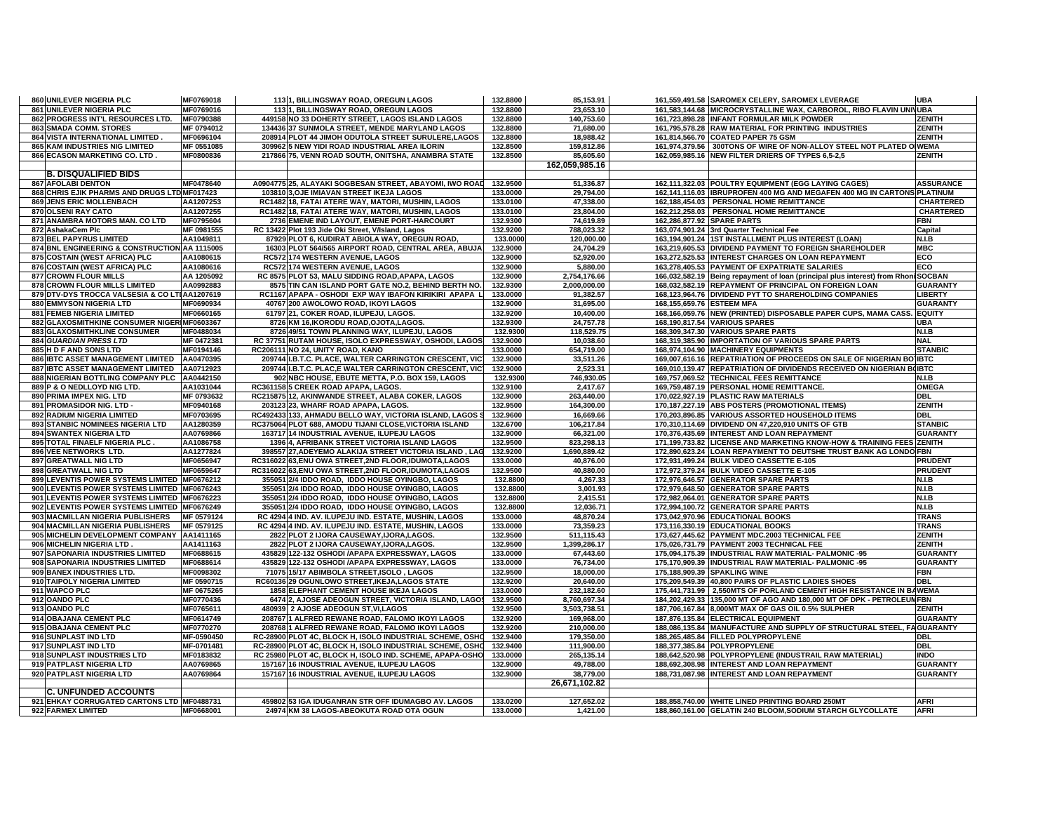| 860 UNILEVER NIGERIA PLC                      | MF0769018  | 1131, BILLINGSWAY ROAD, OREGUN LAGOS                     | 132.8800 | 85,153.91      | 161,559,491.58 SAROMEX CELERY, SAROMEX LEVERAGE                                    | <b>UBA</b>       |
|-----------------------------------------------|------------|----------------------------------------------------------|----------|----------------|------------------------------------------------------------------------------------|------------------|
| 861 UNILEVER NIGERIA PLC                      | MF0769016  | 1131, BILLINGSWAY ROAD, OREGUN LAGOS                     | 132.8800 | 23,653.10      | 161,583,144.68 MICROCRYSTALLINE WAX, CARBOROL, RIBO FLAVIN UNIVUBA                 |                  |
| 862 PROGRESS INT'L RESOURCES LTD.             | MF0790388  | 449158 NO 33 DOHERTY STREET, LAGOS ISLAND LAGOS          | 132.8800 | 140,753.60     | 161,723,898.28 INFANT FORMULAR MILK POWDER                                         | <b>ZENITH</b>    |
| <b>863 SMADA COMM. STORES</b>                 | MF 0794012 | 134436 37 SUNMOLA STREET, MENDE MARYLAND LAGOS           | 132.8800 | 71,680.00      | 161,795,578.28 RAW MATERIAL FOR PRINTING INDUSTRIES                                | <b>ZENITH</b>    |
| 864 VISTA INTERNATIONAL LIMITED.              | MF0696104  | 208914 PLOT 44 JIMOH ODUTOLA STREET SURULERE,LAGOS       | 132.8800 | 18,988.42      | 161,814,566.70 COATED PAPER 75 GSM                                                 | ZENITH           |
| <b>865 KAM INDUSTRIES NIG LIMITED</b>         | MF 0551085 | 309962 5 NEW YIDI ROAD INDUSTRIAL AREA ILORIN            | 132.8500 | 159.812.86     | 161.974.379.56 300TONS OF WIRE OF NON-ALLOY STEEL NOT PLATED OIWEMA                |                  |
| 866 ECASON MARKETING CO. LTD.                 | MF0800836  | 217866 75, VENN ROAD SOUTH, ONITSHA, ANAMBRA STATE       | 132.8500 | 85,605.60      | 162,059,985.16 NEW FILTER DRIERS OF TYPES 6,5-2,5                                  | ZENITH           |
|                                               |            |                                                          |          | 162,059,985.16 |                                                                                    |                  |
| <b>B. DISQUALIFIED BIDS</b>                   |            |                                                          |          |                |                                                                                    |                  |
| <b>867 AFOLABI DENTON</b>                     | MF0478640  | A0904775 25, ALAYAKI SOGBESAN STREET, ABAYOMI, IWO ROAD  | 132.9500 | 51,336.87      | 162,111,322.03 POULTRY EQUIPMENT (EGG LAYING CAGES)                                | <b>ASSURANCE</b> |
| 868 CHRIS EJIK PHARMS AND DRUGS LTD MF017423  |            | 103810 3, OJE IMIAVAN STREET IKEJA LAGOS                 | 133.0000 | 29,794.00      | 162,141,116.03   IBRUPROFEN 400 MG AND MEGAFEN 400 MG IN CARTONS PLATINUM          |                  |
| <b>869 JENS ERIC MOLLENBACH</b>               | AA1207253  | RC1482 18. FATAI ATERE WAY. MATORI. MUSHIN. LAGOS        | 133.0100 | 47,338.00      | 162,188,454.03 PERSONAL HOME REMITTANCE                                            | <b>CHARTERED</b> |
| 870 OLSENI RAY CATO                           | AA1207255  | RC1482 18, FATAI ATERE WAY, MATORI, MUSHIN, LAGOS        | 133.0100 | 23.804.00      | 162,212,258.03 PERSONAL HOME REMITTANCE                                            | <b>CHARTERED</b> |
| 871 ANAMBRA MOTORS MAN. CO LTD                | MF0795604  | 2736 EMENE IND LAYOUT, EMENE PORT-HARCOURT               | 132.9300 | 74,619.89      | 162,286,877.92 SPARE PARTS                                                         | <b>FBN</b>       |
| 872 AshakaCem Plc                             | MF 0981555 | RC 13422 Plot 193 Jide Oki Street, V/Island, Lagos       | 132.9200 | 788,023.32     | 163,074,901.24 3rd Quarter Technical Fee                                           | Capital          |
| 873 BEL PAPYRUS LIMITED                       | AA1049811  | 87929 PLOT 6, KUDIRAT ABIOLA WAY, OREGUN ROAD            | 133.0000 | 120,000.00     | 163,194,901.24 1ST INSTALLMENT PLUS INTEREST (LOAN)                                | <b>N.I.B</b>     |
| 874 BNL ENGINEERING & CONSTRUCTION AA 1115005 |            | 16303 PLOT 564/565 AIRPORT ROAD, CENTRAL AREA, ABUJA     | 132.9000 | 24,704.29      | 163,219,605.53 DIVIDEND PAYMENT TO FOREIGN SHAREHOLDER                             | <b>MBC</b>       |
| 875 COSTAIN (WEST AFRICA) PLC                 | AA1080615  | RC572 174 WESTERN AVENUE, LAGOS                          | 132.9000 | 52,920.00      | 163,272,525.53 INTEREST CHARGES ON LOAN REPAYMENT                                  | ECO              |
| 876 COSTAIN (WEST AFRICA) PLC                 | AA1080616  | RC572 174 WESTERN AVENUE, LAGOS                          | 132.9000 | 5,880.00       | 163,278,405.53 PAYMENT OF EXPATRIATE SALARIES                                      | <b>ECO</b>       |
| 877 CROWN FLOUR MILLS                         | AA 1205092 | RC 8575 PLOT 53, MALU SIDDING ROAD, APAPA, LAGOS         | 132.9000 | 2,754,176.66   | 166,032,582.19 Being repayment of Ioan (principal plus interest) from Rhoni SOCBAN |                  |
| 878 CROWN FLOUR MILLS LIMITED                 | AA0992883  | 8575 TIN CAN ISLAND PORT GATE NO.2, BEHIND BERTH NO.     | 132.9300 | 2,000,000.00   | 168,032,582.19 REPAYMENT OF PRINCIPAL ON FOREIGN LOAN                              | <b>GUARANTY</b>  |
| 879 DTV-DYS TROCCA VALSESIA & CO LTIAA1207619 |            | RC1167 APAPA - OSHODI EXP WAY IBAFON KIRIKIRI APAPA L    | 133.0000 | 91,382.57      | 168,123,964.76 DIVIDEND PYT TO SHAREHOLDING COMPANIES                              | <b>LIBERTY</b>   |
| 880 EMMYSON NIGERIA LTD                       | MF0690934  | 40767 200 AWOLOWO ROAD, IKOYI LAGOS                      | 132.9000 | 31,695.00      | 168,155,659.76 ESTEEM MFA                                                          | <b>GUARANTY</b>  |
| 881 FEMEB NIGERIA LIMITED                     | MF0660165  | 61797 21, COKER ROAD, ILUPEJU, LAGOS.                    | 132.9200 | 10,400.00      | 168,166,059.76 NEW (PRINTED) DISPOSABLE PAPER CUPS, MAMA CASS.                     | <b>EQUITY</b>    |
| 882 GLAXOSMITHKINE CONSUMER NIGERIMF0603367   |            | 8726 KM 16, IKORODU ROAD, OJOTA, LAGOS.                  | 132.9300 | 24,757.78      | 168,190,817.54 VARIOUS SPARES                                                      | <b>UBA</b>       |
| 883 GLAXOSMITHKLINE CONSUMER                  | MF0488034  | 8726 49/51 TOWN PLANNING WAY, ILUPEJU, LAGOS             | 132.9300 | 118,529.75     | 168,309,347.30 VARIOUS SPARE PARTS                                                 | N.I.B            |
| 884 GUARDIAN PRESS LTD                        | MF 0472381 | RC 37751 RUTAM HOUSE, ISOLO EXPRESSWAY, OSHODI, LAGOS    | 132.9000 | 10,038.60      | 168,319,385.90 IMPORTATION OF VARIOUS SPARE PARTS                                  | <b>NAL</b>       |
| 885 H D F AND SONS LTD                        | MF0194146  | RC206111 NO 24, UNITY ROAD, KANO                         | 133.0000 | 654,719.00     | 168,974,104.90 MACHINERY EQUIPMENTS                                                | <b>STANBIC</b>   |
| 886 IBTC ASSET MANAGEMENT LIMITED             | AA0470395  | 209744 I.B.T.C. PLACE, WALTER CARRINGTON CRESCENT, VICT  | 132.9000 | 33,511.26      | 169,007,616.16 REPATRIATION OF PROCEEDS ON SALE OF NIGERIAN BO IBTC                |                  |
| 887 IBTC ASSET MANAGEMENT LIMITED             | AA0712923  | 209744 I.B.T.C. PLAC,E WALTER CARRINGTON CRESCENT, VICT  | 132.9000 | 2,523.31       | 169,010,139.47 REPATRIATION OF DIVIDENDS RECEIVED ON NIGERIAN BOIBTC               |                  |
| 888 NIGERIAN BOTTLING COMPANY PLC             | AA0442150  | 902 NBC HOUSE, EBUTE METTA, P.O. BOX 159, LAGOS          | 132.9300 | 746,930.05     | 169.757.069.52 TECHNICAL FEES REMITTANCE                                           | N.I.B            |
| 889 P & O NEDLLOYD NIG LTD.                   | AA1031044  | RC361158 5 CREEK ROAD APAPA, LAGOS.                      | 132.9100 | 2,417.67       | 169,759,487.19 PERSONAL HOME REMITTANCE.                                           | <b>OMEGA</b>     |
| 890 PRIMA IMPEX NIG. LTD                      | MF 0793632 | RC215875 12, AKINWANDE STREET, ALABA COKER, LAGOS        | 132.9000 | 263,440.00     | 170,022,927.19 PLASTIC RAW MATERIALS                                               | <b>DBL</b>       |
| 891 PROMASIDOR NIG. LTD -                     | MF0940168  | 203123 23, WHARF ROAD APAPA, LAGOS.                      | 132.9500 | 164.300.00     | 170,187,227.19 ABS POSTERS (PROMOTIONAL ITEMS)                                     | <b>ZENITH</b>    |
| 892 RADIUM NIGERIA LIMITED                    | MF0703695  | RC492433 133, AHMADU BELLO WAY, VICTORIA ISLAND, LAGOS S | 132.9600 | 16,669.66      | 170,203,896.85 VARIOUS ASSORTED HOUSEHOLD ITEMS                                    | <b>DBL</b>       |
| 893 STANBIC NOMINEES NIGERIA LTD              | AA1280359  | RC375064 PLOT 688, AMODU TIJANI CLOSE, VICTORIA ISLAND   | 132.6700 | 106,217.84     | 170,310,114.69 DIVIDEND ON 47,220,910 UNITS OF GTB                                 | <b>STANBIC</b>   |
| <b>894 SWANTEX NIGERIA LTD</b>                | AA0769866  | 163717 14 INDUSTRIAL AVENUE, ILUPEJU LAGOS               | 132.9000 | 66,321.00      | 170,376,435.69 INTEREST AND LOAN REPAYMENT                                         | <b>GUARANTY</b>  |
| 895 TOTAL FINAELF NIGERIA PLC.                | AA1086758  | 1396 4, AFRIBANK STREET VICTORIA ISLAND LAGOS            | 132.9500 | 823,298.13     | 171,199,733.82 LICENSE AND MARKETING KNOW-HOW & TRAINING FEES ZENITH               |                  |
| 896 VEE NETWORKS LTD.                         | AA1277824  | 398557 27, ADEYEMO ALAKIJA STREET VICTORIA ISLAND, LAG   | 132.9200 | 1,690,889.42   | 172,890,623.24 LOAN REPAYMENT TO DEUTSHE TRUST BANK AG LONDO FBN                   |                  |
| 897 GREATWALL NIG LTD                         | MF0656947  | RC316022 63.ENU OWA STREET.2ND FLOOR.IDUMOTA.LAGOS       | 133.0000 | 40.876.00      | 172.931.499.24 BULK VIDEO CASSETTE E-105                                           | <b>PRUDENT</b>   |
| 898 GREATWALL NIG LTD                         | MF0659647  | RC316022 63,ENU OWA STREET,2ND FLOOR,IDUMOTA,LAGOS       | 132.9500 | 40,880.00      | 172,972,379.24 BULK VIDEO CASSETTE E-105                                           | <b>PRUDENT</b>   |
| 899 LEVENTIS POWER SYSTEMS LIMITED MF0676212  |            | 355051 2/4 IDDO ROAD, IDDO HOUSE OYINGBO, LAGOS          | 132.8800 | 4,267.33       | 172,976,646.57 GENERATOR SPARE PARTS                                               | N.I.B            |
| 900 LEVENTIS POWER SYSTEMS LIMITED MF0676243  |            | 355051 2/4 IDDO ROAD, IDDO HOUSE OYINGBO, LAGOS          | 132.8800 | 3,001.93       | 172,979,648.50 GENERATOR SPARE PARTS                                               | N.I.B            |
| 901 LEVENTIS POWER SYSTEMS LIMITED MF0676223  |            | 355051 2/4 IDDO ROAD, IDDO HOUSE OYINGBO, LAGOS          | 132.8800 | 2,415.51       | 172,982,064.01 GENERATOR SPARE PARTS                                               | <b>N.I.B</b>     |
| 902 LEVENTIS POWER SYSTEMS LIMITED MF0676249  |            | 355051 2/4 IDDO ROAD, IDDO HOUSE OYINGBO, LAGOS          | 132.8800 | 12,036.71      | 172,994,100.72 GENERATOR SPARE PARTS                                               | <b>N.I.B</b>     |
| 903 MACMILLAN NIGERIA PUBLISHERS              | MF 0579124 | RC 4294 4 IND. AV. ILUPEJU IND. ESTATE, MUSHIN, LAGOS    | 133.0000 | 48,870.24      | 173,042,970.96 EDUCATIONAL BOOKS                                                   | <b>TRANS</b>     |
| 904 MACMILLAN NIGERIA PUBLISHERS              | MF 0579125 | RC 4294 4 IND. AV. ILUPEJU IND. ESTATE, MUSHIN, LAGOS    | 133.0000 | 73.359.23      | 173,116,330.19 EDUCATIONAL BOOKS                                                   | <b>TRANS</b>     |
| 905 MICHELIN DEVELOPMENT COMPANY AA1411165    |            | 2822 PLOT 2 IJORA CAUSEWAY, IJORA, LAGOS.                | 132.9500 | 511,115.43     | 173,627,445.62 PAYMENT MDC.2003 TECHNICAL FEE                                      | <b>ZENITH</b>    |
| 906 MICHELIN NIGERIA LTD                      | AA1411163  | 2822 PLOT 2 IJORA CAUSEWAY, IJORA, LAGOS.                | 132.9500 | 1,399,286.17   | 175,026,731.79 PAYMENT 2003 TECHNICAL FEE                                          | <b>ZENITH</b>    |
| 907 SAPONARIA INDUSTRIES LIMITED              | MF0688615  | 435829 122-132 OSHODI / APAPA EXPRESSWAY, LAGOS          | 133.0000 | 67,443.60      | 175,094,175.39 INDUSTRIAL RAW MATERIAL- PALMONIC -95                               | <b>GUARANTY</b>  |
| 908 SAPONARIA INDUSTRIES LIMITED              | MF0688614  | 435829 122-132 OSHODI / APAPA EXPRESSWAY, LAGOS          | 133.0000 | 76,734.00      | 175,170,909.39 INDUSTRIAL RAW MATERIAL- PALMONIC -95                               | <b>GUARANTY</b>  |
| 909 BANEX INDUSTRIES LTD.                     | MF0098302  | 71075 15/17 ABIMBOLA STREET, ISOLO, LAGOS                | 132.9500 | 18,000.00      | 175,188,909.39 SPAKLING WINE                                                       | <b>FBN</b>       |
| 910 TAIPOLY NIGERIA LIMITED                   | MF 0590715 | RC60136 29 OGUNLOWO STREET, IKEJA, LAGOS STATE           | 132.9200 | 20,640.00      | 175,209,549.39 40,800 PAIRS OF PLASTIC LADIES SHOES                                | <b>DBL</b>       |
| 911 WAPCO PLC                                 | MF 0675265 | 1858 ELEPHANT CEMENT HOUSE IKEJA LAGOS                   | 133.0000 | 232,182.60     | 175,441,731.99 2,550MTS OF PORLAND CEMENT HIGH RESISTANCE IN BAWEMA                |                  |
| 912 OANDO PLC                                 | MF0770436  | 6474 2. AJOSE ADEOGUN STREET. VICTORIA ISLAND. LAGOS     | 132.9500 | 8.760.697.34   | 184.202.429.33 135.000 MT OF AGO AND 180.000 MT OF DPK - PETROLEUMFBN              |                  |
| 913 OANDO PLC                                 | MF0765611  | 480939 2 AJOSE ADEOGUN ST, VI, LAGOS                     | 132.9500 | 3,503,738.51   | 187,706,167.84 8,000MT MAX OF GAS OIL 0.5% SULPHER                                 | ZENITH           |
| 914 OBAJANA CEMENT PLC                        | MF0614749  | 208767 1 ALFRED REWANE ROAD, FALOMO IKOYI LAGOS          | 132.9200 | 169,968.00     | 187,876,135.84 ELECTRICAL EQUIPMENT                                                | <b>GUARANTY</b>  |
| 915 OBAJANA CEMENT PLC                        | MF0770270  | 208768 1 ALFRED REWANE ROAD, FALOMO IKOYI LAGOS          | 132.9200 | 210,000.00     | 188,086,135.84 MANUFACTURE AND SUPPLY OF STRUCTURAL STEEL, FAGUARANTY              |                  |
| 916 SUNPLAST IND LTD                          | MF-0590450 | RC-28900 PLOT 4C, BLOCK H, ISOLO INDUSTRIAL SCHEME, OSHO | 132.9400 | 179,350.00     | 188,265,485.84 FILLED POLYPROPYLENE                                                | DBL              |
| 917 SUNPLAST IND LTD                          | MF-0701481 | RC-28900 PLOT 4C, BLOCK H, ISOLO INDUSTRIAL SCHEME, OSHO | 132.9400 | 111,900.00     | 188,377,385.84 POLYPROPYLENE                                                       | <b>DBL</b>       |
| 918 SUNPLAST INDUSTRIES LTD                   | MF0183832  | RC 25980 PLOT 4C, BLOCK H, ISOLO IND. SCHEME, APAPA-OSHO | 133.0000 | 265,135.14     | 188,642,520.98 POLYPROPYLENE (INDUSTRAIL RAW MATERIAL)                             | <b>INDO</b>      |
| 919 PATPLAST NIGERIA LTD                      | AA0769865  | 157167 16 INDUSTRIAL AVENUE, ILUPEJU LAGOS               | 132.9000 | 49,788.00      | 188,692,308.98 INTEREST AND LOAN REPAYMENT                                         | <b>GUARANTY</b>  |
| 920 PATPLAST NIGERIA LTD                      | AA0769864  | 157167 16 INDUSTRIAL AVENUE, ILUPEJU LAGOS               | 132.9000 | 38,779.00      | 188,731,087.98 INTEREST AND LOAN REPAYMENT                                         | <b>GUARANTY</b>  |
|                                               |            |                                                          |          | 26,671,102.82  |                                                                                    |                  |
| <b>C. UNFUNDED ACCOUNTS</b>                   |            |                                                          |          |                |                                                                                    |                  |
| 921 EHKAY CORRUGATED CARTONS LTD MF0488731    |            | 459802 53 IGA IDUGANRAN STR OFF IDUMAGBO AV. LAGOS       | 133.0200 | 127,652.02     | 188,858,740.00 WHITE LINED PRINTING BOARD 250MT                                    | <b>AFRI</b>      |
| 922 FARMEX LIMITED                            | MF0668001  | 24974 KM 38 LAGOS-ABEOKUTA ROAD OTA OGUN                 | 133.0000 | 1,421.00       | 188,860,161.00 GELATIN 240 BLOOM, SODIUM STARCH GLYCOLLATE                         | <b>AFRI</b>      |
|                                               |            |                                                          |          |                |                                                                                    |                  |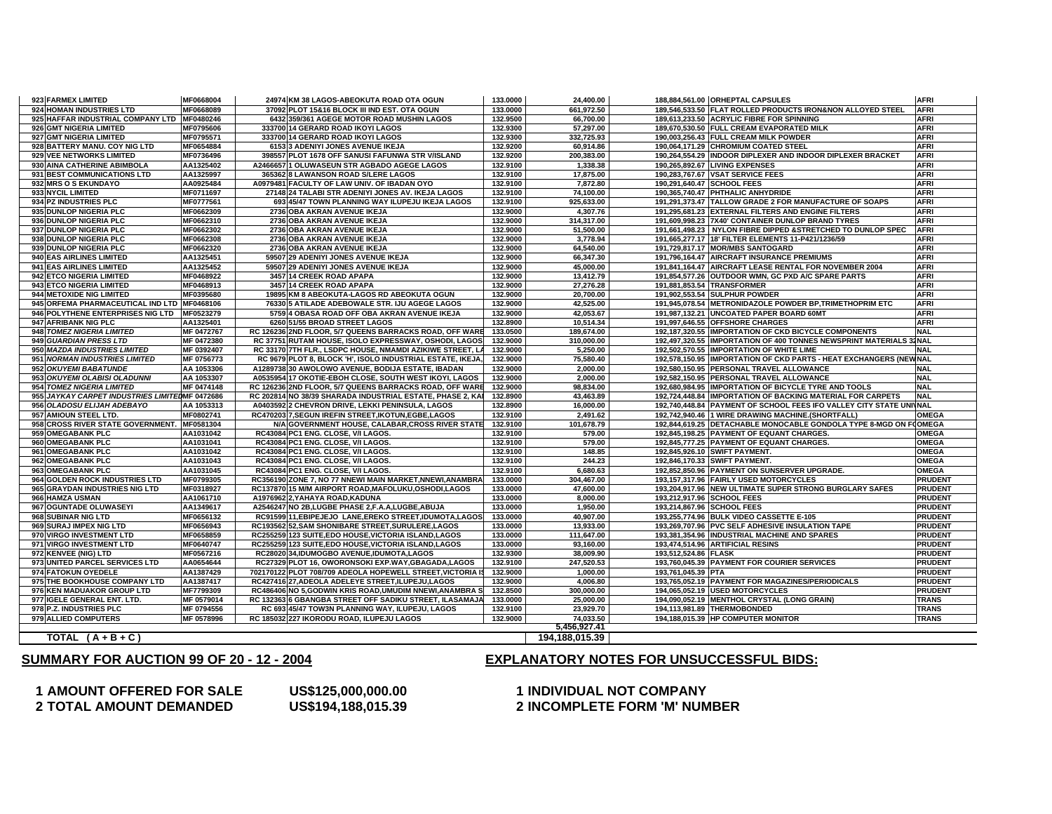## **AMOUNT OFFERED FOR SALE US\$125,000,000.00 1 INDIVIDUAL NOT COMPAN TOTAL AMOUNT DEMANDED US\$194,188,015.39 2 INCOMPLETE FORM 'M' NUMBER**

# **Y**

## **SUMMARY FOR AUCTION 99 OF 20 - 12 - 2004**

## **EXPLANATORY NOTES FOR UNSUCCESSFUL BIDS:**

| 923 FARMEX LIMITED                             | MF0668004  | 24974 KM 38 LAGOS-ABEOKUTA ROAD OTA OGUN                   | 133.0000 | 24,400.00      | 188,884,561.00 ORHEPTAL CAPSULES                                    | <b>AFRI</b>                |
|------------------------------------------------|------------|------------------------------------------------------------|----------|----------------|---------------------------------------------------------------------|----------------------------|
| 924 HOMAN INDUSTRIES LTD                       | MF0668089  | 37092 PLOT 15&16 BLOCK III IND EST. OTA OGUN               | 133.0000 | 661.972.50     | 189,546,533.50 FLAT ROLLED PRODUCTS IRON&NON ALLOYED STEEL          | <b>AFRI</b>                |
| 925 HAFFAR INDUSTRIAL COMPANY LTD MF0480246    |            | 6432 359/361 AGEGE MOTOR ROAD MUSHIN LAGOS                 | 132.9500 | 66,700.00      | 189.613.233.50 ACRYLIC FIBRE FOR SPINNING                           | <b>AFRI</b>                |
| 926 GMT NIGERIA LIMITED                        | MF0795606  | 333700 14 GERARD ROAD IKOYI LAGOS                          | 132.9300 | 57,297.00      | 189,670,530.50 FULL CREAM EVAPORATED MILK                           | <b>AFRI</b>                |
| 927 GMT NIGERIA LIMITED                        | MF0795571  | 333700 14 GERARD ROAD IKOYI LAGOS                          | 132.9300 | 332,725.93     | 190,003,256.43 FULL CREAM MILK POWDER                               | <b>AFRI</b>                |
| 928 BATTERY MANU. COY NIG LTD                  | MF0654884  | 6153 3 ADENIYI JONES AVENUE IKEJA                          | 132.9200 | 60,914.86      | 190,064,171.29 CHROMIUM COATED STEEL                                | <b>AFRI</b>                |
| 929 VEE NETWORKS LIMITED                       | MF0736496  | 398557 PLOT 1678 OFF SANUSI FAFUNWA STR V/ISLAND           | 132.9200 | 200,383.00     | 190,264,554.29 INDOOR DIPLEXER AND INDOOR DIPLEXER BRACKET          | <b>AFRI</b>                |
| 930 AINA CATHERINE ABIMBOLA                    | AA1325402  | A2466657 1 OLUWASEUN STR AGBADO AGEGE LAGOS                | 132.9100 | 1,338.38       | 190.265.892.67 LIVING EXPENSES                                      | <b>AFRI</b>                |
| 931 BEST COMMUNICATIONS LTD                    | AA1325997  | 365362 8 LAWANSON ROAD S/LERE LAGOS                        | 132.9100 | 17,875.00      | 190,283,767.67 VSAT SERVICE FEES                                    | <b>AFRI</b>                |
| 932 MRS O S EKUNDAYO                           | AA0925484  | A0979481 FACULTY OF LAW UNIV. OF IBADAN OYO                | 132.9100 | 7,872.80       | 190,291,640.47 SCHOOL FEES                                          | <b>AFRI</b>                |
| 933 NYCIL LIMITED                              | MF0711697  | 27148 24 TALABI STR ADENIYI JONES AV. IKEJA LAGOS          | 132.9100 | 74,100.00      | 190,365,740.47 PHTHALIC ANHYDRIDE                                   | <b>AFRI</b>                |
| 934 PZ INDUSTRIES PLC                          | MF0777561  | 693 45/47 TOWN PLANNING WAY ILUPEJU IKEJA LAGOS            | 132.9100 | 925,633.00     | 191,291,373.47 TALLOW GRADE 2 FOR MANUFACTURE OF SOAPS              | <b>AFRI</b>                |
| 935 DUNLOP NIGERIA PLC                         | MF0662309  | 2736 OBA AKRAN AVENUE IKEJA                                | 132.9000 | 4,307.76       | 191,295,681.23 EXTERNAL FILTERS AND ENGINE FILTERS                  | <b>AFRI</b>                |
| 936 DUNLOP NIGERIA PLC                         | MF0662310  | 2736 OBA AKRAN AVENUE IKEJA                                | 132.9000 | 314,317.00     | 191,609,998.23 7X40' CONTAINER DUNLOP BRAND TYRES                   | <b>AFRI</b>                |
| 937 DUNLOP NIGERIA PLC                         | MF0662302  | 2736 OBA AKRAN AVENUE IKEJA                                | 132.9000 | 51,500.00      | 191,661,498.23 NYLON FIBRE DIPPED &STRETCHED TO DUNLOP SPEC         | AFRI                       |
| 938 DUNLOP NIGERIA PLC                         | MF0662308  | 2736 OBA AKRAN AVENUE IKEJA                                | 132.9000 | 3,778.94       | 191,665,277.17 18' FILTER ELEMENTS 11-P421/1236/59                  | <b>AFRI</b>                |
| 939 DUNLOP NIGERIA PLC                         | MF0662320  | 2736 OBA AKRAN AVENUE IKEJA                                | 132.9000 | 64.540.00      | 191.729.817.17 MOR/MBS SANTOGARD                                    | <b>AFRI</b>                |
| 940 EAS AIRLINES LIMITED                       | AA1325451  | 59507 29 ADENIYI JONES AVENUE IKEJA                        | 132.9000 | 66,347.30      | 191,796,164.47 AIRCRAFT INSURANCE PREMIUMS                          | <b>AFRI</b>                |
| 941 EAS AIRLINES LIMITED                       | AA1325452  | 59507 29 ADENIYI JONES AVENUE IKEJA                        | 132.9000 | 45.000.00      | 191.841.164.47 AIRCRAFT LEASE RENTAL FOR NOVEMBER 2004              | <b>AFRI</b>                |
| 942 ETCO NIGERIA LIMITED                       | MF0468922  | 3457 14 CREEK ROAD APAPA                                   | 132.9000 | 13,412.79      | 191,854,577.26 OUTDOOR WMN, GC PXD A/C SPARE PARTS                  | <b>AFRI</b>                |
| 943 ETCO NIGERIA LIMITED                       | MF0468913  | 3457 14 CREEK ROAD APAPA                                   | 132.9000 | 27,276.28      | 191,881,853.54 TRANSFORMER                                          | <b>AFRI</b>                |
| 944 METOXIDE NIG LIMITED                       | MF0395680  | 19895 KM 8 ABEOKUTA-LAGOS RD ABEOKUTA OGUN                 | 132.9000 | 20,700.00      | 191,902,553.54 SULPHUR POWDER                                       | <b>AFRI</b>                |
| 945 ORFEMA PHARMACEUTICAL IND LTD MF0468106    |            | 76330 5 ATILADE ADEBOWALE STR. IJU AGEGE LAGOS             | 132.9000 | 42,525.00      | 191,945,078.54 METRONIDAZOLE POWDER BP,TRIMETHOPRIM ETC             | <b>AFRI</b>                |
|                                                |            |                                                            |          |                |                                                                     |                            |
| 946 POLYTHENE ENTERPRISES NIG LTD              | MF0523279  | 5759 4 OBASA ROAD OFF OBA AKRAN AVENUE IKEJA               | 132.9000 | 42,053.67      | 191,987,132.21 UNCOATED PAPER BOARD 60MT                            | <b>AFRI</b><br><b>AFRI</b> |
| 947 AFRIBANK NIG PLC                           | AA1325401  | 6260 51/55 BROAD STREET LAGOS                              | 132.8900 | 10,514.34      | 191,997,646.55 OFFSHORE CHARGES                                     | <b>NAL</b>                 |
| 948 TOMEZ NIGERIA LIMITED                      | MF 0472767 | RC 126236 2ND FLOOR, 5/7 QUEENS BARRACKS ROAD, OFF WARE    | 133.0500 | 189,674.00     | 192,187,320.55 IMPORTATION OF CKD BICYCLE COMPONENTS                |                            |
| 949 GUARDIAN PRESS LTD                         | MF 0472380 | RC 37751 RUTAM HOUSE, ISOLO EXPRESSWAY, OSHODI, LAGOS      | 132.9000 | 310,000.00     | 192,497,320.55 IMPORTATION OF 400 TONNES NEWSPRINT MATERIALS 32NAL  |                            |
| 950 MAZDA INDUSTRIES LIMITED                   | MF 0392407 | RC 33170 7TH FLR., LSDPC HOUSE, NMAMDI AZIKIWE STREET, LA  | 132.9000 | 5,250.00       | 192,502,570.55 IMPORTATION OF WHITE LIME                            | <b>NAL</b>                 |
| 951 NORMAN INDUSTRIES LIMITED                  | MF 0756773 | RC 9679 PLOT 8, BLOCK 'H', ISOLO INDUSTRIAL ESTATE, IKEJA, | 132.9000 | 75,580.40      | 192,578,150.95 IMPORTATION OF CKD PARTS - HEAT EXCHANGERS (NEWNAL   |                            |
| 952 OKUYEMI BABATUNDE                          | AA 1053306 | A1289738 30 AWOLOWO AVENUE, BODIJA ESTATE, IBADAN          | 132.9000 | 2,000.00       | 192,580,150.95 PERSONAL TRAVEL ALLOWANCE                            | <b>NAL</b>                 |
| 953 OKUYEMI OLABISI OLADUNNI                   | AA 1053307 | A0535954 17 OKOTIE-EBOH CLOSE, SOUTH WEST IKOYI, LAGOS     | 132.9000 | 2,000.00       | 192,582,150.95 PERSONAL TRAVEL ALLOWANCE                            | <b>NAL</b>                 |
| 954 TOMEZ NIGERIA LIMITED                      | MF 0474148 | RC 126236 2ND FLOOR, 5/7 QUEENS BARRACKS ROAD, OFF WARE    | 132.9000 | 98,834.00      | 192,680,984.95 IMPORTATION OF BICYCLE TYRE AND TOOLS                | <b>NAL</b>                 |
| 955 JAYKAY CARPET INDUSTRIES LIMITEDMF 0472686 |            | RC 202814 NO 38/39 SHARADA INDUSTRIAL ESTATE, PHASE 2, KAI | 132.8900 | 43,463.89      | 192,724,448.84 IMPORTATION OF BACKING MATERIAL FOR CARPETS          | <b>NAL</b>                 |
| 956 OLADOSU ELIJAH ADEBAYO                     | AA 1053313 | A0403592 2 CHEVRON DRIVE, LEKKI PENINSULA, LAGOS           | 132.8900 | 16,000.00      | 192,740,448.84 PAYMENT OF SCHOOL FEES IFO VALLEY CITY STATE UNIVAL  |                            |
| 957 AMIOUN STEEL LTD.                          | MF0802741  | RC470203 7, SEGUN IREFIN STREET, IKOTUN, EGBE, LAGOS       | 132.9100 | 2,491.62       | 192,742,940.46 1 WIRE DRAWING MACHINE.(SHORTFALL)                   | <b>OMEGA</b>               |
| 958 CROSS RIVER STATE GOVERNMENT.              | MF0581304  | N/A GOVERNMENT HOUSE, CALABAR, CROSS RIVER STATE           | 132.9100 | 101,678.79     | 192,844,619.25   DETACHABLE MONOCABLE GONDOLA TYPE 8-MGD ON F(OMEGA |                            |
| 959 OMEGABANK PLC                              | AA1031042  | RC43084 PC1 ENG. CLOSE, V/I LAGOS.                         | 132.9100 | 579.00         | 192.845.198.25 PAYMENT OF EQUANT CHARGES.                           | <b>OMEGA</b>               |
| 960 OMEGABANK PLC                              | AA1031041  | RC43084 PC1 ENG. CLOSE, V/I LAGOS.                         | 132.9100 | 579.00         | 192,845,777.25 PAYMENT OF EQUANT CHARGES.                           | <b>OMEGA</b>               |
| 961 OMEGABANK PLC                              | AA1031042  | RC43084 PC1 ENG. CLOSE, V/I LAGOS.                         | 132.9100 | 148.85         | 192,845,926.10 SWIFT PAYMENT.                                       | <b>OMEGA</b>               |
| 962 OMEGABANK PLC                              | AA1031043  | RC43084 PC1 ENG. CLOSE, V/I LAGOS.                         | 132.9100 | 244.23         | 192,846,170.33 SWIFT PAYMENT.                                       | <b>OMEGA</b>               |
| 963 OMEGABANK PLC                              | AA1031045  | RC43084 PC1 ENG. CLOSE, V/I LAGOS.                         | 132.9100 | 6,680.63       | 192,852,850.96 PAYMENT ON SUNSERVER UPGRADE.                        | <b>OMEGA</b>               |
| 964 GOLDEN ROCK INDUSTRIES LTD                 | MF0799305  | RC356190 ZONE 7, NO 77 NNEWI MAIN MARKET, NNEWI, ANAMBRA   | 133.0000 | 304,467.00     | 193,157,317.96 FAIRLY USED MOTORCYCLES                              | <b>PRUDENT</b>             |
| 965 GRAYDAN INDUSTRIES NIG LTD                 | MF0318927  | RC137870 15 M/M AIRPORT ROAD, MAFOLUKU, OSHODI, LAGOS      | 133.0000 | 47,600.00      | 193,204,917.96 NEW ULTIMATE SUPER STRONG BURGLARY SAFES             | <b>PRUDENT</b>             |
| 966 HAMZA USMAN                                | AA1061710  | A1976962 2.YAHAYA ROAD.KADUNA                              | 133.0000 | 8,000.00       | 193,212,917.96 SCHOOL FEES                                          | <b>PRUDENT</b>             |
| 967 OGUNTADE OLUWASEYI                         | AA1349617  | A2546247 NO 2B, LUGBE PHASE 2, F.A.A, LUGBE, ABUJA         | 133.0000 | 1,950.00       | 193,214,867.96 SCHOOL FEES                                          | <b>PRUDENT</b>             |
| 968 SUBINAR NIG LTD                            | MF0656132  | RC91599 11, EBIPEJEJO LANE, EREKO STREET, IDUMOTA, LAGOS   | 133.0000 | 40,907.00      | 193,255,774.96 BULK VIDEO CASSETTE E-105                            | <b>PRUDENT</b>             |
| 969 SURAJ IMPEX NIG LTD                        | MF0656943  | RC193562 52, SAM SHONIBARE STREET, SURULERE, LAGOS         | 133.0000 | 13,933.00      | 193,269,707.96 PVC SELF ADHESIVE INSULATION TAPE                    | <b>PRUDENT</b>             |
| 970 VIRGO INVESTMENT LTD                       | MF0658859  | RC255259 123 SUITE,EDO HOUSE, VICTORIA ISLAND, LAGOS       | 133.0000 | 111,647.00     | 193,381,354.96 INDUSTRIAL MACHINE AND SPARES                        | <b>PRUDENT</b>             |
| 971 VIRGO INVESTMENT LTD                       | MF0640747  | RC255259 123 SUITE,EDO HOUSE, VICTORIA ISLAND, LAGOS       | 133.0000 | 93,160.00      | 193,474,514.96 ARTIFICIAL RESINS                                    | <b>PRUDENT</b>             |
| 972 KENVEE (NIG) LTD                           | MF0567216  | RC28020 34,IDUMOGBO AVENUE,IDUMOTA,LAGOS                   | 132.9300 | 38,009.90      | 193,512,524.86 FLASK                                                | <b>PRUDENT</b>             |
| 973 UNITED PARCEL SERVICES LTD                 | AA0654644  | RC27329 PLOT 16, OWORONSOKI EXP.WAY, GBAGADA, LAGOS        | 132.9100 | 247,520.53     | 193,760,045.39 PAYMENT FOR COURIER SERVICES                         | <b>PRUDENT</b>             |
| 974 FATOKUN OYEDELE                            | AA1387429  | 702170122 PLOT 708/709 ADEOLA HOPEWELL STREET, VICTORIA IS | 132.9000 | 1,000.00       | 193,761,045.39 PTA                                                  | <b>PRUDENT</b>             |
| 975 THE BOOKHOUSE COMPANY LTD                  | AA1387417  | RC427416 27.ADEOLA ADELEYE STREET.ILUPEJU.LAGOS            | 132.9000 | 4.006.80       | 193,765,052.19 PAYMENT FOR MAGAZINES/PERIODICALS                    | <b>PRUDENT</b>             |
| 976 KEN MADUAKOR GROUP LTD                     | MF7799309  | RC486406 NO 5,GODWIN KRIS ROAD, UMUDIM NNEWI, ANAMBRA S    | 132.8500 | 300,000.00     | 194,065,052.19 USED MOTORCYCLES                                     | <b>PRUDENT</b>             |
| 977 IGELE GENERAL ENT. LTD.                    | MF 0579014 | RC 132363 6 GBANGBA STREET OFF SADIKU STREET, ILASAMAJA    | 133.0000 | 25,000.00      | 194,090,052.19 MENTHOL CRYSTAL (LONG GRAIN)                         | <b>TRANS</b>               |
| 978 P.Z. INDUSTRIES PLC                        | MF 0794556 | RC 693 45/47 TOW3N PLANNING WAY, ILUPEJU, LAGOS            | 132.9100 | 23,929.70      | 194.113.981.89 THERMOBONDED                                         | <b>TRANS</b>               |
| 979 ALLIED COMPUTERS                           | MF 0578996 | RC 185032 227 IKORODU ROAD, ILUPEJU LAGOS                  | 132.9000 | 74,033.50      | 194,188,015.39 HP COMPUTER MONITOR                                  | <b>TRANS</b>               |
|                                                |            |                                                            |          | 5,456,927.41   |                                                                     |                            |
| TOTAL $(A + B + C)$                            |            |                                                            |          | 194,188,015.39 |                                                                     |                            |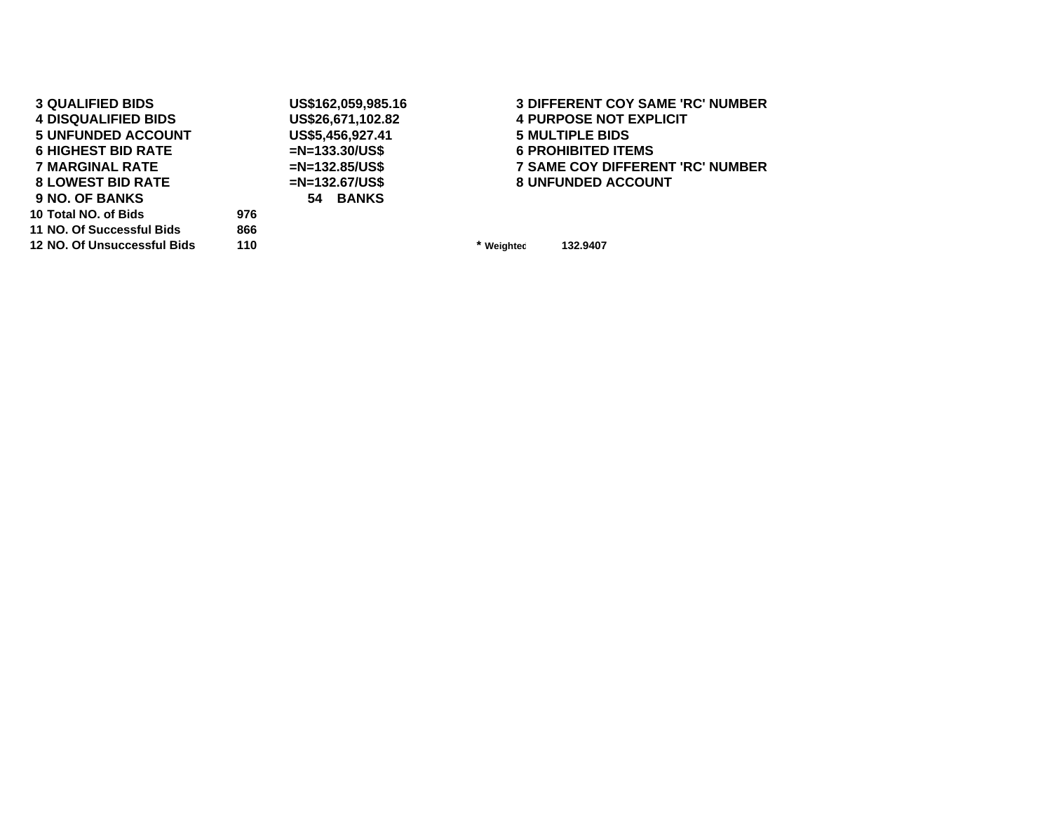| <b>3 QUALIFIED BIDS</b>    |     | US\$162,059,985.16 | <b>3 DIFFERENT COY SAME 'RC' NUMBER</b> |
|----------------------------|-----|--------------------|-----------------------------------------|
| <b>4 DISQUALIFIED BIDS</b> |     | US\$26,671,102.82  | <b>4 PURPOSE NOT EXPLICIT</b>           |
| <b>5 UNFUNDED ACCOUNT</b>  |     | US\$5,456,927.41   | <b>5 MULTIPLE BIDS</b>                  |
| <b>6 HIGHEST BID RATE</b>  |     | $=N=133.30/US$ \$  | <b>6 PROHIBITED ITEMS</b>               |
| 7 MARGINAL RATE            |     | $=N=132.85/US$ \$  | <b>7 SAME COY DIFFERENT 'RC' NUMBER</b> |
| <b>8 LOWEST BID RATE</b>   |     | $=N=132.67/US$ \$  | <b>8 UNFUNDED ACCOUNT</b>               |
| <b>9 NO. OF BANKS</b>      |     | 54 BANKS           |                                         |
| 10 Total NO, of Bids       | 976 |                    |                                         |
| 11 NO. Of Successful Bids  | 866 |                    |                                         |
|                            |     |                    |                                         |

 **NO. Of Unsuccessful Bids 110 \***

**Weighted 132.9407**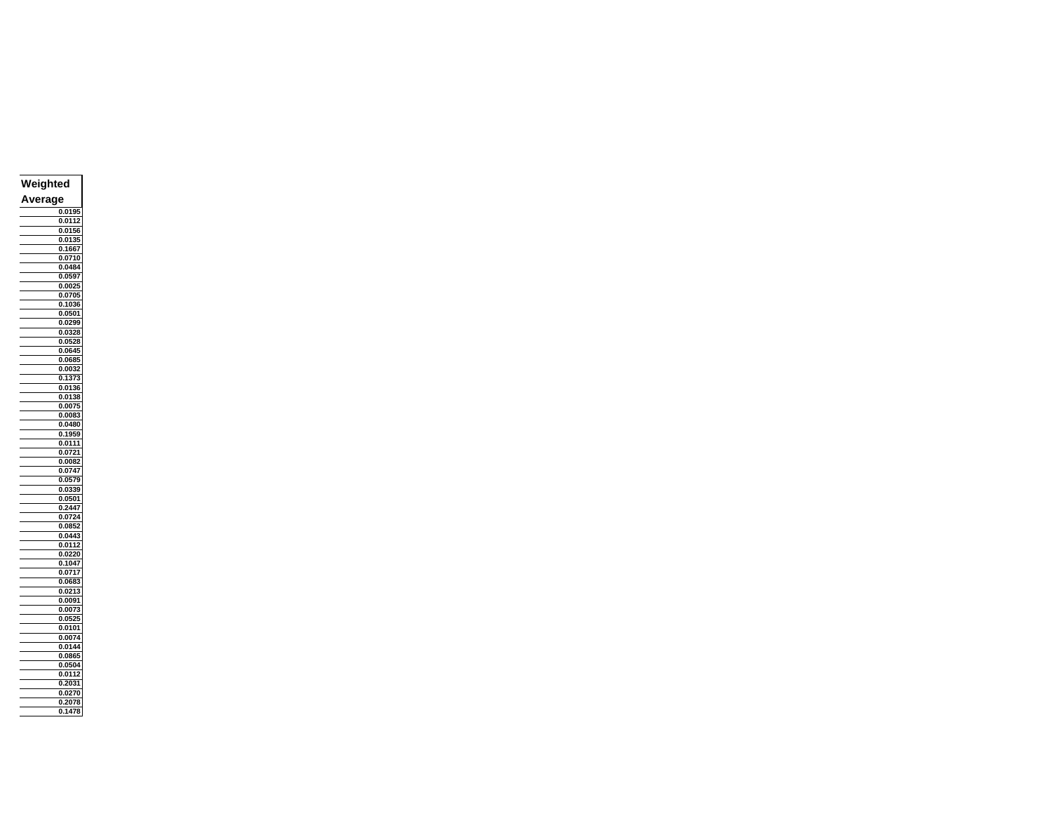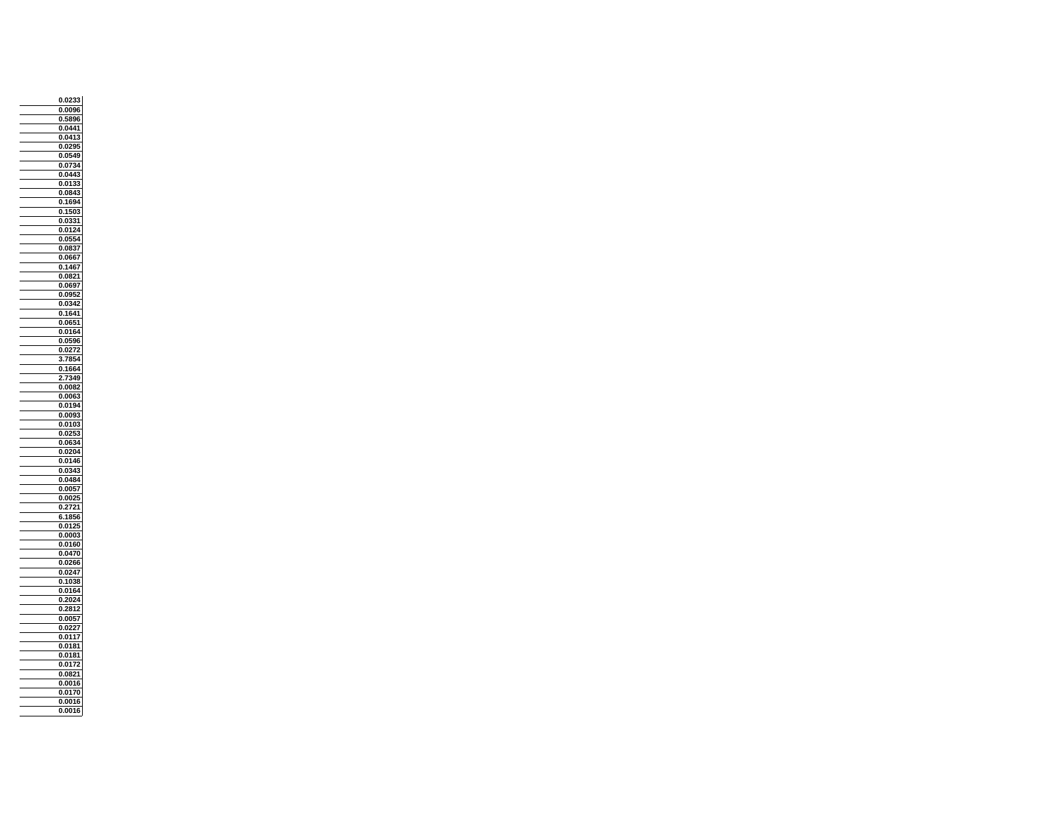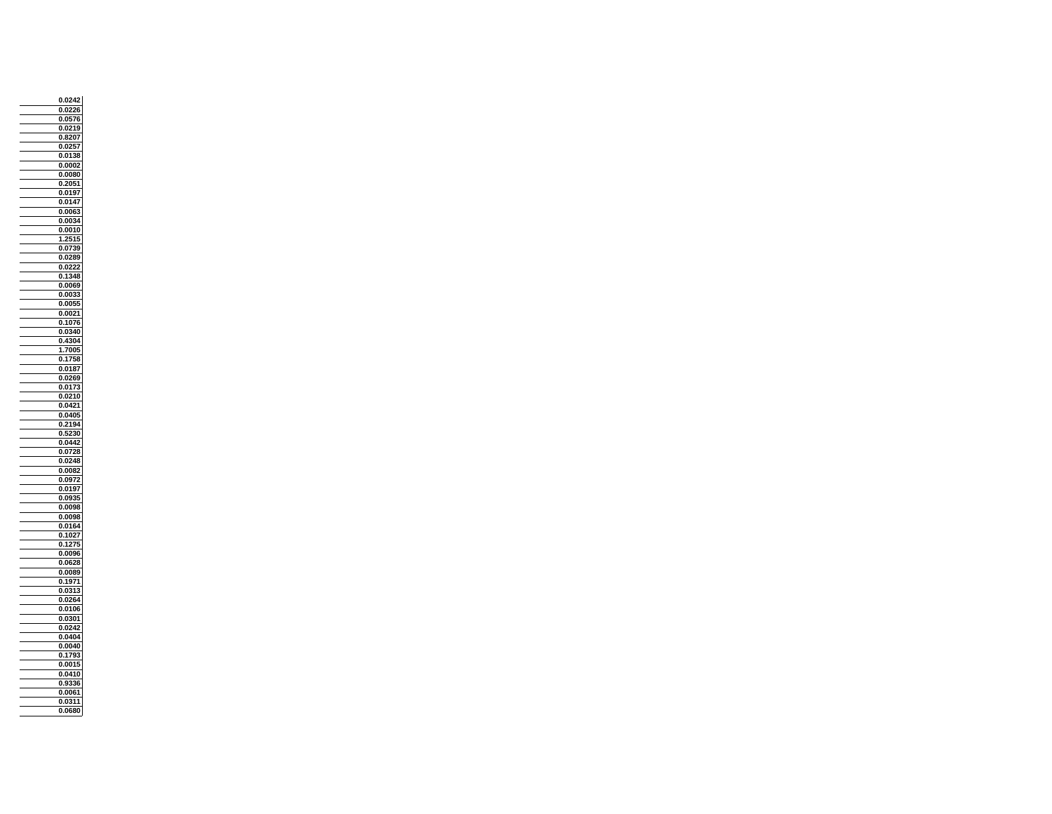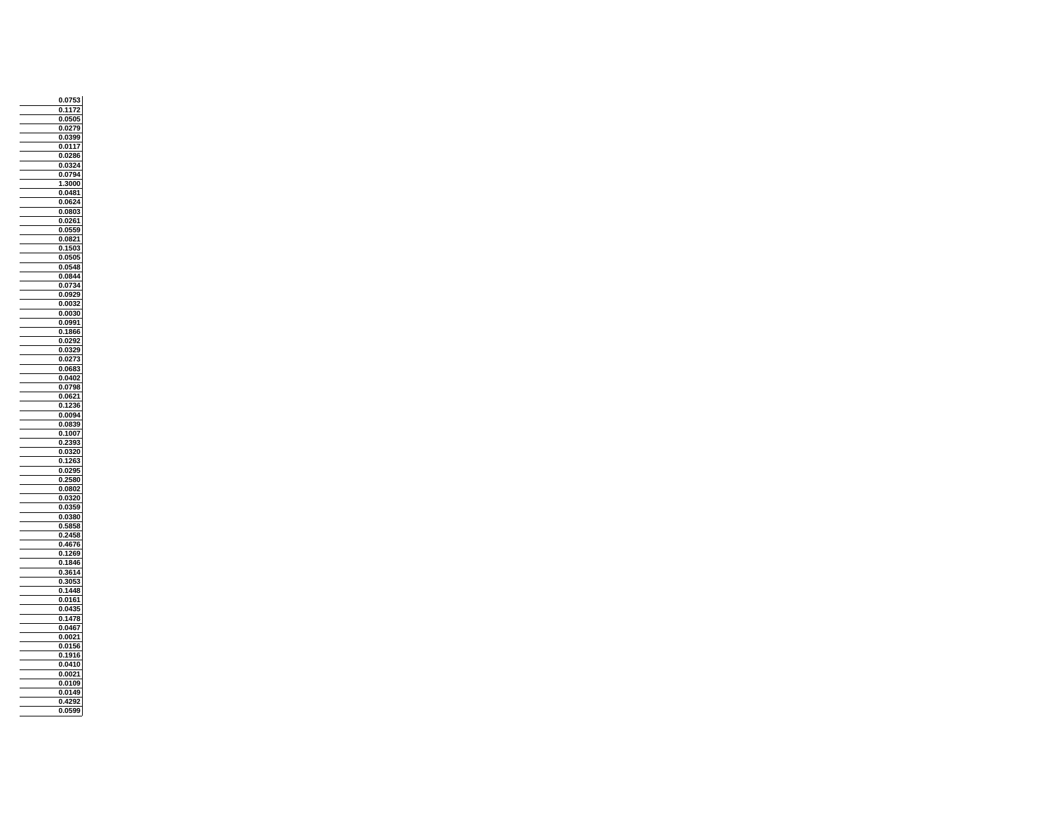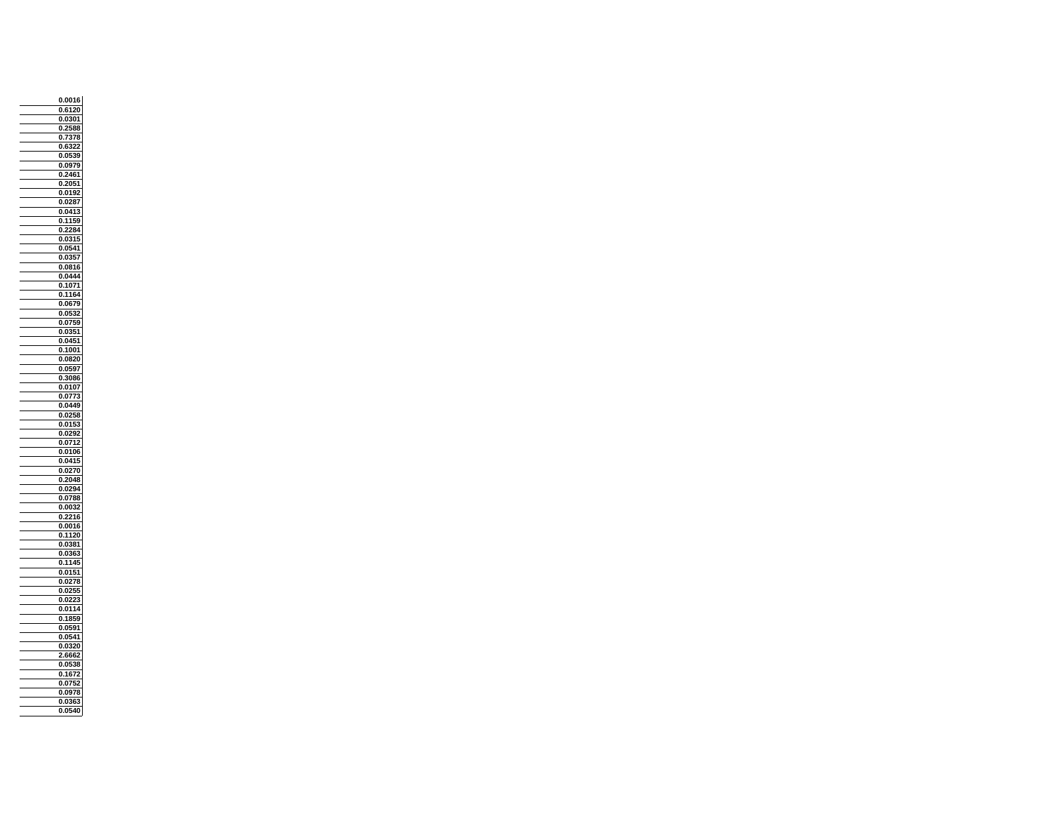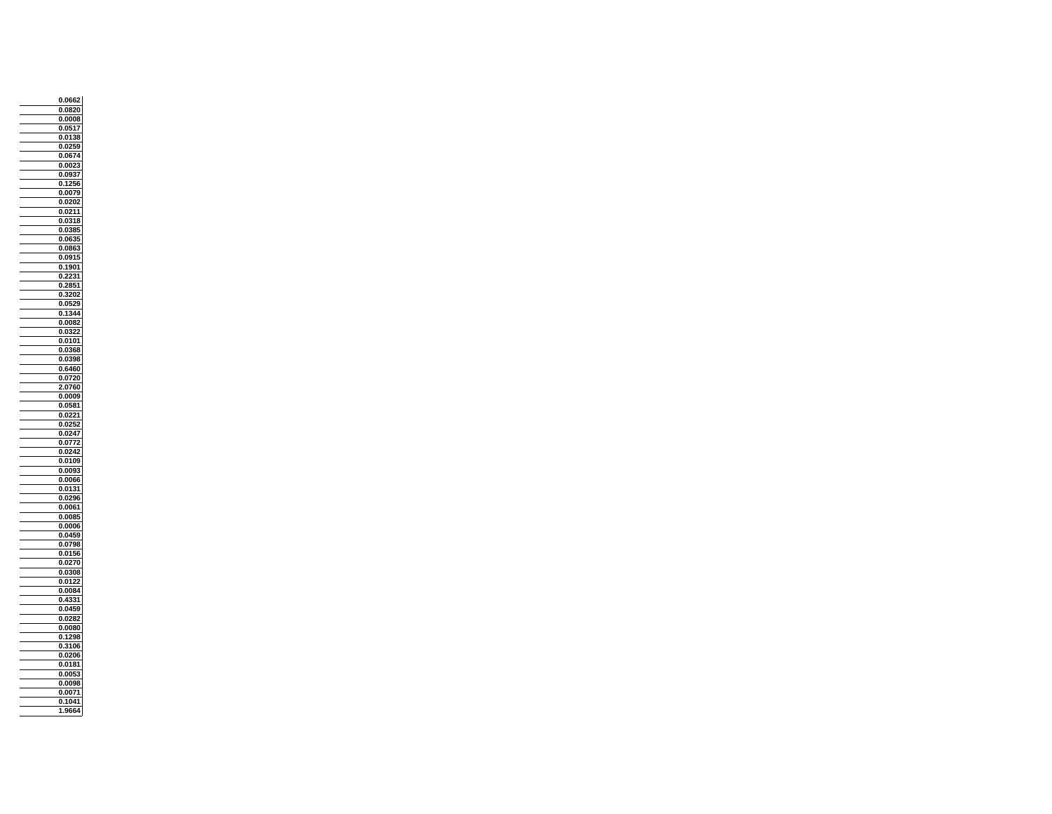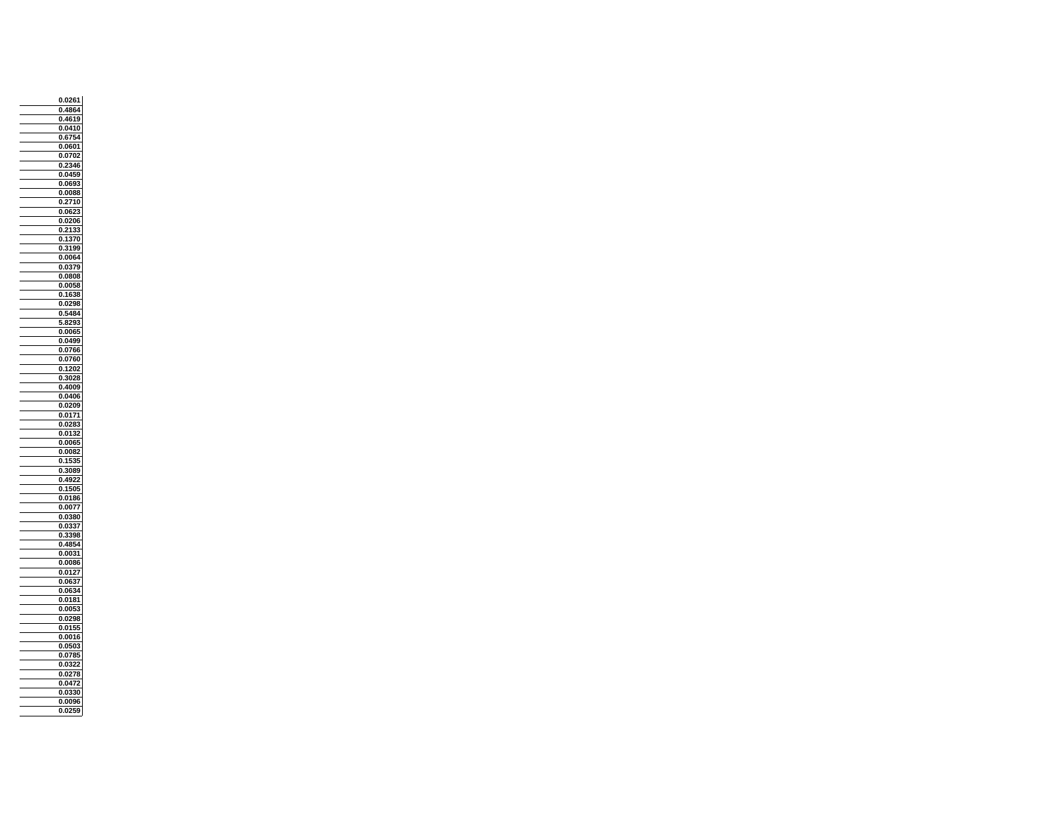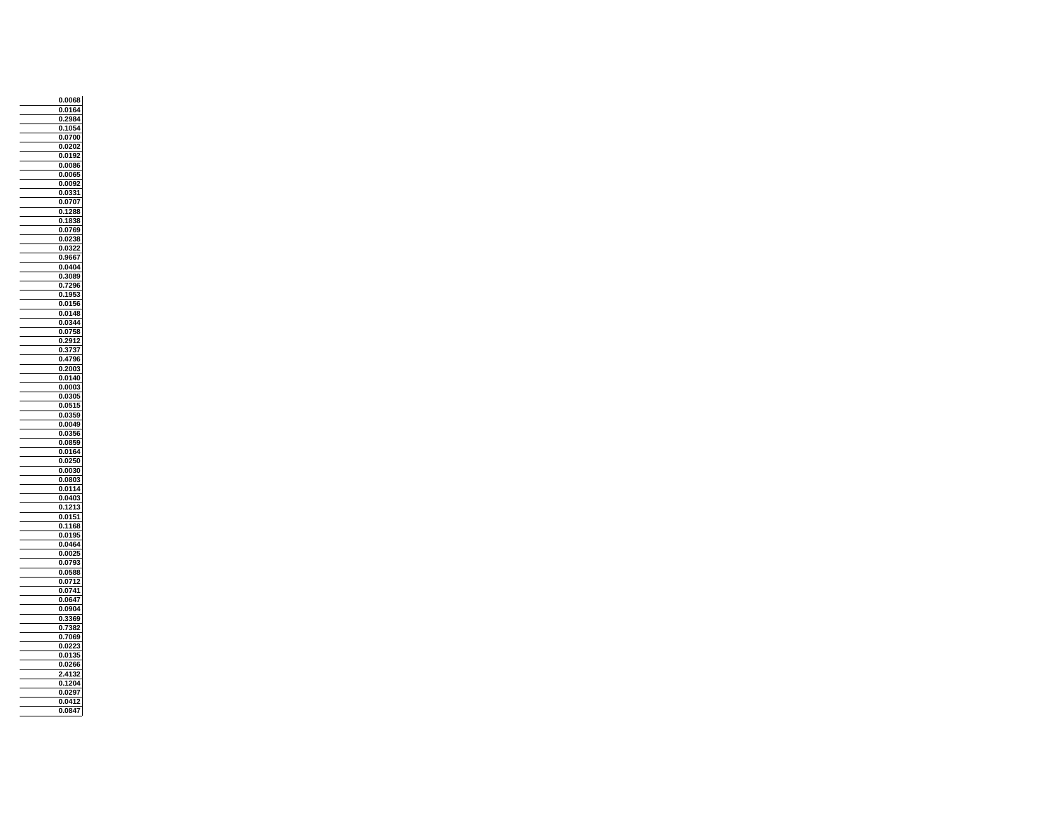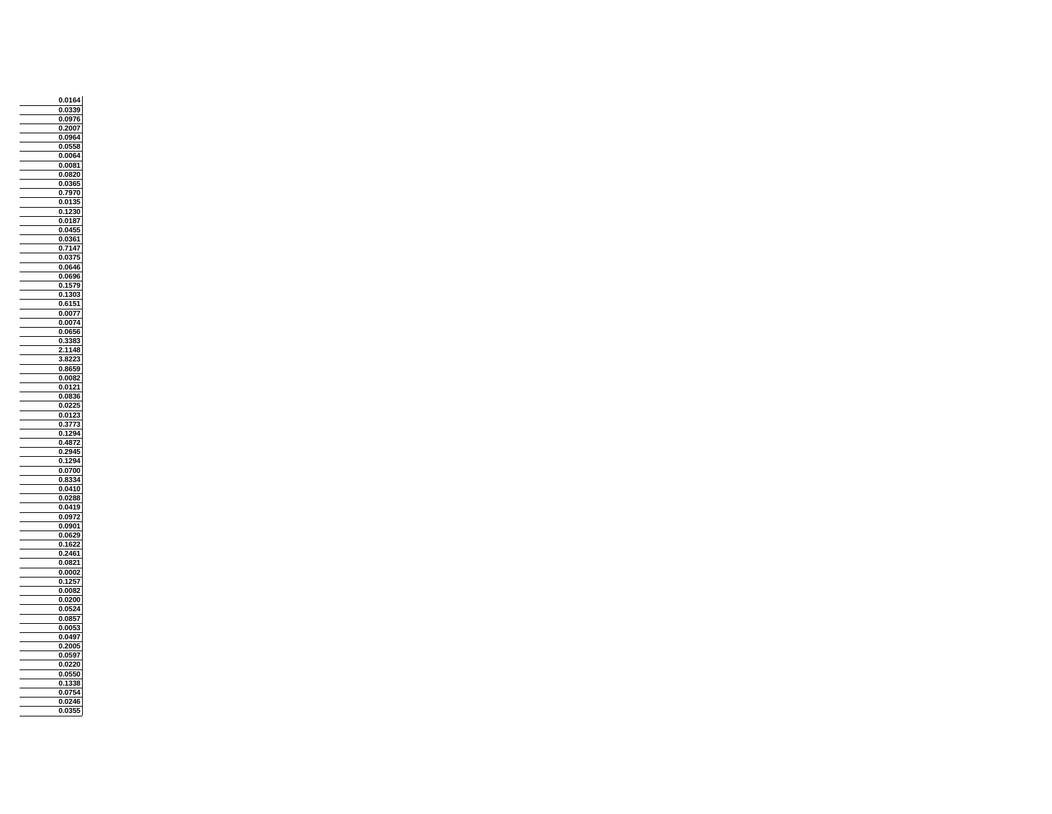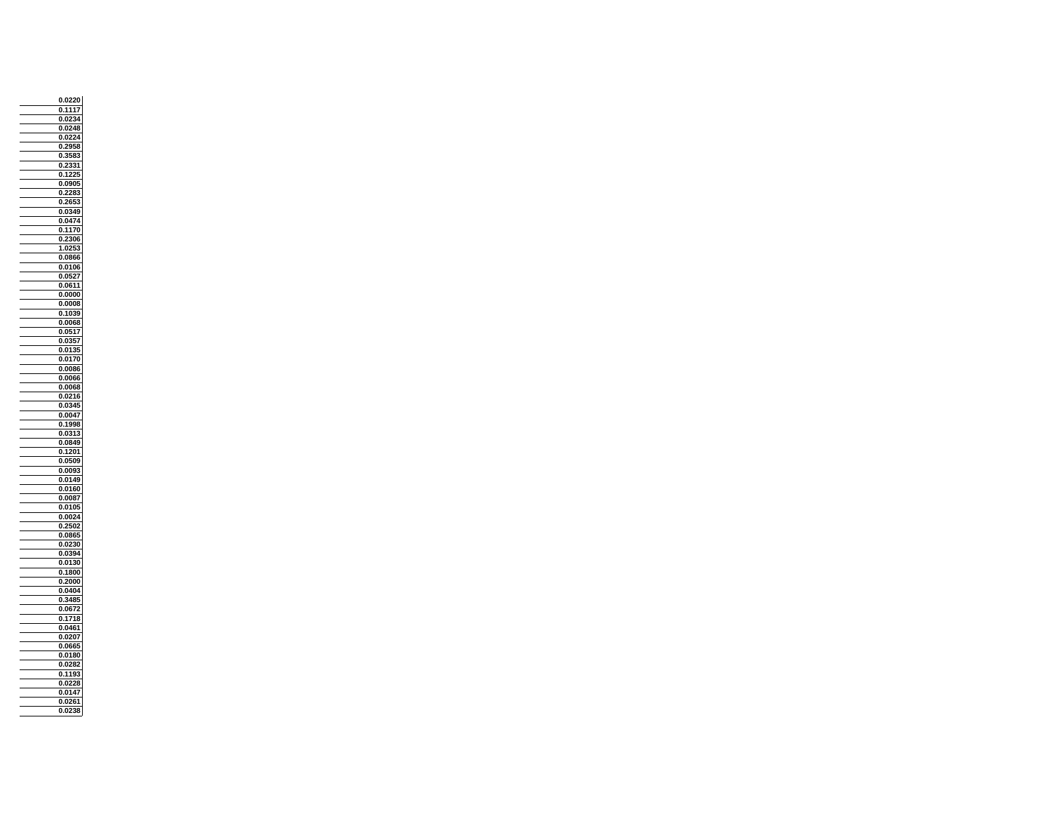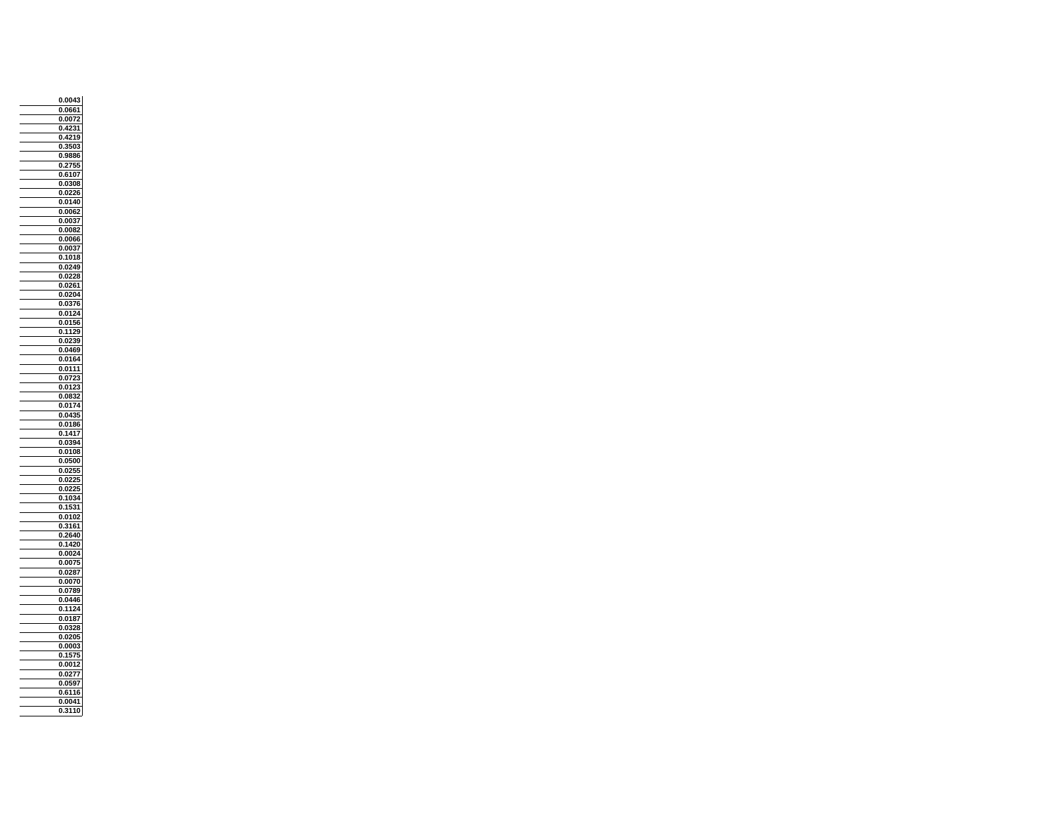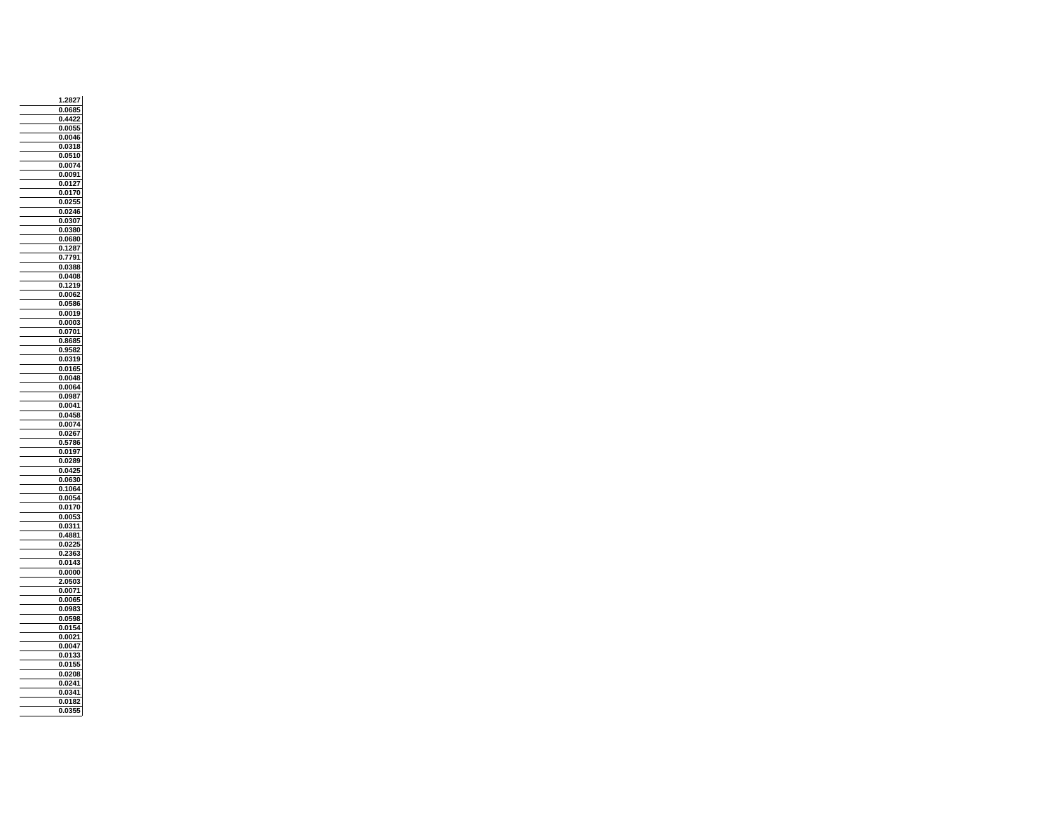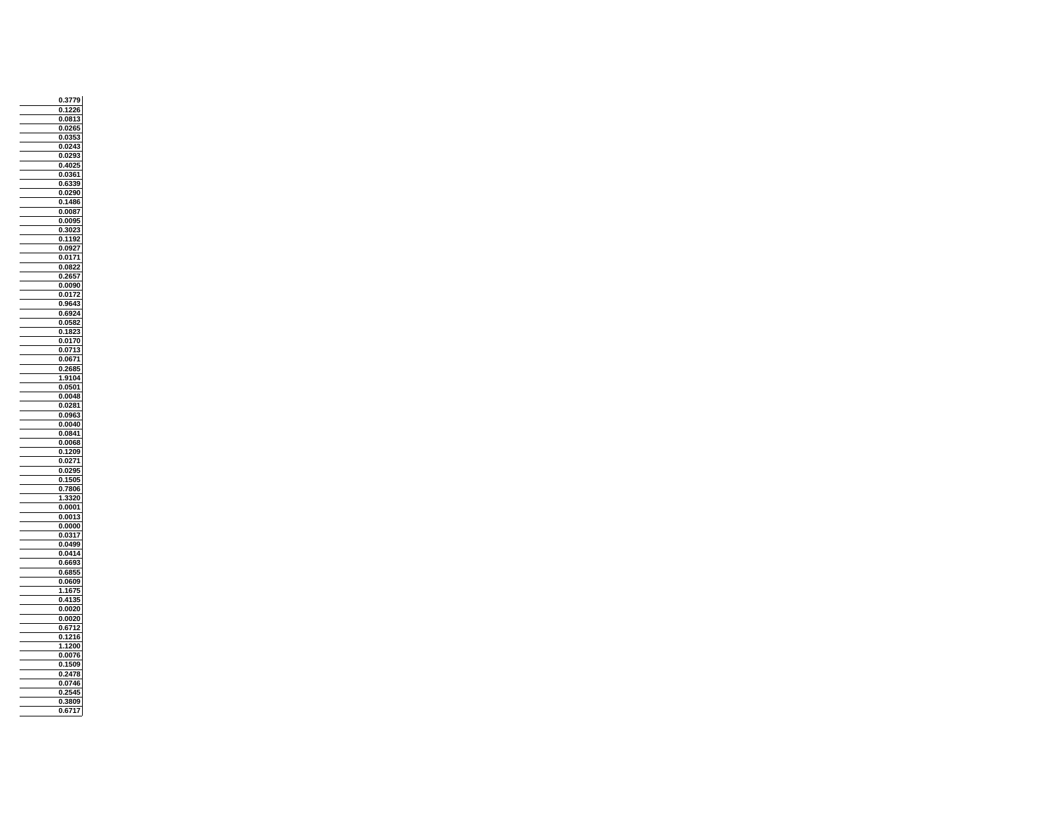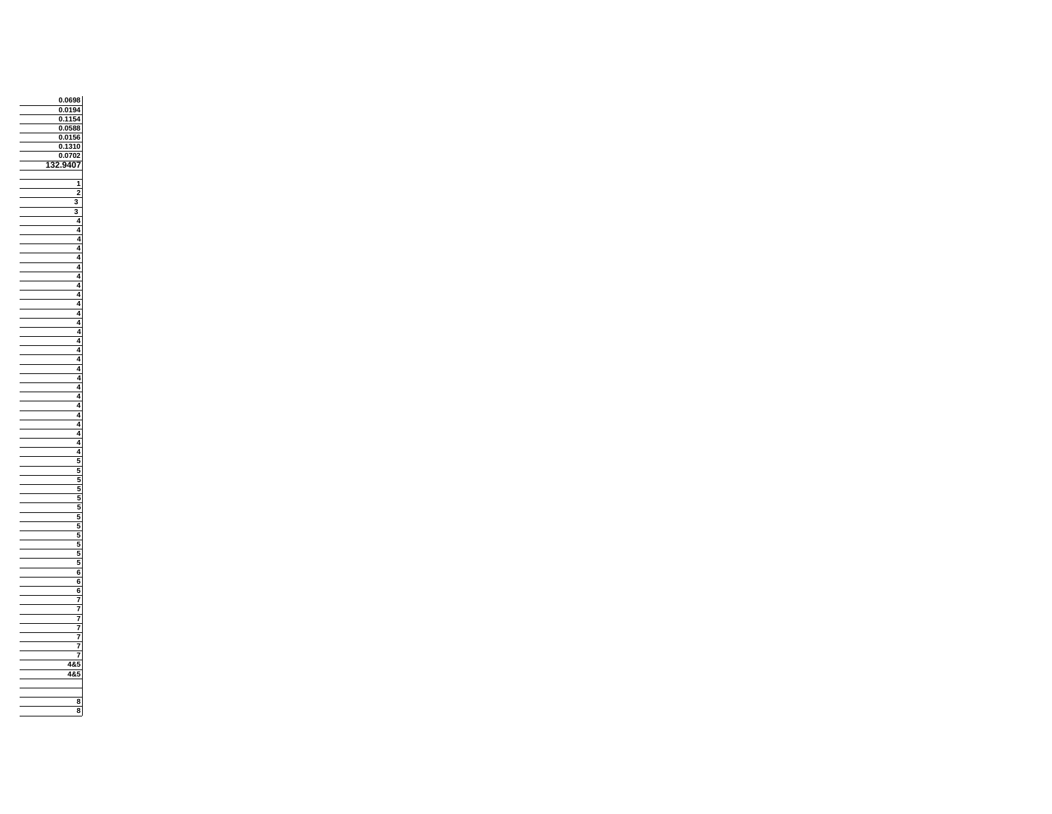

**8**

 **3**